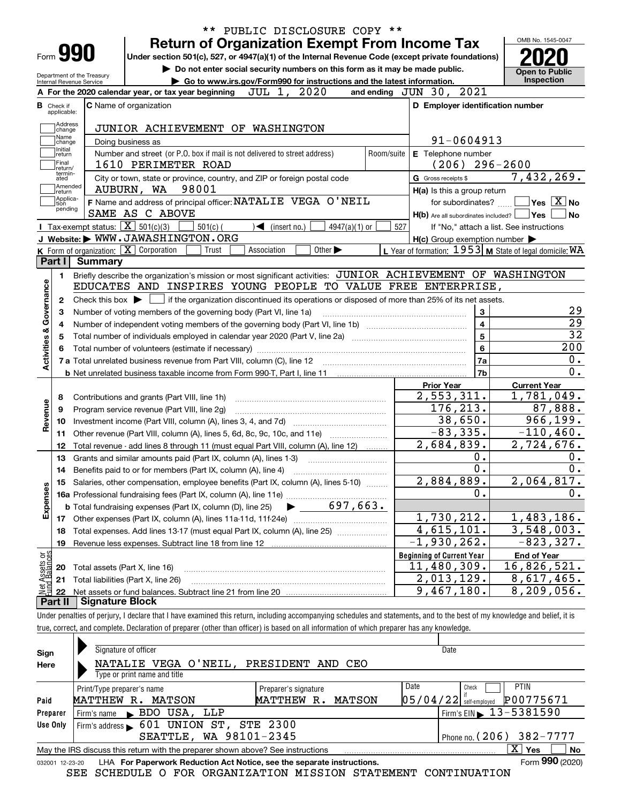|                                      |                                                                             |                            | ** PUBLIC DISCLOSURE COPY **<br><b>Return of Organization Exempt From Income Tax</b>                                                                       |                                                         | OMB No. 1545-0047                                    |  |  |  |
|--------------------------------------|-----------------------------------------------------------------------------|----------------------------|------------------------------------------------------------------------------------------------------------------------------------------------------------|---------------------------------------------------------|------------------------------------------------------|--|--|--|
| Form 990                             |                                                                             |                            | Under section 501(c), 527, or 4947(a)(1) of the Internal Revenue Code (except private foundations)                                                         |                                                         |                                                      |  |  |  |
|                                      |                                                                             |                            | Do not enter social security numbers on this form as it may be made public.                                                                                |                                                         | <b>Open to Public</b>                                |  |  |  |
| Internal Revenue Service             |                                                                             | Department of the Treasury | Go to www.irs.gov/Form990 for instructions and the latest information.                                                                                     |                                                         | Inspection                                           |  |  |  |
|                                      |                                                                             |                            | JUL 1, 2020<br>A For the 2020 calendar year, or tax year beginning                                                                                         | and ending JUN 30, 2021                                 |                                                      |  |  |  |
| <b>B</b> Check if<br>applicable:     |                                                                             |                            | C Name of organization                                                                                                                                     | D Employer identification number                        |                                                      |  |  |  |
|                                      | Address                                                                     |                            |                                                                                                                                                            |                                                         |                                                      |  |  |  |
|                                      | change<br>Name                                                              |                            | JUNIOR ACHIEVEMENT OF WASHINGTON                                                                                                                           |                                                         |                                                      |  |  |  |
| Initial                              | change                                                                      |                            | Doing business as                                                                                                                                          | 91-0604913                                              |                                                      |  |  |  |
| return<br>Final                      |                                                                             |                            | Number and street (or P.O. box if mail is not delivered to street address)<br>Room/suite                                                                   | E Telephone number                                      |                                                      |  |  |  |
|                                      | return/<br>termin-                                                          |                            | 1610 PERIMETER ROAD                                                                                                                                        | $(206)$ 296-2600                                        |                                                      |  |  |  |
| ated                                 | Amended                                                                     |                            | City or town, state or province, country, and ZIP or foreign postal code                                                                                   | G Gross receipts \$                                     | 7,432,269.                                           |  |  |  |
| return                               | Applica-                                                                    |                            | AUBURN, WA 98001                                                                                                                                           | H(a) Is this a group return                             |                                                      |  |  |  |
| tion                                 | pending                                                                     |                            | F Name and address of principal officer: NATALIE VEGA O'NEIL                                                                                               | for subordinates?                                       | $\overline{\mathsf{Yes}}$ $\overline{\mathsf{X}}$ No |  |  |  |
|                                      |                                                                             |                            | SAME AS C ABOVE                                                                                                                                            | $H(b)$ Are all subordinates included? $\Box$ Yes        | No                                                   |  |  |  |
|                                      |                                                                             |                            | Tax-exempt status: $\boxed{\mathbf{X}}$ 501(c)(3)<br>$501(c)$ (<br>$\blacktriangleleft$ (insert no.)<br>$4947(a)(1)$ or<br>J Website: WWW.JAWASHINGTON.ORG | 527                                                     | If "No," attach a list. See instructions             |  |  |  |
|                                      |                                                                             |                            |                                                                                                                                                            | $H(c)$ Group exemption number $\blacktriangleright$     |                                                      |  |  |  |
| Part I                               |                                                                             | Summary                    | K Form of organization: X Corporation<br>Trust<br>Other $\blacktriangleright$<br>Association                                                               | L Year of formation: 1953 M State of legal domicile: WA |                                                      |  |  |  |
|                                      |                                                                             |                            |                                                                                                                                                            |                                                         |                                                      |  |  |  |
| 1.                                   |                                                                             |                            | Briefly describe the organization's mission or most significant activities: JUNIOR ACHIEVEMENT OF WASHINGTON                                               |                                                         |                                                      |  |  |  |
|                                      |                                                                             |                            | EDUCATES AND INSPIRES YOUNG PEOPLE TO VALUE FREE ENTERPRISE,                                                                                               |                                                         |                                                      |  |  |  |
| 2                                    |                                                                             |                            | Check this box $\blacktriangleright$ $\Box$ if the organization discontinued its operations or disposed of more than 25% of its net assets.                |                                                         | 29                                                   |  |  |  |
|                                      | 3<br>Number of voting members of the governing body (Part VI, line 1a)<br>з |                            |                                                                                                                                                            |                                                         |                                                      |  |  |  |
| Activities & Governance<br>4         |                                                                             |                            |                                                                                                                                                            | $\overline{\mathbf{4}}$                                 | $\overline{29}$                                      |  |  |  |
| 5                                    |                                                                             |                            |                                                                                                                                                            | $\overline{5}$                                          | $\overline{32}$                                      |  |  |  |
|                                      |                                                                             |                            |                                                                                                                                                            | $6\phantom{a}$                                          | 200                                                  |  |  |  |
|                                      |                                                                             |                            |                                                                                                                                                            | 7a                                                      | 0.                                                   |  |  |  |
|                                      |                                                                             |                            | <b>b</b> Net unrelated business taxable income from Form 990-T, Part I, line 11 <b>manual constructs</b> contains the value of                             | 7b                                                      | $\overline{0}$ .                                     |  |  |  |
|                                      |                                                                             |                            |                                                                                                                                                            | Prior Year                                              | <b>Current Year</b>                                  |  |  |  |
| 8                                    |                                                                             |                            | Contributions and grants (Part VIII, line 1h)                                                                                                              | 2,553,311.                                              | 1,781,049.                                           |  |  |  |
| Revenue<br>9                         |                                                                             |                            | Program service revenue (Part VIII, line 2g)                                                                                                               | 176, 213.                                               | 87,888.                                              |  |  |  |
| 10                                   |                                                                             |                            |                                                                                                                                                            | 38,650.                                                 | 966,199.                                             |  |  |  |
| 11                                   |                                                                             |                            | Other revenue (Part VIII, column (A), lines 5, 6d, 8c, 9c, 10c, and 11e)                                                                                   | $-83,335.$                                              | $-110, 460.$                                         |  |  |  |
| 12                                   |                                                                             |                            | Total revenue - add lines 8 through 11 (must equal Part VIII, column (A), line 12)                                                                         | 2,684,839.                                              | 2,724,676.                                           |  |  |  |
| 13                                   |                                                                             |                            | Grants and similar amounts paid (Part IX, column (A), lines 1-3)                                                                                           | 0.                                                      | 0.                                                   |  |  |  |
| 14                                   |                                                                             |                            | Benefits paid to or for members (Part IX, column (A), line 4)                                                                                              | 0.                                                      | 0.                                                   |  |  |  |
| 15                                   |                                                                             |                            | Salaries, other compensation, employee benefits (Part IX, column (A), lines 5-10)                                                                          | 2,884,889.                                              | 2,064,817.                                           |  |  |  |
|                                      |                                                                             |                            | 16a Professional fundraising fees (Part IX, column (A), line 11e)                                                                                          | 0.                                                      | 0.                                                   |  |  |  |
| Expenses                             |                                                                             |                            | 697,663.<br><b>b</b> Total fundraising expenses (Part IX, column (D), line 25)                                                                             |                                                         |                                                      |  |  |  |
| 17                                   |                                                                             |                            | Other expenses (Part IX, column (A), lines 11a-11d, 11f-24e)                                                                                               | 1,730,212.                                              | 1,483,186.                                           |  |  |  |
| 18                                   |                                                                             |                            | Total expenses. Add lines 13-17 (must equal Part IX, column (A), line 25)                                                                                  | $\overline{4}$ , 615, 101.                              | $\overline{3,548,003}$ .                             |  |  |  |
| 19                                   |                                                                             |                            | Revenue less expenses. Subtract line 18 from line 12                                                                                                       | $-1,930,262.$                                           | $-823, 327.$                                         |  |  |  |
|                                      |                                                                             |                            |                                                                                                                                                            | <b>Beginning of Current Year</b>                        | <b>End of Year</b>                                   |  |  |  |
| 20                                   |                                                                             |                            | Total assets (Part X, line 16)                                                                                                                             | 11,480,309.                                             | 16,826,521.                                          |  |  |  |
|                                      |                                                                             |                            | Total liabilities (Part X, line 26)                                                                                                                        | 2,013,129.                                              | 8,617,465.                                           |  |  |  |
| 21                                   |                                                                             |                            |                                                                                                                                                            |                                                         |                                                      |  |  |  |
| Net Assets or<br>Fund Balances<br>22 |                                                                             |                            |                                                                                                                                                            | 9,467,180.                                              | 8,209,056.                                           |  |  |  |

true, correct, and complete. Declaration of preparer (other than officer) is based on all information of which preparer has any knowledge.

| Sign            | Signature of officer                                                            |                      | Date                                       |  |  |  |  |  |  |  |  |
|-----------------|---------------------------------------------------------------------------------|----------------------|--------------------------------------------|--|--|--|--|--|--|--|--|
| Here            | NATALIE VEGA O'NEIL, PRESIDENT AND CEO                                          |                      |                                            |  |  |  |  |  |  |  |  |
|                 | Type or print name and title                                                    |                      |                                            |  |  |  |  |  |  |  |  |
|                 | Print/Type preparer's name                                                      | Preparer's signature | Date<br><b>PTIN</b><br>Check               |  |  |  |  |  |  |  |  |
| Paid            | MATTHEW R.<br>MATSON                                                            | MATTHEW R.<br>MATSON | P00775671<br>$05/04/22$ self-employed      |  |  |  |  |  |  |  |  |
| Preparer        | Firm's name BDO USA, LLP                                                        |                      | $1$ Firm's EIN $\triangleright$ 13-5381590 |  |  |  |  |  |  |  |  |
| Use Only        | Firm's address 601 UNION ST, STE 2300                                           |                      |                                            |  |  |  |  |  |  |  |  |
|                 | SEATTLE, WA 98101-2345<br>Phone no. (206) 382-7777                              |                      |                                            |  |  |  |  |  |  |  |  |
|                 | May the IRS discuss this return with the preparer shown above? See instructions |                      | $\mathbf{x}$<br>No<br>∣ Yes                |  |  |  |  |  |  |  |  |
| 032001 12-23-20 | LHA For Paperwork Reduction Act Notice, see the separate instructions.          |                      | Form 990 (2020)                            |  |  |  |  |  |  |  |  |

SEE SCHEDULE O FOR ORGANIZATION MISSION STATEMENT CONTINUATION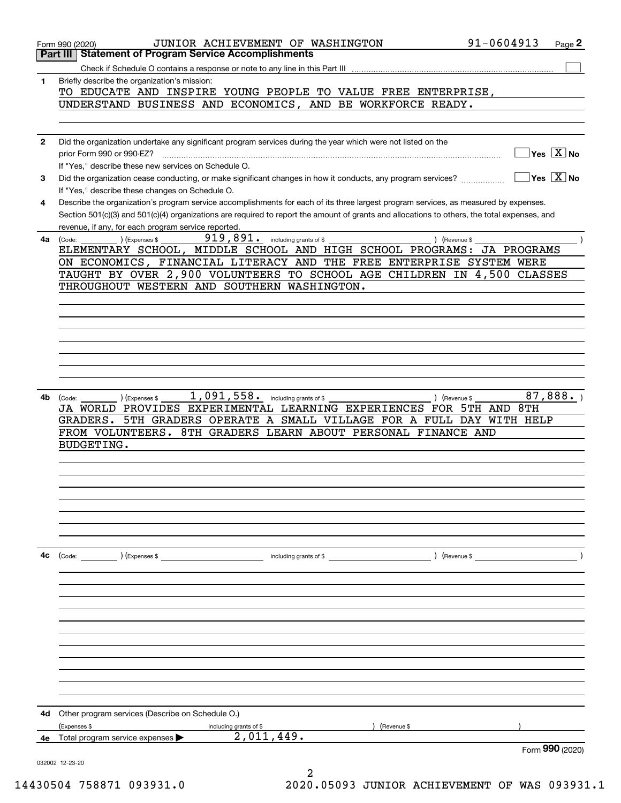|              | 91-0604913<br>JUNIOR ACHIEVEMENT OF WASHINGTON<br>Page 2<br>Form 990 (2020)                                                                     |
|--------------|-------------------------------------------------------------------------------------------------------------------------------------------------|
|              | <b>Statement of Program Service Accomplishments</b><br>Part III                                                                                 |
|              |                                                                                                                                                 |
| 1            | Briefly describe the organization's mission:<br>TO EDUCATE AND INSPIRE YOUNG PEOPLE TO VALUE FREE ENTERPRISE,                                   |
|              | UNDERSTAND BUSINESS AND ECONOMICS, AND BE WORKFORCE READY.                                                                                      |
|              |                                                                                                                                                 |
|              |                                                                                                                                                 |
| $\mathbf{2}$ | Did the organization undertake any significant program services during the year which were not listed on the                                    |
|              | Yes $\boxed{\text{X}}$ No                                                                                                                       |
|              | If "Yes," describe these new services on Schedule O.                                                                                            |
| 3            | $Yes$ $X$ No<br>Did the organization cease conducting, or make significant changes in how it conducts, any program services?                    |
|              | If "Yes," describe these changes on Schedule O.                                                                                                 |
| 4            | Describe the organization's program service accomplishments for each of its three largest program services, as measured by expenses.            |
|              | Section 501(c)(3) and 501(c)(4) organizations are required to report the amount of grants and allocations to others, the total expenses, and    |
|              | revenue, if any, for each program service reported.                                                                                             |
| 4a           | 919,891. including grants of \$<br>(Code: ) (Expenses \$<br>) (Revenue \$                                                                       |
|              | ELEMENTARY SCHOOL, MIDDLE SCHOOL AND HIGH SCHOOL PROGRAMS:<br>JA PROGRAMS                                                                       |
|              | ON ECONOMICS, FINANCIAL LITERACY AND THE FREE ENTERPRISE SYSTEM WERE<br>TAUGHT BY OVER 2,900 VOLUNTEERS TO SCHOOL AGE CHILDREN IN 4,500 CLASSES |
|              | THROUGHOUT WESTERN AND SOUTHERN WASHINGTON.                                                                                                     |
|              |                                                                                                                                                 |
|              |                                                                                                                                                 |
|              |                                                                                                                                                 |
|              |                                                                                                                                                 |
|              |                                                                                                                                                 |
|              |                                                                                                                                                 |
|              |                                                                                                                                                 |
|              |                                                                                                                                                 |
| 4b           | 1,091,558.<br>87,888.<br>including grants of \$<br>) (Expenses \$<br>) (Revenue \$<br>(Code:                                                    |
|              | JA WORLD PROVIDES EXPERIMENTAL LEARNING EXPERIENCES FOR 5TH AND 8TH                                                                             |
|              | GRADERS.<br>5TH GRADERS OPERATE A SMALL VILLAGE FOR A FULL DAY WITH HELP                                                                        |
|              | FROM VOLUNTEERS. 8TH GRADERS LEARN ABOUT PERSONAL FINANCE AND                                                                                   |
|              | <b>BUDGETING.</b>                                                                                                                               |
|              |                                                                                                                                                 |
|              |                                                                                                                                                 |
|              |                                                                                                                                                 |
|              |                                                                                                                                                 |
|              |                                                                                                                                                 |
|              |                                                                                                                                                 |
|              |                                                                                                                                                 |
|              |                                                                                                                                                 |
| 4с           | ) (Revenue \$<br>$\left(\text{Code:} \right)$ $\left(\text{Expenses $}\right)$<br>including grants of \$                                        |
|              |                                                                                                                                                 |
|              |                                                                                                                                                 |
|              |                                                                                                                                                 |
|              |                                                                                                                                                 |
|              |                                                                                                                                                 |
|              |                                                                                                                                                 |
|              |                                                                                                                                                 |
|              |                                                                                                                                                 |
|              |                                                                                                                                                 |
|              |                                                                                                                                                 |
|              |                                                                                                                                                 |
| 4d           | Other program services (Describe on Schedule O.)                                                                                                |
|              | (Expenses \$<br>including grants of \$<br>(Revenue \$                                                                                           |
| 4e           | 2,011,449.<br>Total program service expenses                                                                                                    |
|              | Form 990 (2020)                                                                                                                                 |
|              | 032002 12-23-20                                                                                                                                 |
|              |                                                                                                                                                 |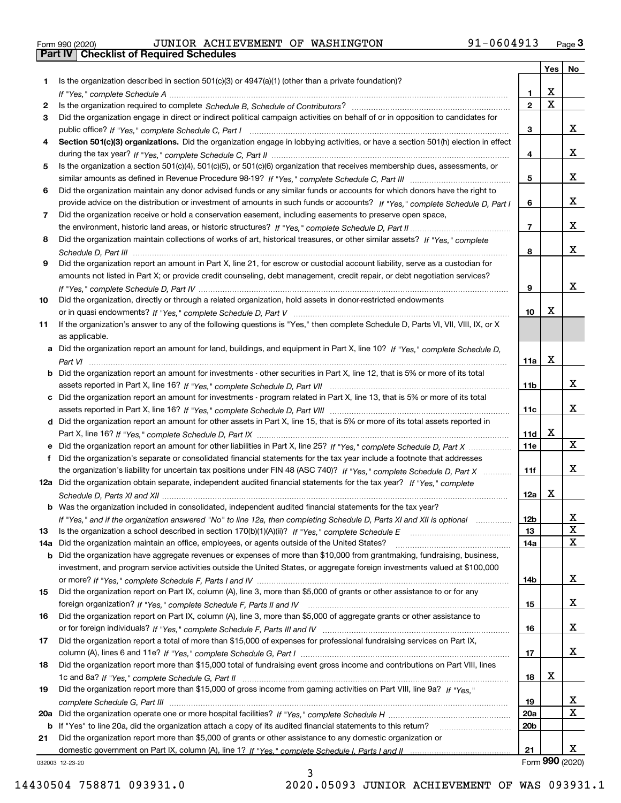|  | Form 990 (2020) |
|--|-----------------|

|     |                                                                                                                                                 |                 | Yes                     | No |
|-----|-------------------------------------------------------------------------------------------------------------------------------------------------|-----------------|-------------------------|----|
| 1.  | Is the organization described in section $501(c)(3)$ or $4947(a)(1)$ (other than a private foundation)?                                         |                 |                         |    |
|     |                                                                                                                                                 | 1               | X                       |    |
| 2   |                                                                                                                                                 | $\overline{2}$  | $\overline{\mathbf{x}}$ |    |
| 3   | Did the organization engage in direct or indirect political campaign activities on behalf of or in opposition to candidates for                 |                 |                         |    |
|     |                                                                                                                                                 | 3               |                         | x  |
| 4   | Section 501(c)(3) organizations. Did the organization engage in lobbying activities, or have a section 501(h) election in effect                |                 |                         |    |
|     |                                                                                                                                                 | 4               |                         | x  |
| 5   | Is the organization a section 501(c)(4), 501(c)(5), or 501(c)(6) organization that receives membership dues, assessments, or                    |                 |                         |    |
|     |                                                                                                                                                 | 5               |                         | x  |
| 6   | Did the organization maintain any donor advised funds or any similar funds or accounts for which donors have the right to                       |                 |                         |    |
|     | provide advice on the distribution or investment of amounts in such funds or accounts? If "Yes," complete Schedule D, Part I                    | 6               |                         | x  |
| 7   | Did the organization receive or hold a conservation easement, including easements to preserve open space,                                       |                 |                         |    |
|     |                                                                                                                                                 | $\overline{7}$  |                         | x  |
| 8   | Did the organization maintain collections of works of art, historical treasures, or other similar assets? If "Yes," complete                    |                 |                         | x  |
|     |                                                                                                                                                 | 8               |                         |    |
| 9   | Did the organization report an amount in Part X, line 21, for escrow or custodial account liability, serve as a custodian for                   |                 |                         |    |
|     | amounts not listed in Part X; or provide credit counseling, debt management, credit repair, or debt negotiation services?                       |                 |                         | x  |
|     |                                                                                                                                                 | 9               |                         |    |
| 10  | Did the organization, directly or through a related organization, hold assets in donor-restricted endowments                                    | 10              | Χ                       |    |
| 11  |                                                                                                                                                 |                 |                         |    |
|     | If the organization's answer to any of the following questions is "Yes," then complete Schedule D, Parts VI, VII, VIII, IX, or X                |                 |                         |    |
|     | as applicable.<br>a Did the organization report an amount for land, buildings, and equipment in Part X, line 10? If "Yes," complete Schedule D, |                 |                         |    |
|     |                                                                                                                                                 | 11a             | X                       |    |
|     | <b>b</b> Did the organization report an amount for investments - other securities in Part X, line 12, that is 5% or more of its total           |                 |                         |    |
|     |                                                                                                                                                 | 11 <sub>b</sub> |                         | x  |
|     | c Did the organization report an amount for investments - program related in Part X, line 13, that is 5% or more of its total                   |                 |                         |    |
|     |                                                                                                                                                 | 11c             |                         | X. |
|     | d Did the organization report an amount for other assets in Part X, line 15, that is 5% or more of its total assets reported in                 |                 |                         |    |
|     |                                                                                                                                                 | 11d             | х                       |    |
|     | e Did the organization report an amount for other liabilities in Part X, line 25? If "Yes," complete Schedule D, Part X                         | 11e             |                         | X  |
|     | f Did the organization's separate or consolidated financial statements for the tax year include a footnote that addresses                       |                 |                         |    |
|     | the organization's liability for uncertain tax positions under FIN 48 (ASC 740)? If "Yes," complete Schedule D, Part X                          | 11f             |                         | X. |
|     | 12a Did the organization obtain separate, independent audited financial statements for the tax year? If "Yes," complete                         |                 |                         |    |
|     |                                                                                                                                                 | 12a             | x                       |    |
|     | b Was the organization included in consolidated, independent audited financial statements for the tax year?                                     |                 |                         |    |
|     | If "Yes," and if the organization answered "No" to line 12a, then completing Schedule D, Parts XI and XII is optional manum                     | 12b             |                         | ᅀ  |
| 13  |                                                                                                                                                 | 13              |                         | X  |
| 14a | Did the organization maintain an office, employees, or agents outside of the United States?                                                     | 14a             |                         | x  |
|     | <b>b</b> Did the organization have aggregate revenues or expenses of more than \$10,000 from grantmaking, fundraising, business,                |                 |                         |    |
|     | investment, and program service activities outside the United States, or aggregate foreign investments valued at \$100,000                      |                 |                         |    |
|     |                                                                                                                                                 | 14b             |                         | x  |
| 15  | Did the organization report on Part IX, column (A), line 3, more than \$5,000 of grants or other assistance to or for any                       |                 |                         |    |
|     |                                                                                                                                                 | 15              |                         | x  |
| 16  | Did the organization report on Part IX, column (A), line 3, more than \$5,000 of aggregate grants or other assistance to                        |                 |                         |    |
|     |                                                                                                                                                 | 16              |                         | x  |
| 17  | Did the organization report a total of more than \$15,000 of expenses for professional fundraising services on Part IX,                         |                 |                         |    |
|     |                                                                                                                                                 | 17              |                         | x  |
| 18  | Did the organization report more than \$15,000 total of fundraising event gross income and contributions on Part VIII, lines                    |                 |                         |    |
|     |                                                                                                                                                 | 18              | х                       |    |
| 19  | Did the organization report more than \$15,000 of gross income from gaming activities on Part VIII, line 9a? If "Yes."                          |                 |                         |    |
|     |                                                                                                                                                 | 19              |                         | x  |
|     |                                                                                                                                                 | <b>20a</b>      |                         | x  |
|     | b If "Yes" to line 20a, did the organization attach a copy of its audited financial statements to this return?                                  | 20 <sub>b</sub> |                         |    |
| 21  | Did the organization report more than \$5,000 of grants or other assistance to any domestic organization or                                     |                 |                         |    |
|     |                                                                                                                                                 | 21              |                         | x  |
|     | 032003 12-23-20                                                                                                                                 |                 | Form 990 (2020)         |    |

3

032003 12-23-20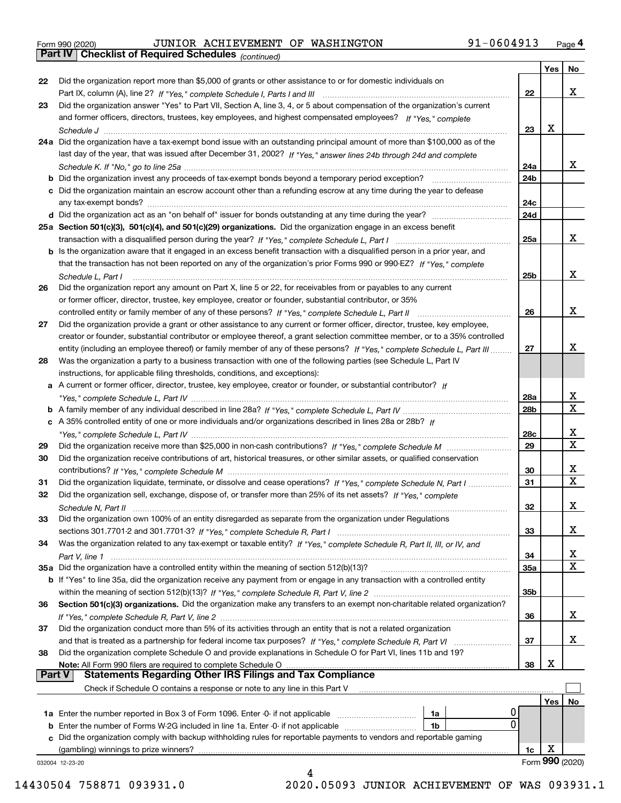| Form 990 (2020) |  |
|-----------------|--|

|               |                                                                                                                                       |            | Yes | No               |
|---------------|---------------------------------------------------------------------------------------------------------------------------------------|------------|-----|------------------|
| 22            | Did the organization report more than \$5,000 of grants or other assistance to or for domestic individuals on                         |            |     |                  |
|               | Part IX, column (A), line 2? If "Yes," complete Schedule I, Parts I and III [[11]] [11] [11] [11] [11] [11] [1                        | 22         |     | х                |
| 23            | Did the organization answer "Yes" to Part VII, Section A, line 3, 4, or 5 about compensation of the organization's current            |            |     |                  |
|               | and former officers, directors, trustees, key employees, and highest compensated employees? If "Yes," complete                        |            |     |                  |
|               |                                                                                                                                       | 23         | X   |                  |
|               | 24a Did the organization have a tax-exempt bond issue with an outstanding principal amount of more than \$100,000 as of the           |            |     |                  |
|               | last day of the year, that was issued after December 31, 2002? If "Yes," answer lines 24b through 24d and complete                    |            |     |                  |
|               |                                                                                                                                       | 24a        |     | x                |
|               |                                                                                                                                       | 24b        |     |                  |
|               | c Did the organization maintain an escrow account other than a refunding escrow at any time during the year to defease                |            |     |                  |
|               |                                                                                                                                       | 24c        |     |                  |
|               |                                                                                                                                       | 24d        |     |                  |
|               | 25a Section 501(c)(3), 501(c)(4), and 501(c)(29) organizations. Did the organization engage in an excess benefit                      |            |     |                  |
|               |                                                                                                                                       | 25a        |     | х                |
|               | b Is the organization aware that it engaged in an excess benefit transaction with a disqualified person in a prior year, and          |            |     |                  |
|               | that the transaction has not been reported on any of the organization's prior Forms 990 or 990-EZ? If "Yes," complete                 |            |     |                  |
|               |                                                                                                                                       | 25b        |     | x                |
|               | Schedule L, Part I<br>Did the organization report any amount on Part X, line 5 or 22, for receivables from or payables to any current |            |     |                  |
| 26            |                                                                                                                                       |            |     |                  |
|               | or former officer, director, trustee, key employee, creator or founder, substantial contributor, or 35%                               |            |     | х                |
|               | controlled entity or family member of any of these persons? If "Yes," complete Schedule L, Part II                                    | 26         |     |                  |
| 27            | Did the organization provide a grant or other assistance to any current or former officer, director, trustee, key employee,           |            |     |                  |
|               | creator or founder, substantial contributor or employee thereof, a grant selection committee member, or to a 35% controlled           |            |     | x                |
|               | entity (including an employee thereof) or family member of any of these persons? If "Yes," complete Schedule L, Part III              | 27         |     |                  |
| 28            | Was the organization a party to a business transaction with one of the following parties (see Schedule L, Part IV                     |            |     |                  |
|               | instructions, for applicable filing thresholds, conditions, and exceptions):                                                          |            |     |                  |
|               | a A current or former officer, director, trustee, key employee, creator or founder, or substantial contributor? If                    |            |     |                  |
|               |                                                                                                                                       | 28a        |     | x                |
|               |                                                                                                                                       | 28b        |     | $\mathbf X$      |
|               | c A 35% controlled entity of one or more individuals and/or organizations described in lines 28a or 28b? If                           |            |     |                  |
|               |                                                                                                                                       | 28c        |     | х<br>$\mathbf x$ |
| 29            |                                                                                                                                       | 29         |     |                  |
| 30            | Did the organization receive contributions of art, historical treasures, or other similar assets, or qualified conservation           |            |     |                  |
|               |                                                                                                                                       | 30         |     | х                |
| 31            | Did the organization liquidate, terminate, or dissolve and cease operations? If "Yes," complete Schedule N, Part I                    | 31         |     | $\mathbf X$      |
| 32            | Did the organization sell, exchange, dispose of, or transfer more than 25% of its net assets? If "Yes," complete                      |            |     |                  |
|               | Schedule N, Part II                                                                                                                   | 32         |     | х                |
| 33            | Did the organization own 100% of an entity disregarded as separate from the organization under Regulations                            |            |     |                  |
|               |                                                                                                                                       | 33         |     | х                |
| 34            | Was the organization related to any tax-exempt or taxable entity? If "Yes," complete Schedule R, Part II, III, or IV, and             |            |     |                  |
|               |                                                                                                                                       | 34         |     | х                |
|               | 35a Did the organization have a controlled entity within the meaning of section 512(b)(13)?                                           | <b>35a</b> |     | X                |
|               | <b>b</b> If "Yes" to line 35a, did the organization receive any payment from or engage in any transaction with a controlled entity    |            |     |                  |
|               |                                                                                                                                       | 35b        |     |                  |
| 36            | Section 501(c)(3) organizations. Did the organization make any transfers to an exempt non-charitable related organization?            |            |     |                  |
|               |                                                                                                                                       | 36         |     | x                |
| 37            | Did the organization conduct more than 5% of its activities through an entity that is not a related organization                      |            |     |                  |
|               | and that is treated as a partnership for federal income tax purposes? If "Yes," complete Schedule R, Part VI                          | 37         |     | х                |
| 38            | Did the organization complete Schedule O and provide explanations in Schedule O for Part VI, lines 11b and 19?                        |            |     |                  |
|               | Note: All Form 990 filers are required to complete Schedule O                                                                         | 38         | х   |                  |
| <b>Part V</b> | <b>Statements Regarding Other IRS Filings and Tax Compliance</b>                                                                      |            |     |                  |
|               | Check if Schedule O contains a response or note to any line in this Part V                                                            |            |     |                  |
|               |                                                                                                                                       |            | Yes | No               |
|               | 1a Enter the number reported in Box 3 of Form 1096. Enter -0- if not applicable<br>1a                                                 |            |     |                  |
|               | 0<br><b>b</b> Enter the number of Forms W-2G included in line 1a. Enter -0- if not applicable <i>mummummmmm</i><br>1b                 |            |     |                  |
|               | c Did the organization comply with backup withholding rules for reportable payments to vendors and reportable gaming                  |            |     |                  |
|               | (gambling) winnings to prize winners?                                                                                                 | 1c         | X   |                  |
|               | 032004 12-23-20                                                                                                                       |            |     | Form 990 (2020)  |
|               | 4                                                                                                                                     |            |     |                  |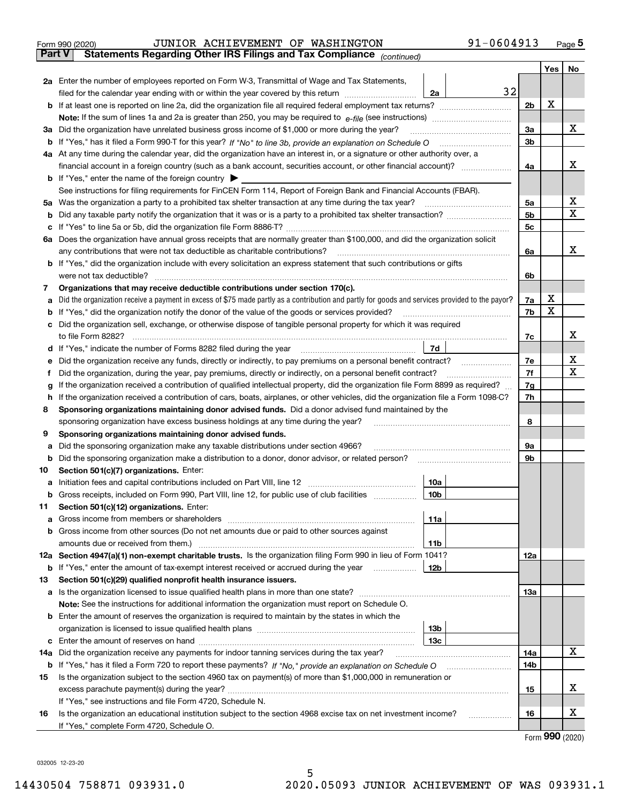|               | 91-0604913<br>JUNIOR ACHIEVEMENT OF WASHINGTON<br>Form 990 (2020)                                                                               |                |                  | Page 5      |  |  |  |  |  |
|---------------|-------------------------------------------------------------------------------------------------------------------------------------------------|----------------|------------------|-------------|--|--|--|--|--|
| <b>Part V</b> | Statements Regarding Other IRS Filings and Tax Compliance (continued)                                                                           |                |                  |             |  |  |  |  |  |
|               |                                                                                                                                                 |                | Yes              | No          |  |  |  |  |  |
|               | 2a Enter the number of employees reported on Form W-3, Transmittal of Wage and Tax Statements,                                                  |                |                  |             |  |  |  |  |  |
|               | 32<br>filed for the calendar year ending with or within the year covered by this return <i>manumumumum</i><br>2a                                |                |                  |             |  |  |  |  |  |
|               |                                                                                                                                                 | 2 <sub>b</sub> | X                |             |  |  |  |  |  |
|               |                                                                                                                                                 |                |                  |             |  |  |  |  |  |
| За            | Did the organization have unrelated business gross income of \$1,000 or more during the year?                                                   | 3a             |                  | x           |  |  |  |  |  |
|               |                                                                                                                                                 | 3b             |                  |             |  |  |  |  |  |
|               | 4a At any time during the calendar year, did the organization have an interest in, or a signature or other authority over, a                    |                |                  |             |  |  |  |  |  |
|               |                                                                                                                                                 | 4a             |                  | x           |  |  |  |  |  |
|               | <b>b</b> If "Yes," enter the name of the foreign country                                                                                        |                |                  |             |  |  |  |  |  |
|               | See instructions for filing requirements for FinCEN Form 114, Report of Foreign Bank and Financial Accounts (FBAR).                             |                |                  |             |  |  |  |  |  |
| 5a            |                                                                                                                                                 | 5a             |                  | х           |  |  |  |  |  |
| b             |                                                                                                                                                 | 5 <sub>b</sub> |                  | $\mathbf X$ |  |  |  |  |  |
|               |                                                                                                                                                 | 5c             |                  |             |  |  |  |  |  |
|               | 6a Does the organization have annual gross receipts that are normally greater than \$100,000, and did the organization solicit                  |                |                  |             |  |  |  |  |  |
|               | any contributions that were not tax deductible as charitable contributions?                                                                     | 6a             |                  | x           |  |  |  |  |  |
|               | <b>b</b> If "Yes," did the organization include with every solicitation an express statement that such contributions or gifts                   |                |                  |             |  |  |  |  |  |
|               | were not tax deductible?                                                                                                                        | 6b             |                  |             |  |  |  |  |  |
| 7             | Organizations that may receive deductible contributions under section 170(c).                                                                   |                |                  |             |  |  |  |  |  |
| а             | Did the organization receive a payment in excess of \$75 made partly as a contribution and partly for goods and services provided to the payor? | 7a             | х<br>$\mathbf X$ |             |  |  |  |  |  |
|               | If "Yes," did the organization notify the donor of the value of the goods or services provided?                                                 |                |                  |             |  |  |  |  |  |
|               | c Did the organization sell, exchange, or otherwise dispose of tangible personal property for which it was required                             |                |                  |             |  |  |  |  |  |
|               |                                                                                                                                                 | 7c             |                  | x           |  |  |  |  |  |
|               | 7d<br>d If "Yes," indicate the number of Forms 8282 filed during the year manufactured in the numerous state.                                   |                |                  |             |  |  |  |  |  |
|               | Did the organization receive any funds, directly or indirectly, to pay premiums on a personal benefit contract?                                 | 7e             |                  | х           |  |  |  |  |  |
|               | Did the organization, during the year, pay premiums, directly or indirectly, on a personal benefit contract?                                    | 7f             |                  | $\mathbf X$ |  |  |  |  |  |
|               | If the organization received a contribution of qualified intellectual property, did the organization file Form 8899 as required?                | 7g             |                  |             |  |  |  |  |  |
| h             | If the organization received a contribution of cars, boats, airplanes, or other vehicles, did the organization file a Form 1098-C?              | 7h             |                  |             |  |  |  |  |  |
| 8             | Sponsoring organizations maintaining donor advised funds. Did a donor advised fund maintained by the                                            |                |                  |             |  |  |  |  |  |
|               | sponsoring organization have excess business holdings at any time during the year?                                                              | 8              |                  |             |  |  |  |  |  |
| 9             | Sponsoring organizations maintaining donor advised funds.                                                                                       |                |                  |             |  |  |  |  |  |
|               | Did the sponsoring organization make any taxable distributions under section 4966?                                                              | 9а             |                  |             |  |  |  |  |  |
|               | <b>b</b> Did the sponsoring organization make a distribution to a donor, donor advisor, or related person?                                      | 9b             |                  |             |  |  |  |  |  |
| טו            | Section 501(c)(7) organizations. Enter:                                                                                                         |                |                  |             |  |  |  |  |  |
| a             | 10a                                                                                                                                             |                |                  |             |  |  |  |  |  |
| b             | Gross receipts, included on Form 990, Part VIII, line 12, for public use of club facilities<br>10 <sub>b</sub>                                  |                |                  |             |  |  |  |  |  |
| 11            | Section 501(c)(12) organizations. Enter:                                                                                                        |                |                  |             |  |  |  |  |  |
| а             | 11a<br>Gross income from members or shareholders                                                                                                |                |                  |             |  |  |  |  |  |
|               | b Gross income from other sources (Do not net amounts due or paid to other sources against                                                      |                |                  |             |  |  |  |  |  |
|               | amounts due or received from them.)<br>11b                                                                                                      |                |                  |             |  |  |  |  |  |
|               | 12a Section 4947(a)(1) non-exempt charitable trusts. Is the organization filing Form 990 in lieu of Form 1041?                                  | 12a            |                  |             |  |  |  |  |  |
|               | b If "Yes," enter the amount of tax-exempt interest received or accrued during the year<br><b>12b</b><br>.                                      |                |                  |             |  |  |  |  |  |
|               |                                                                                                                                                 |                |                  |             |  |  |  |  |  |

|     | <b>b</b> If "Yes," enter the amount of tax-exempt interest received or accrued during the year<br>12b              |     |  |   |  |  |  |  |  |
|-----|--------------------------------------------------------------------------------------------------------------------|-----|--|---|--|--|--|--|--|
| 13. | Section 501(c)(29) qualified nonprofit health insurance issuers.                                                   |     |  |   |  |  |  |  |  |
|     | <b>a</b> Is the organization licensed to issue qualified health plans in more than one state?                      |     |  |   |  |  |  |  |  |
|     | <b>Note:</b> See the instructions for additional information the organization must report on Schedule O.           |     |  |   |  |  |  |  |  |
|     | <b>b</b> Enter the amount of reserves the organization is required to maintain by the states in which the          |     |  |   |  |  |  |  |  |
|     | 13b                                                                                                                |     |  |   |  |  |  |  |  |
|     | 13с                                                                                                                |     |  |   |  |  |  |  |  |
| 14a | Did the organization receive any payments for indoor tanning services during the tax year?                         | 14a |  | х |  |  |  |  |  |
|     | <b>b</b> If "Yes," has it filed a Form 720 to report these payments? If "No," provide an explanation on Schedule O | 14b |  |   |  |  |  |  |  |
| 15  | Is the organization subject to the section 4960 tax on payment(s) of more than \$1,000,000 in remuneration or      |     |  |   |  |  |  |  |  |
|     |                                                                                                                    |     |  |   |  |  |  |  |  |
|     | If "Yes," see instructions and file Form 4720, Schedule N.                                                         |     |  |   |  |  |  |  |  |
| 16  | Is the organization an educational institution subject to the section 4968 excise tax on net investment income?    | 16  |  | ▵ |  |  |  |  |  |
|     | If "Yes," complete Form 4720, Schedule O.                                                                          |     |  |   |  |  |  |  |  |

Form (2020) **990**

032005 12-23-20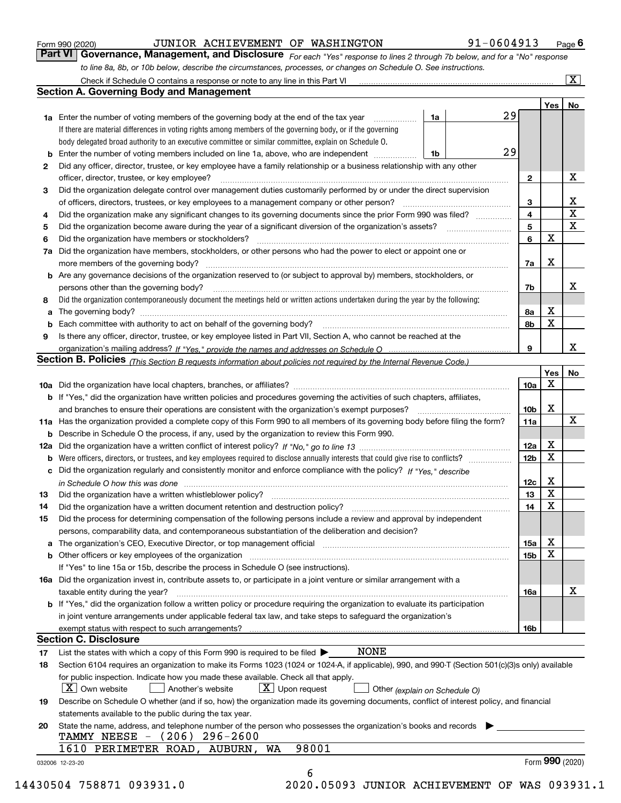|     | to line 8a, 8b, or 10b below, describe the circumstances, processes, or changes on Schedule O. See instructions.                                                                                                                        |                 |                 |                         |  |  |  |  |
|-----|-----------------------------------------------------------------------------------------------------------------------------------------------------------------------------------------------------------------------------------------|-----------------|-----------------|-------------------------|--|--|--|--|
|     | Check if Schedule O contains a response or note to any line in this Part VI                                                                                                                                                             |                 |                 | $\overline{\mathbf{X}}$ |  |  |  |  |
|     | <b>Section A. Governing Body and Management</b>                                                                                                                                                                                         |                 |                 |                         |  |  |  |  |
|     |                                                                                                                                                                                                                                         |                 | Yes             | No                      |  |  |  |  |
|     | 29<br>1a<br><b>1a</b> Enter the number of voting members of the governing body at the end of the tax year <i>manumum</i>                                                                                                                |                 |                 |                         |  |  |  |  |
|     | If there are material differences in voting rights among members of the governing body, or if the governing                                                                                                                             |                 |                 |                         |  |  |  |  |
|     | body delegated broad authority to an executive committee or similar committee, explain on Schedule O.                                                                                                                                   |                 |                 |                         |  |  |  |  |
|     | 29<br>Enter the number of voting members included on line 1a, above, who are independent<br>1b                                                                                                                                          |                 |                 |                         |  |  |  |  |
| 2   | Did any officer, director, trustee, or key employee have a family relationship or a business relationship with any other                                                                                                                |                 |                 |                         |  |  |  |  |
|     | officer, director, trustee, or key employee?<br>.                                                                                                                                                                                       | $\mathbf{2}$    |                 | х                       |  |  |  |  |
| з   | Did the organization delegate control over management duties customarily performed by or under the direct supervision                                                                                                                   |                 |                 |                         |  |  |  |  |
|     | of officers, directors, trustees, or key employees to a management company or other person?                                                                                                                                             | 3               |                 | х                       |  |  |  |  |
| 4   | Did the organization make any significant changes to its governing documents since the prior Form 990 was filed?                                                                                                                        | 4               |                 | X                       |  |  |  |  |
| 5   |                                                                                                                                                                                                                                         | 5               |                 | X                       |  |  |  |  |
| 6   | Did the organization have members or stockholders?                                                                                                                                                                                      | 6               | X               |                         |  |  |  |  |
| 7a  | Did the organization have members, stockholders, or other persons who had the power to elect or appoint one or                                                                                                                          |                 |                 |                         |  |  |  |  |
|     |                                                                                                                                                                                                                                         | 7a              | X               |                         |  |  |  |  |
|     | <b>b</b> Are any governance decisions of the organization reserved to (or subject to approval by) members, stockholders, or                                                                                                             |                 |                 |                         |  |  |  |  |
|     | persons other than the governing body?                                                                                                                                                                                                  | 7b              |                 | х                       |  |  |  |  |
| 8   | Did the organization contemporaneously document the meetings held or written actions undertaken during the year by the following:                                                                                                       |                 |                 |                         |  |  |  |  |
| a   |                                                                                                                                                                                                                                         | 8a              | х               |                         |  |  |  |  |
|     |                                                                                                                                                                                                                                         | 8b              | X               |                         |  |  |  |  |
| 9   | Is there any officer, director, trustee, or key employee listed in Part VII, Section A, who cannot be reached at the                                                                                                                    |                 |                 |                         |  |  |  |  |
|     |                                                                                                                                                                                                                                         | 9               |                 | x                       |  |  |  |  |
|     | Section B. Policies (This Section B requests information about policies not required by the Internal Revenue Code.)                                                                                                                     |                 |                 |                         |  |  |  |  |
|     |                                                                                                                                                                                                                                         |                 | Yes             | No                      |  |  |  |  |
|     |                                                                                                                                                                                                                                         | 10a             | Χ               |                         |  |  |  |  |
|     | <b>b</b> If "Yes," did the organization have written policies and procedures governing the activities of such chapters, affiliates,                                                                                                     |                 |                 |                         |  |  |  |  |
|     | and branches to ensure their operations are consistent with the organization's exempt purposes?                                                                                                                                         | 10b             | X               |                         |  |  |  |  |
|     | 11a Has the organization provided a complete copy of this Form 990 to all members of its governing body before filing the form?                                                                                                         | 11a             |                 | х                       |  |  |  |  |
|     | <b>b</b> Describe in Schedule O the process, if any, used by the organization to review this Form 990.                                                                                                                                  |                 |                 |                         |  |  |  |  |
| 12a |                                                                                                                                                                                                                                         | 12a             | х               |                         |  |  |  |  |
|     |                                                                                                                                                                                                                                         |                 |                 |                         |  |  |  |  |
|     | c Did the organization regularly and consistently monitor and enforce compliance with the policy? If "Yes," describe                                                                                                                    | 12 <sub>b</sub> | Χ               |                         |  |  |  |  |
|     |                                                                                                                                                                                                                                         | 12c             | X               |                         |  |  |  |  |
| 13  | in Schedule O how this was done manufactured and continuum control of the state of the state of the state of t                                                                                                                          | 13              | X               |                         |  |  |  |  |
|     |                                                                                                                                                                                                                                         | 14              | X               |                         |  |  |  |  |
| 14  | Did the process for determining compensation of the following persons include a review and approval by independent                                                                                                                      |                 |                 |                         |  |  |  |  |
| 15  |                                                                                                                                                                                                                                         |                 |                 |                         |  |  |  |  |
|     | persons, comparability data, and contemporaneous substantiation of the deliberation and decision?                                                                                                                                       |                 | х               |                         |  |  |  |  |
| а   | The organization's CEO, Executive Director, or top management official manufactured content content of the organization's CEO, Executive Director, or top management official                                                           | 15a             | X               |                         |  |  |  |  |
| b   | Other officers or key employees of the organization                                                                                                                                                                                     | <b>15b</b>      |                 |                         |  |  |  |  |
|     | If "Yes" to line 15a or 15b, describe the process in Schedule O (see instructions).                                                                                                                                                     |                 |                 |                         |  |  |  |  |
|     | 16a Did the organization invest in, contribute assets to, or participate in a joint venture or similar arrangement with a                                                                                                               |                 |                 | х                       |  |  |  |  |
|     | taxable entity during the year?<br><b>b</b> If "Yes," did the organization follow a written policy or procedure requiring the organization to evaluate its participation                                                                | 16a             |                 |                         |  |  |  |  |
|     |                                                                                                                                                                                                                                         |                 |                 |                         |  |  |  |  |
|     | in joint venture arrangements under applicable federal tax law, and take steps to safeguard the organization's                                                                                                                          |                 |                 |                         |  |  |  |  |
|     | <b>Section C. Disclosure</b>                                                                                                                                                                                                            | 16b             |                 |                         |  |  |  |  |
|     | <b>NONE</b>                                                                                                                                                                                                                             |                 |                 |                         |  |  |  |  |
| 17  | List the states with which a copy of this Form 990 is required to be filed >                                                                                                                                                            |                 |                 |                         |  |  |  |  |
| 18  | Section 6104 requires an organization to make its Forms 1023 (1024 or 1024-A, if applicable), 990, and 990-T (Section 501(c)(3)s only) available<br>for public inspection. Indicate how you made these available. Check all that apply. |                 |                 |                         |  |  |  |  |
|     | $X$ Own website<br>$\lfloor x \rfloor$ Upon request<br>Another's website                                                                                                                                                                |                 |                 |                         |  |  |  |  |
|     | Other (explain on Schedule O)<br>Describe on Schedule O whether (and if so, how) the organization made its governing documents, conflict of interest policy, and financial                                                              |                 |                 |                         |  |  |  |  |
| 19  | statements available to the public during the tax year.                                                                                                                                                                                 |                 |                 |                         |  |  |  |  |
| 20  | State the name, address, and telephone number of the person who possesses the organization's books and records                                                                                                                          |                 |                 |                         |  |  |  |  |
|     | TAMMY NEESE - (206) 296-2600                                                                                                                                                                                                            |                 |                 |                         |  |  |  |  |
|     | 98001<br>AUBURN,<br>1610 PERIMETER ROAD,<br>WA                                                                                                                                                                                          |                 |                 |                         |  |  |  |  |
|     | 032006 12-23-20                                                                                                                                                                                                                         |                 | Form 990 (2020) |                         |  |  |  |  |
|     | 6                                                                                                                                                                                                                                       |                 |                 |                         |  |  |  |  |
|     |                                                                                                                                                                                                                                         |                 |                 |                         |  |  |  |  |

Form 990 (2020) **CONVIOR ACHIEVEMENT OF WASHINGTON** 91-0604913 Page 6<br>**Part VI Governance, Management, and Disclosure** For each "Yes" response to lines 2 through 7b below, and for a "No" response

JUNIOR ACHIEVEMENT OF WASHINGTON 91-0604913

14430504 758871 093931.0 2020.05093 JUNIOR ACHIEVEMENT OF WAS 093931.1

*For each "Yes" response to lines 2 through 7b below, and for a "No" response*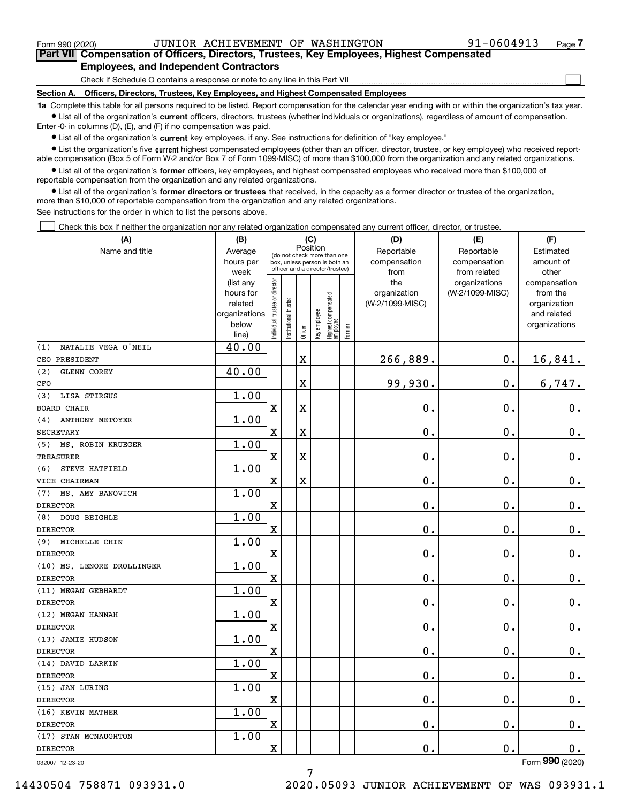$\mathcal{L}^{\text{max}}$ 

**7Part VII Compensation of Officers, Directors, Trustees, Key Employees, Highest Compensated Employees, and Independent Contractors**

Check if Schedule O contains a response or note to any line in this Part VII

**Section A. Officers, Directors, Trustees, Key Employees, and Highest Compensated Employees**

**1a**  Complete this table for all persons required to be listed. Report compensation for the calendar year ending with or within the organization's tax year. **•** List all of the organization's current officers, directors, trustees (whether individuals or organizations), regardless of amount of compensation.

Enter -0- in columns (D), (E), and (F) if no compensation was paid.

 $\bullet$  List all of the organization's  $\,$ current key employees, if any. See instructions for definition of "key employee."

**•** List the organization's five current highest compensated employees (other than an officer, director, trustee, or key employee) who received reportable compensation (Box 5 of Form W-2 and/or Box 7 of Form 1099-MISC) of more than \$100,000 from the organization and any related organizations.

**•** List all of the organization's former officers, key employees, and highest compensated employees who received more than \$100,000 of reportable compensation from the organization and any related organizations.

**former directors or trustees**  ¥ List all of the organization's that received, in the capacity as a former director or trustee of the organization, more than \$10,000 of reportable compensation from the organization and any related organizations.

See instructions for the order in which to list the persons above.

Check this box if neither the organization nor any related organization compensated any current officer, director, or trustee.  $\mathcal{L}^{\text{max}}$ 

| Name and title<br>Reportable<br>Reportable<br>Average<br>Estimated<br>(do not check more than one<br>compensation<br>amount of<br>hours per<br>compensation<br>box, unless person is both an<br>officer and a director/trustee)<br>from related<br>week<br>from<br>other<br>ndividual trustee or director<br>the<br>organizations<br>(list any<br>compensation<br>(W-2/1099-MISC)<br>hours for<br>organization<br>from the<br>Highest compensated<br>employee<br>In stitutional trustee<br>(W-2/1099-MISC)<br>related<br>organization<br>Key employee<br>and related<br>organizations<br>below<br>organizations<br>Former<br>Officer<br>line)<br>40.00<br>NATALIE VEGA O'NEIL<br>(1)<br>266,889.<br>$\mathbf X$<br>$0$ .<br>16,841.<br>CEO PRESIDENT<br>40.00<br>(2)<br>GLENN COREY<br>99,930.<br>$\mathbf 0$ .<br>6,747.<br>X<br>CFO<br>1.00<br>LISA STIRGUS<br>(3)<br>X<br>0.<br>X<br>0.<br>0.<br><b>BOARD CHAIR</b><br>1.00<br><b>ANTHONY METOYER</b><br>(4)<br>X<br>X<br>$\mathbf{0}$ .<br>0.<br>$\mathbf 0$ .<br><b>SECRETARY</b><br>1.00<br>MS. ROBIN KRUEGER<br>(5)<br>X<br>0.<br>0.<br>$\mathbf 0$ .<br>X<br>TREASURER<br>1.00<br>STEVE HATFIELD<br>(6)<br>$\mathbf 0$ .<br>X<br>X<br>0.<br>$\mathbf 0$ .<br>VICE CHAIRMAN<br>1.00<br>MS. AMY BANOVICH<br>(7)<br>0.<br>X<br>$\mathbf 0$ .<br><b>DIRECTOR</b><br>0.<br>1.00<br>DOUG BEIGHLE<br>(8)<br>X<br>$\mathbf 0$ .<br>0.<br>$0_{.}$<br><b>DIRECTOR</b><br>1.00<br>(9) MICHELLE CHIN<br>X<br>0.<br>$\mathbf 0$ .<br>Ο.<br><b>DIRECTOR</b><br>1.00<br>(10) MS. LENORE DROLLINGER<br>X<br>$\mathbf 0$ .<br>$\mathbf 0$ .<br>$0_{.}$<br><b>DIRECTOR</b><br>1.00<br>(11) MEGAN GEBHARDT<br>0.<br>$0_{.}$<br>X<br>0.<br><b>DIRECTOR</b><br>1.00<br>(12) MEGAN HANNAH<br>0.<br>0.<br>X<br>$\mathbf 0$ .<br><b>DIRECTOR</b><br>1.00<br>(13) JAMIE HUDSON<br>$0$ .<br>$0$ .<br>X<br>0.<br><b>DIRECTOR</b><br>1.00<br>(14) DAVID LARKIN<br>X<br>0.<br>0.<br>0.<br><b>DIRECTOR</b><br>1.00<br>(15) JAN LURING<br>X<br>$\mathbf 0$ .<br>$0$ .<br>$\mathbf 0$ .<br><b>DIRECTOR</b><br>1.00<br>(16) KEVIN MATHER<br>X<br>0.<br>0.<br>0.<br><b>DIRECTOR</b><br>1.00<br>(17) STAN MCNAUGHTON<br>0.<br>X<br>0.<br>0.<br><b>DIRECTOR</b><br>$\overline{a}$ | (A) | (B) | (C)      |  |  |  |  |  | (D) | (E) | (F) |
|-------------------------------------------------------------------------------------------------------------------------------------------------------------------------------------------------------------------------------------------------------------------------------------------------------------------------------------------------------------------------------------------------------------------------------------------------------------------------------------------------------------------------------------------------------------------------------------------------------------------------------------------------------------------------------------------------------------------------------------------------------------------------------------------------------------------------------------------------------------------------------------------------------------------------------------------------------------------------------------------------------------------------------------------------------------------------------------------------------------------------------------------------------------------------------------------------------------------------------------------------------------------------------------------------------------------------------------------------------------------------------------------------------------------------------------------------------------------------------------------------------------------------------------------------------------------------------------------------------------------------------------------------------------------------------------------------------------------------------------------------------------------------------------------------------------------------------------------------------------------------------------------------------------------------------------------------------------------------------------------------------------------------------------------------------------------------------------------------------------------------------------------------------------------------------------------------------|-----|-----|----------|--|--|--|--|--|-----|-----|-----|
|                                                                                                                                                                                                                                                                                                                                                                                                                                                                                                                                                                                                                                                                                                                                                                                                                                                                                                                                                                                                                                                                                                                                                                                                                                                                                                                                                                                                                                                                                                                                                                                                                                                                                                                                                                                                                                                                                                                                                                                                                                                                                                                                                                                                       |     |     | Position |  |  |  |  |  |     |     |     |
|                                                                                                                                                                                                                                                                                                                                                                                                                                                                                                                                                                                                                                                                                                                                                                                                                                                                                                                                                                                                                                                                                                                                                                                                                                                                                                                                                                                                                                                                                                                                                                                                                                                                                                                                                                                                                                                                                                                                                                                                                                                                                                                                                                                                       |     |     |          |  |  |  |  |  |     |     |     |
|                                                                                                                                                                                                                                                                                                                                                                                                                                                                                                                                                                                                                                                                                                                                                                                                                                                                                                                                                                                                                                                                                                                                                                                                                                                                                                                                                                                                                                                                                                                                                                                                                                                                                                                                                                                                                                                                                                                                                                                                                                                                                                                                                                                                       |     |     |          |  |  |  |  |  |     |     |     |
|                                                                                                                                                                                                                                                                                                                                                                                                                                                                                                                                                                                                                                                                                                                                                                                                                                                                                                                                                                                                                                                                                                                                                                                                                                                                                                                                                                                                                                                                                                                                                                                                                                                                                                                                                                                                                                                                                                                                                                                                                                                                                                                                                                                                       |     |     |          |  |  |  |  |  |     |     |     |
|                                                                                                                                                                                                                                                                                                                                                                                                                                                                                                                                                                                                                                                                                                                                                                                                                                                                                                                                                                                                                                                                                                                                                                                                                                                                                                                                                                                                                                                                                                                                                                                                                                                                                                                                                                                                                                                                                                                                                                                                                                                                                                                                                                                                       |     |     |          |  |  |  |  |  |     |     |     |
|                                                                                                                                                                                                                                                                                                                                                                                                                                                                                                                                                                                                                                                                                                                                                                                                                                                                                                                                                                                                                                                                                                                                                                                                                                                                                                                                                                                                                                                                                                                                                                                                                                                                                                                                                                                                                                                                                                                                                                                                                                                                                                                                                                                                       |     |     |          |  |  |  |  |  |     |     |     |
|                                                                                                                                                                                                                                                                                                                                                                                                                                                                                                                                                                                                                                                                                                                                                                                                                                                                                                                                                                                                                                                                                                                                                                                                                                                                                                                                                                                                                                                                                                                                                                                                                                                                                                                                                                                                                                                                                                                                                                                                                                                                                                                                                                                                       |     |     |          |  |  |  |  |  |     |     |     |
|                                                                                                                                                                                                                                                                                                                                                                                                                                                                                                                                                                                                                                                                                                                                                                                                                                                                                                                                                                                                                                                                                                                                                                                                                                                                                                                                                                                                                                                                                                                                                                                                                                                                                                                                                                                                                                                                                                                                                                                                                                                                                                                                                                                                       |     |     |          |  |  |  |  |  |     |     |     |
|                                                                                                                                                                                                                                                                                                                                                                                                                                                                                                                                                                                                                                                                                                                                                                                                                                                                                                                                                                                                                                                                                                                                                                                                                                                                                                                                                                                                                                                                                                                                                                                                                                                                                                                                                                                                                                                                                                                                                                                                                                                                                                                                                                                                       |     |     |          |  |  |  |  |  |     |     |     |
|                                                                                                                                                                                                                                                                                                                                                                                                                                                                                                                                                                                                                                                                                                                                                                                                                                                                                                                                                                                                                                                                                                                                                                                                                                                                                                                                                                                                                                                                                                                                                                                                                                                                                                                                                                                                                                                                                                                                                                                                                                                                                                                                                                                                       |     |     |          |  |  |  |  |  |     |     |     |
|                                                                                                                                                                                                                                                                                                                                                                                                                                                                                                                                                                                                                                                                                                                                                                                                                                                                                                                                                                                                                                                                                                                                                                                                                                                                                                                                                                                                                                                                                                                                                                                                                                                                                                                                                                                                                                                                                                                                                                                                                                                                                                                                                                                                       |     |     |          |  |  |  |  |  |     |     |     |
|                                                                                                                                                                                                                                                                                                                                                                                                                                                                                                                                                                                                                                                                                                                                                                                                                                                                                                                                                                                                                                                                                                                                                                                                                                                                                                                                                                                                                                                                                                                                                                                                                                                                                                                                                                                                                                                                                                                                                                                                                                                                                                                                                                                                       |     |     |          |  |  |  |  |  |     |     |     |
|                                                                                                                                                                                                                                                                                                                                                                                                                                                                                                                                                                                                                                                                                                                                                                                                                                                                                                                                                                                                                                                                                                                                                                                                                                                                                                                                                                                                                                                                                                                                                                                                                                                                                                                                                                                                                                                                                                                                                                                                                                                                                                                                                                                                       |     |     |          |  |  |  |  |  |     |     |     |
|                                                                                                                                                                                                                                                                                                                                                                                                                                                                                                                                                                                                                                                                                                                                                                                                                                                                                                                                                                                                                                                                                                                                                                                                                                                                                                                                                                                                                                                                                                                                                                                                                                                                                                                                                                                                                                                                                                                                                                                                                                                                                                                                                                                                       |     |     |          |  |  |  |  |  |     |     |     |
|                                                                                                                                                                                                                                                                                                                                                                                                                                                                                                                                                                                                                                                                                                                                                                                                                                                                                                                                                                                                                                                                                                                                                                                                                                                                                                                                                                                                                                                                                                                                                                                                                                                                                                                                                                                                                                                                                                                                                                                                                                                                                                                                                                                                       |     |     |          |  |  |  |  |  |     |     |     |
|                                                                                                                                                                                                                                                                                                                                                                                                                                                                                                                                                                                                                                                                                                                                                                                                                                                                                                                                                                                                                                                                                                                                                                                                                                                                                                                                                                                                                                                                                                                                                                                                                                                                                                                                                                                                                                                                                                                                                                                                                                                                                                                                                                                                       |     |     |          |  |  |  |  |  |     |     |     |
|                                                                                                                                                                                                                                                                                                                                                                                                                                                                                                                                                                                                                                                                                                                                                                                                                                                                                                                                                                                                                                                                                                                                                                                                                                                                                                                                                                                                                                                                                                                                                                                                                                                                                                                                                                                                                                                                                                                                                                                                                                                                                                                                                                                                       |     |     |          |  |  |  |  |  |     |     |     |
|                                                                                                                                                                                                                                                                                                                                                                                                                                                                                                                                                                                                                                                                                                                                                                                                                                                                                                                                                                                                                                                                                                                                                                                                                                                                                                                                                                                                                                                                                                                                                                                                                                                                                                                                                                                                                                                                                                                                                                                                                                                                                                                                                                                                       |     |     |          |  |  |  |  |  |     |     |     |
|                                                                                                                                                                                                                                                                                                                                                                                                                                                                                                                                                                                                                                                                                                                                                                                                                                                                                                                                                                                                                                                                                                                                                                                                                                                                                                                                                                                                                                                                                                                                                                                                                                                                                                                                                                                                                                                                                                                                                                                                                                                                                                                                                                                                       |     |     |          |  |  |  |  |  |     |     |     |
|                                                                                                                                                                                                                                                                                                                                                                                                                                                                                                                                                                                                                                                                                                                                                                                                                                                                                                                                                                                                                                                                                                                                                                                                                                                                                                                                                                                                                                                                                                                                                                                                                                                                                                                                                                                                                                                                                                                                                                                                                                                                                                                                                                                                       |     |     |          |  |  |  |  |  |     |     |     |
|                                                                                                                                                                                                                                                                                                                                                                                                                                                                                                                                                                                                                                                                                                                                                                                                                                                                                                                                                                                                                                                                                                                                                                                                                                                                                                                                                                                                                                                                                                                                                                                                                                                                                                                                                                                                                                                                                                                                                                                                                                                                                                                                                                                                       |     |     |          |  |  |  |  |  |     |     |     |
|                                                                                                                                                                                                                                                                                                                                                                                                                                                                                                                                                                                                                                                                                                                                                                                                                                                                                                                                                                                                                                                                                                                                                                                                                                                                                                                                                                                                                                                                                                                                                                                                                                                                                                                                                                                                                                                                                                                                                                                                                                                                                                                                                                                                       |     |     |          |  |  |  |  |  |     |     |     |
|                                                                                                                                                                                                                                                                                                                                                                                                                                                                                                                                                                                                                                                                                                                                                                                                                                                                                                                                                                                                                                                                                                                                                                                                                                                                                                                                                                                                                                                                                                                                                                                                                                                                                                                                                                                                                                                                                                                                                                                                                                                                                                                                                                                                       |     |     |          |  |  |  |  |  |     |     |     |
|                                                                                                                                                                                                                                                                                                                                                                                                                                                                                                                                                                                                                                                                                                                                                                                                                                                                                                                                                                                                                                                                                                                                                                                                                                                                                                                                                                                                                                                                                                                                                                                                                                                                                                                                                                                                                                                                                                                                                                                                                                                                                                                                                                                                       |     |     |          |  |  |  |  |  |     |     |     |
|                                                                                                                                                                                                                                                                                                                                                                                                                                                                                                                                                                                                                                                                                                                                                                                                                                                                                                                                                                                                                                                                                                                                                                                                                                                                                                                                                                                                                                                                                                                                                                                                                                                                                                                                                                                                                                                                                                                                                                                                                                                                                                                                                                                                       |     |     |          |  |  |  |  |  |     |     |     |
|                                                                                                                                                                                                                                                                                                                                                                                                                                                                                                                                                                                                                                                                                                                                                                                                                                                                                                                                                                                                                                                                                                                                                                                                                                                                                                                                                                                                                                                                                                                                                                                                                                                                                                                                                                                                                                                                                                                                                                                                                                                                                                                                                                                                       |     |     |          |  |  |  |  |  |     |     |     |
|                                                                                                                                                                                                                                                                                                                                                                                                                                                                                                                                                                                                                                                                                                                                                                                                                                                                                                                                                                                                                                                                                                                                                                                                                                                                                                                                                                                                                                                                                                                                                                                                                                                                                                                                                                                                                                                                                                                                                                                                                                                                                                                                                                                                       |     |     |          |  |  |  |  |  |     |     |     |
|                                                                                                                                                                                                                                                                                                                                                                                                                                                                                                                                                                                                                                                                                                                                                                                                                                                                                                                                                                                                                                                                                                                                                                                                                                                                                                                                                                                                                                                                                                                                                                                                                                                                                                                                                                                                                                                                                                                                                                                                                                                                                                                                                                                                       |     |     |          |  |  |  |  |  |     |     |     |
|                                                                                                                                                                                                                                                                                                                                                                                                                                                                                                                                                                                                                                                                                                                                                                                                                                                                                                                                                                                                                                                                                                                                                                                                                                                                                                                                                                                                                                                                                                                                                                                                                                                                                                                                                                                                                                                                                                                                                                                                                                                                                                                                                                                                       |     |     |          |  |  |  |  |  |     |     |     |
|                                                                                                                                                                                                                                                                                                                                                                                                                                                                                                                                                                                                                                                                                                                                                                                                                                                                                                                                                                                                                                                                                                                                                                                                                                                                                                                                                                                                                                                                                                                                                                                                                                                                                                                                                                                                                                                                                                                                                                                                                                                                                                                                                                                                       |     |     |          |  |  |  |  |  |     |     |     |
|                                                                                                                                                                                                                                                                                                                                                                                                                                                                                                                                                                                                                                                                                                                                                                                                                                                                                                                                                                                                                                                                                                                                                                                                                                                                                                                                                                                                                                                                                                                                                                                                                                                                                                                                                                                                                                                                                                                                                                                                                                                                                                                                                                                                       |     |     |          |  |  |  |  |  |     |     |     |
|                                                                                                                                                                                                                                                                                                                                                                                                                                                                                                                                                                                                                                                                                                                                                                                                                                                                                                                                                                                                                                                                                                                                                                                                                                                                                                                                                                                                                                                                                                                                                                                                                                                                                                                                                                                                                                                                                                                                                                                                                                                                                                                                                                                                       |     |     |          |  |  |  |  |  |     |     |     |
|                                                                                                                                                                                                                                                                                                                                                                                                                                                                                                                                                                                                                                                                                                                                                                                                                                                                                                                                                                                                                                                                                                                                                                                                                                                                                                                                                                                                                                                                                                                                                                                                                                                                                                                                                                                                                                                                                                                                                                                                                                                                                                                                                                                                       |     |     |          |  |  |  |  |  |     |     |     |
|                                                                                                                                                                                                                                                                                                                                                                                                                                                                                                                                                                                                                                                                                                                                                                                                                                                                                                                                                                                                                                                                                                                                                                                                                                                                                                                                                                                                                                                                                                                                                                                                                                                                                                                                                                                                                                                                                                                                                                                                                                                                                                                                                                                                       |     |     |          |  |  |  |  |  |     |     |     |
|                                                                                                                                                                                                                                                                                                                                                                                                                                                                                                                                                                                                                                                                                                                                                                                                                                                                                                                                                                                                                                                                                                                                                                                                                                                                                                                                                                                                                                                                                                                                                                                                                                                                                                                                                                                                                                                                                                                                                                                                                                                                                                                                                                                                       |     |     |          |  |  |  |  |  |     |     |     |
|                                                                                                                                                                                                                                                                                                                                                                                                                                                                                                                                                                                                                                                                                                                                                                                                                                                                                                                                                                                                                                                                                                                                                                                                                                                                                                                                                                                                                                                                                                                                                                                                                                                                                                                                                                                                                                                                                                                                                                                                                                                                                                                                                                                                       |     |     |          |  |  |  |  |  |     |     |     |
|                                                                                                                                                                                                                                                                                                                                                                                                                                                                                                                                                                                                                                                                                                                                                                                                                                                                                                                                                                                                                                                                                                                                                                                                                                                                                                                                                                                                                                                                                                                                                                                                                                                                                                                                                                                                                                                                                                                                                                                                                                                                                                                                                                                                       |     |     |          |  |  |  |  |  |     |     |     |
|                                                                                                                                                                                                                                                                                                                                                                                                                                                                                                                                                                                                                                                                                                                                                                                                                                                                                                                                                                                                                                                                                                                                                                                                                                                                                                                                                                                                                                                                                                                                                                                                                                                                                                                                                                                                                                                                                                                                                                                                                                                                                                                                                                                                       |     |     |          |  |  |  |  |  |     |     |     |
|                                                                                                                                                                                                                                                                                                                                                                                                                                                                                                                                                                                                                                                                                                                                                                                                                                                                                                                                                                                                                                                                                                                                                                                                                                                                                                                                                                                                                                                                                                                                                                                                                                                                                                                                                                                                                                                                                                                                                                                                                                                                                                                                                                                                       |     |     |          |  |  |  |  |  |     |     |     |
|                                                                                                                                                                                                                                                                                                                                                                                                                                                                                                                                                                                                                                                                                                                                                                                                                                                                                                                                                                                                                                                                                                                                                                                                                                                                                                                                                                                                                                                                                                                                                                                                                                                                                                                                                                                                                                                                                                                                                                                                                                                                                                                                                                                                       |     |     |          |  |  |  |  |  |     |     |     |
|                                                                                                                                                                                                                                                                                                                                                                                                                                                                                                                                                                                                                                                                                                                                                                                                                                                                                                                                                                                                                                                                                                                                                                                                                                                                                                                                                                                                                                                                                                                                                                                                                                                                                                                                                                                                                                                                                                                                                                                                                                                                                                                                                                                                       |     |     |          |  |  |  |  |  |     |     |     |
|                                                                                                                                                                                                                                                                                                                                                                                                                                                                                                                                                                                                                                                                                                                                                                                                                                                                                                                                                                                                                                                                                                                                                                                                                                                                                                                                                                                                                                                                                                                                                                                                                                                                                                                                                                                                                                                                                                                                                                                                                                                                                                                                                                                                       |     |     |          |  |  |  |  |  |     |     |     |

032007 12-23-20

Form (2020) **990**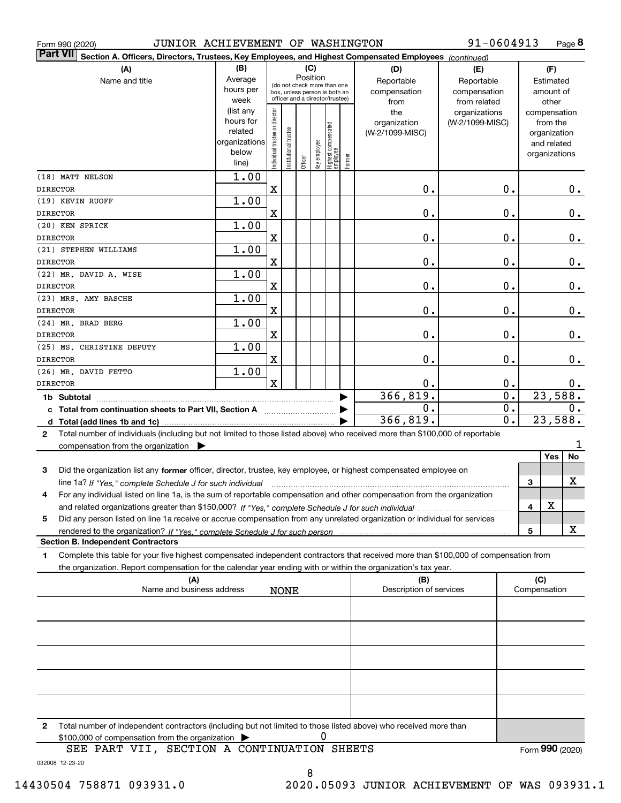| JUNIOR ACHIEVEMENT OF WASHINGTON<br>Form 990 (2020)                                                                                                                                                            |                                                                      |                                                                                                                    |                       |         |              |                                   |        |                                                                                                                                                                                                                                                                                                                                                                                                                                                                                            | 91-0604913                                        |                        |                     |                                                                          | Page 8   |
|----------------------------------------------------------------------------------------------------------------------------------------------------------------------------------------------------------------|----------------------------------------------------------------------|--------------------------------------------------------------------------------------------------------------------|-----------------------|---------|--------------|-----------------------------------|--------|--------------------------------------------------------------------------------------------------------------------------------------------------------------------------------------------------------------------------------------------------------------------------------------------------------------------------------------------------------------------------------------------------------------------------------------------------------------------------------------------|---------------------------------------------------|------------------------|---------------------|--------------------------------------------------------------------------|----------|
| <b>Part VII</b><br>Section A. Officers, Directors, Trustees, Key Employees, and Highest Compensated Employees (continued)                                                                                      |                                                                      |                                                                                                                    |                       |         |              |                                   |        |                                                                                                                                                                                                                                                                                                                                                                                                                                                                                            |                                                   |                        |                     |                                                                          |          |
| (A)<br>Name and title                                                                                                                                                                                          | (B)<br>Average<br>hours per<br>week                                  | (C)<br>Position<br>(do not check more than one<br>box, unless person is both an<br>officer and a director/trustee) |                       |         |              |                                   |        | (D)<br>Reportable<br>compensation<br>from                                                                                                                                                                                                                                                                                                                                                                                                                                                  | (E)<br>Reportable<br>compensation<br>from related |                        |                     | (F)<br>Estimated<br>amount of<br>other                                   |          |
|                                                                                                                                                                                                                | (list any<br>hours for<br>related<br>organizations<br>below<br>line) | Individual trustee or director                                                                                     | Institutional trustee | Officer | Key employee | Highest compensated<br>  employee | Former | the<br>organization<br>(W-2/1099-MISC)                                                                                                                                                                                                                                                                                                                                                                                                                                                     | organizations<br>(W-2/1099-MISC)                  |                        |                     | compensation<br>from the<br>organization<br>and related<br>organizations |          |
| (18) MATT NELSON<br><b>DIRECTOR</b>                                                                                                                                                                            | 1.00                                                                 | $\mathbf x$                                                                                                        |                       |         |              |                                   |        | Ο.                                                                                                                                                                                                                                                                                                                                                                                                                                                                                         |                                                   | 0.                     |                     |                                                                          | 0.       |
| (19) KEVIN RUOFF<br><b>DIRECTOR</b>                                                                                                                                                                            | 1.00                                                                 | $\mathbf x$                                                                                                        |                       |         |              |                                   |        | Ο.                                                                                                                                                                                                                                                                                                                                                                                                                                                                                         |                                                   | 0.                     |                     |                                                                          | 0.       |
| (20) KEN SPRICK<br><b>DIRECTOR</b>                                                                                                                                                                             | 1.00                                                                 | $\mathbf x$                                                                                                        |                       |         |              |                                   |        | Ο.                                                                                                                                                                                                                                                                                                                                                                                                                                                                                         |                                                   | 0.                     |                     |                                                                          | 0.       |
| (21) STEPHEN WILLIAMS                                                                                                                                                                                          | 1.00                                                                 |                                                                                                                    |                       |         |              |                                   |        |                                                                                                                                                                                                                                                                                                                                                                                                                                                                                            |                                                   |                        |                     |                                                                          |          |
| <b>DIRECTOR</b><br>(22) MR. DAVID A. WISE<br><b>DIRECTOR</b>                                                                                                                                                   | 1.00                                                                 | $\mathbf x$<br>$\mathbf x$                                                                                         |                       |         |              |                                   |        | Ο.<br>Ο.                                                                                                                                                                                                                                                                                                                                                                                                                                                                                   |                                                   | 0.<br>0.               |                     |                                                                          | 0.<br>0. |
| (23) MRS. AMY BASCHE<br><b>DIRECTOR</b>                                                                                                                                                                        | 1.00                                                                 | $\mathbf x$                                                                                                        |                       |         |              |                                   |        | Ο.                                                                                                                                                                                                                                                                                                                                                                                                                                                                                         |                                                   | 0.                     |                     |                                                                          | 0.       |
| (24) MR. BRAD BERG<br><b>DIRECTOR</b>                                                                                                                                                                          | 1.00                                                                 | $\mathbf x$                                                                                                        |                       |         |              |                                   |        | Ο.                                                                                                                                                                                                                                                                                                                                                                                                                                                                                         |                                                   | 0.                     |                     |                                                                          | 0.       |
| (25) MS. CHRISTINE DEPUTY<br><b>DIRECTOR</b>                                                                                                                                                                   | 1.00                                                                 | $\mathbf x$                                                                                                        |                       |         |              |                                   |        | Ο.                                                                                                                                                                                                                                                                                                                                                                                                                                                                                         |                                                   | 0.                     |                     |                                                                          | $0$ .    |
| (26) MR. DAVID FETTO<br><b>DIRECTOR</b>                                                                                                                                                                        | 1.00                                                                 | $\mathbf x$                                                                                                        |                       |         |              |                                   |        | 0.                                                                                                                                                                                                                                                                                                                                                                                                                                                                                         |                                                   | $0$ .                  |                     |                                                                          | 0.       |
| c Total from continuation sheets to Part VII, Section A                                                                                                                                                        |                                                                      |                                                                                                                    |                       |         |              |                                   |        | 366, 819.<br>Ο.                                                                                                                                                                                                                                                                                                                                                                                                                                                                            |                                                   | $\overline{0}$ .<br>0. |                     | 23,588.                                                                  | 0.       |
| 2 Total number of individuals (including but not limited to those listed above) who received more than \$100,000 of reportable                                                                                 |                                                                      |                                                                                                                    |                       |         |              |                                   |        | 366,819.                                                                                                                                                                                                                                                                                                                                                                                                                                                                                   |                                                   | 0.                     |                     | 23,588.                                                                  |          |
| compensation from the organization $\blacktriangleright$                                                                                                                                                       |                                                                      |                                                                                                                    |                       |         |              |                                   |        |                                                                                                                                                                                                                                                                                                                                                                                                                                                                                            |                                                   |                        |                     | Yes                                                                      | ı<br>No  |
| 3<br>Did the organization list any former officer, director, trustee, key employee, or highest compensated employee on<br>line 1a? If "Yes," complete Schedule J for such individual                           |                                                                      |                                                                                                                    |                       |         |              |                                   |        | $\begin{minipage}{.4\linewidth} \begin{tabular}{l} \hline \multicolumn{3}{l}{} & \multicolumn{3}{l}{} & \multicolumn{3}{l}{} & \multicolumn{3}{l}{} \\ \multicolumn{3}{l}{} & \multicolumn{3}{l}{} & \multicolumn{3}{l}{} & \multicolumn{3}{l}{} \\ \multicolumn{3}{l}{} & \multicolumn{3}{l}{} & \multicolumn{3}{l}{} & \multicolumn{3}{l}{} \\ \multicolumn{3}{l}{} & \multicolumn{3}{l}{} & \multicolumn{3}{l}{} & \multicolumn{3}{l}{} \\ \multicolumn{3}{l}{} & \multicolumn{3}{l}{}$ |                                                   |                        | 3                   |                                                                          | x        |
| For any individual listed on line 1a, is the sum of reportable compensation and other compensation from the organization<br>4                                                                                  |                                                                      |                                                                                                                    |                       |         |              |                                   |        |                                                                                                                                                                                                                                                                                                                                                                                                                                                                                            |                                                   |                        | 4                   | X                                                                        |          |
| Did any person listed on line 1a receive or accrue compensation from any unrelated organization or individual for services<br>5<br>rendered to the organization? If "Yes." complete Schedule J for such person |                                                                      |                                                                                                                    |                       |         |              |                                   |        |                                                                                                                                                                                                                                                                                                                                                                                                                                                                                            |                                                   |                        | 5                   |                                                                          | X        |
| <b>Section B. Independent Contractors</b><br>Complete this table for your five highest compensated independent contractors that received more than \$100,000 of compensation from<br>1                         |                                                                      |                                                                                                                    |                       |         |              |                                   |        |                                                                                                                                                                                                                                                                                                                                                                                                                                                                                            |                                                   |                        |                     |                                                                          |          |
| the organization. Report compensation for the calendar year ending with or within the organization's tax year.                                                                                                 |                                                                      |                                                                                                                    |                       |         |              |                                   |        |                                                                                                                                                                                                                                                                                                                                                                                                                                                                                            |                                                   |                        |                     |                                                                          |          |
| (A)<br>Name and business address                                                                                                                                                                               |                                                                      |                                                                                                                    | <b>NONE</b>           |         |              |                                   |        | (B)<br>Description of services                                                                                                                                                                                                                                                                                                                                                                                                                                                             |                                                   |                        | (C)<br>Compensation |                                                                          |          |
|                                                                                                                                                                                                                |                                                                      |                                                                                                                    |                       |         |              |                                   |        |                                                                                                                                                                                                                                                                                                                                                                                                                                                                                            |                                                   |                        |                     |                                                                          |          |
|                                                                                                                                                                                                                |                                                                      |                                                                                                                    |                       |         |              |                                   |        |                                                                                                                                                                                                                                                                                                                                                                                                                                                                                            |                                                   |                        |                     |                                                                          |          |
|                                                                                                                                                                                                                |                                                                      |                                                                                                                    |                       |         |              |                                   |        |                                                                                                                                                                                                                                                                                                                                                                                                                                                                                            |                                                   |                        |                     |                                                                          |          |
|                                                                                                                                                                                                                |                                                                      |                                                                                                                    |                       |         |              |                                   |        |                                                                                                                                                                                                                                                                                                                                                                                                                                                                                            |                                                   |                        |                     |                                                                          |          |
|                                                                                                                                                                                                                |                                                                      |                                                                                                                    |                       |         |              |                                   |        |                                                                                                                                                                                                                                                                                                                                                                                                                                                                                            |                                                   |                        |                     |                                                                          |          |

**2**Total number of independent contractors (including but not limited to those listed above) who received more than \$100,000 of compensation from the organization 0

Form (2020) **990**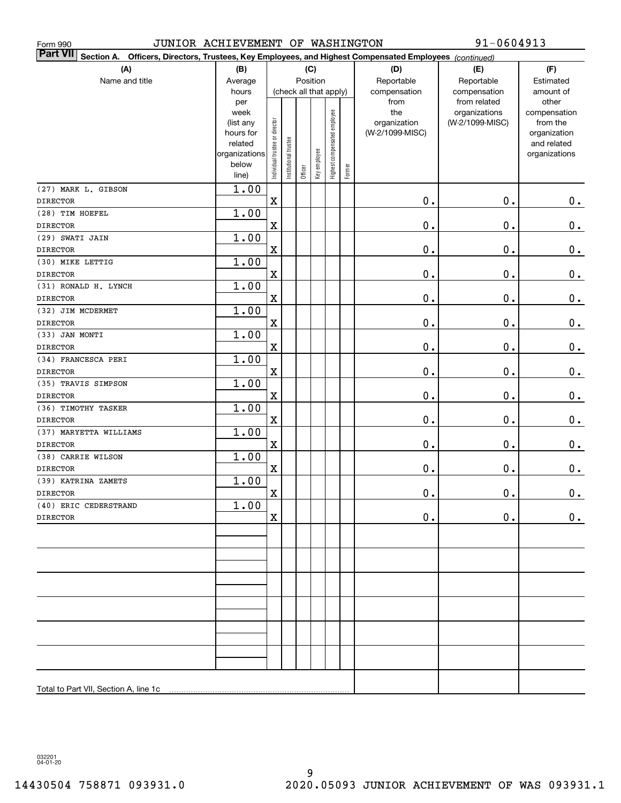| JUNIOR ACHIEVEMENT OF WASHINGTON<br>Form 990                                                                                 |                        |                                |                       |         |                        |                              |        |                 | 91-0604913                    |                       |
|------------------------------------------------------------------------------------------------------------------------------|------------------------|--------------------------------|-----------------------|---------|------------------------|------------------------------|--------|-----------------|-------------------------------|-----------------------|
| <b>Part VII</b><br>Section A.<br>Officers, Directors, Trustees, Key Employees, and Highest Compensated Employees (continued) |                        |                                |                       |         |                        |                              |        |                 |                               |                       |
| (A)                                                                                                                          | (B)                    |                                |                       |         | (C)                    |                              |        | (D)             | (E)                           | (F)                   |
| Name and title                                                                                                               | Average                |                                |                       |         | Position               |                              |        | Reportable      | Reportable                    | Estimated             |
|                                                                                                                              | hours                  |                                |                       |         | (check all that apply) |                              |        | compensation    | compensation                  | amount of             |
|                                                                                                                              | per<br>week            |                                |                       |         |                        |                              |        | from<br>the     | from related<br>organizations | other<br>compensation |
|                                                                                                                              | (list any              |                                |                       |         |                        |                              |        | organization    | (W-2/1099-MISC)               | from the              |
|                                                                                                                              | hours for              |                                |                       |         |                        |                              |        | (W-2/1099-MISC) |                               | organization          |
|                                                                                                                              | related                |                                |                       |         |                        |                              |        |                 |                               | and related           |
|                                                                                                                              | organizations<br>below |                                |                       |         |                        |                              |        |                 |                               | organizations         |
|                                                                                                                              | line)                  | Individual trustee or director | Institutional trustee | Officer | Key employee           | Highest compensated employee | Former |                 |                               |                       |
| (27) MARK L. GIBSON                                                                                                          | 1.00                   |                                |                       |         |                        |                              |        |                 |                               |                       |
| <b>DIRECTOR</b>                                                                                                              |                        | $\mathbf X$                    |                       |         |                        |                              |        | 0.              | 0.                            | 0.                    |
| (28) TIM HOEFEL                                                                                                              | 1.00                   |                                |                       |         |                        |                              |        |                 |                               |                       |
| <b>DIRECTOR</b>                                                                                                              |                        | $\mathbf X$                    |                       |         |                        |                              |        | 0.              | 0.                            | 0.                    |
| (29) SWATI JAIN                                                                                                              | 1.00                   |                                |                       |         |                        |                              |        |                 |                               |                       |
| <b>DIRECTOR</b>                                                                                                              |                        | $\mathbf X$                    |                       |         |                        |                              |        | 0.              | 0.                            | 0.                    |
| (30) MIKE LETTIG                                                                                                             | 1.00                   |                                |                       |         |                        |                              |        |                 |                               |                       |
| <b>DIRECTOR</b>                                                                                                              |                        | $\mathbf X$                    |                       |         |                        |                              |        | 0.              | 0.                            | $0_{.}$               |
| (31) RONALD H. LYNCH                                                                                                         | 1.00                   |                                |                       |         |                        |                              |        |                 |                               |                       |
| <b>DIRECTOR</b>                                                                                                              |                        | $\mathbf X$                    |                       |         |                        |                              |        | 0.              | 0.                            | 0.                    |
| (32) JIM MCDERMET                                                                                                            | 1.00                   |                                |                       |         |                        |                              |        |                 |                               |                       |
| <b>DIRECTOR</b>                                                                                                              |                        | $\overline{\textbf{X}}$        |                       |         |                        |                              |        | 0.              | 0.                            | 0.                    |
| (33) JAN MONTI                                                                                                               | 1.00                   |                                |                       |         |                        |                              |        |                 |                               |                       |
| <b>DIRECTOR</b>                                                                                                              |                        | $\overline{\textbf{X}}$        |                       |         |                        |                              |        | 0.              | 0.                            | 0.                    |
| (34) FRANCESCA PERI                                                                                                          | 1.00                   |                                |                       |         |                        |                              |        |                 |                               |                       |
| <b>DIRECTOR</b>                                                                                                              |                        | $\overline{\textbf{X}}$        |                       |         |                        |                              |        | 0.              | 0.                            | 0.                    |
| (35) TRAVIS SIMPSON                                                                                                          | 1.00                   |                                |                       |         |                        |                              |        |                 |                               |                       |
| <b>DIRECTOR</b><br>(36) TIMOTHY TASKER                                                                                       | 1.00                   | $\mathbf X$                    |                       |         |                        |                              |        | 0.              | 0.                            | 0.                    |
| <b>DIRECTOR</b>                                                                                                              |                        | $\mathbf X$                    |                       |         |                        |                              |        | 0.              | 0.                            | 0.                    |
| (37) MARYETTA WILLIAMS                                                                                                       | 1.00                   |                                |                       |         |                        |                              |        |                 |                               |                       |
| <b>DIRECTOR</b>                                                                                                              |                        | $\mathbf X$                    |                       |         |                        |                              |        | 0.              | 0.                            | 0.                    |
| (38) CARRIE WILSON                                                                                                           | 1.00                   |                                |                       |         |                        |                              |        |                 |                               |                       |
| <b>DIRECTOR</b>                                                                                                              |                        | $\overline{\textbf{X}}$        |                       |         |                        |                              |        | 0.              | 0.                            | 0.                    |
| (39) KATRINA ZAMETS                                                                                                          | 1.00                   |                                |                       |         |                        |                              |        |                 |                               |                       |
| <b>DIRECTOR</b>                                                                                                              |                        | $\mathbf X$                    |                       |         |                        |                              |        | $\pmb{0}$ .     | $\pmb{0}$ .                   | $\pmb{0}$ .           |
| (40) ERIC CEDERSTRAND                                                                                                        | 1.00                   |                                |                       |         |                        |                              |        |                 |                               |                       |
| <b>DIRECTOR</b>                                                                                                              |                        | $\mathbf X$                    |                       |         |                        |                              |        | $\mathbf 0$ .   | $\mathbf 0$ .                 | 0.                    |
|                                                                                                                              |                        |                                |                       |         |                        |                              |        |                 |                               |                       |
|                                                                                                                              |                        |                                |                       |         |                        |                              |        |                 |                               |                       |
|                                                                                                                              |                        |                                |                       |         |                        |                              |        |                 |                               |                       |
|                                                                                                                              |                        |                                |                       |         |                        |                              |        |                 |                               |                       |
|                                                                                                                              |                        |                                |                       |         |                        |                              |        |                 |                               |                       |
|                                                                                                                              |                        |                                |                       |         |                        |                              |        |                 |                               |                       |
|                                                                                                                              |                        |                                |                       |         |                        |                              |        |                 |                               |                       |
|                                                                                                                              |                        |                                |                       |         |                        |                              |        |                 |                               |                       |
|                                                                                                                              |                        |                                |                       |         |                        |                              |        |                 |                               |                       |
|                                                                                                                              |                        |                                |                       |         |                        |                              |        |                 |                               |                       |
|                                                                                                                              |                        |                                |                       |         |                        |                              |        |                 |                               |                       |
|                                                                                                                              |                        |                                |                       |         |                        |                              |        |                 |                               |                       |
| Total to Part VII, Section A, line 1c                                                                                        |                        |                                |                       |         |                        |                              |        |                 |                               |                       |
|                                                                                                                              |                        |                                |                       |         |                        |                              |        |                 |                               |                       |

032201 04-01-20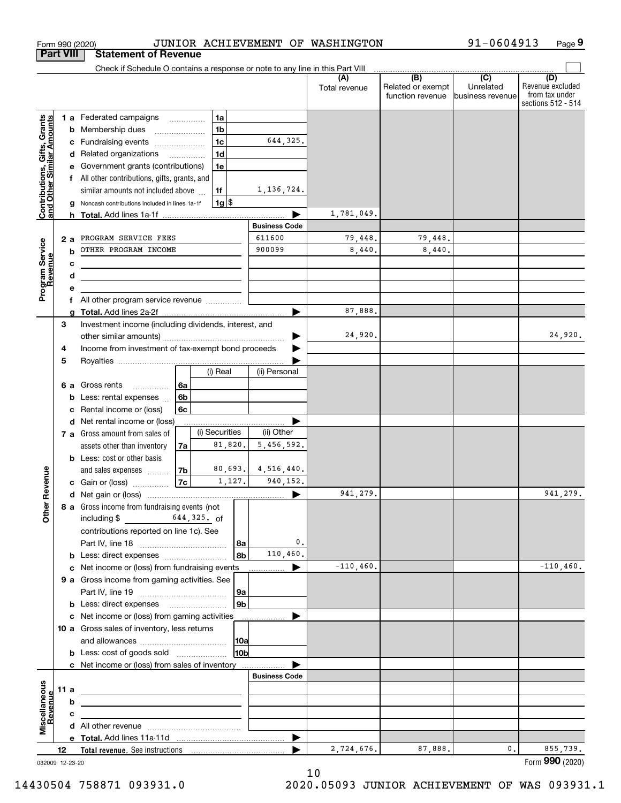|                                                           | <b>Part VIII</b> |        | <b>Statement of Revenue</b>                                                                                          |                          |                |            |                      |                      |                                              |                                                 |                                                                 |
|-----------------------------------------------------------|------------------|--------|----------------------------------------------------------------------------------------------------------------------|--------------------------|----------------|------------|----------------------|----------------------|----------------------------------------------|-------------------------------------------------|-----------------------------------------------------------------|
|                                                           |                  |        | Check if Schedule O contains a response or note to any line in this Part VIII                                        |                          |                |            |                      |                      |                                              |                                                 |                                                                 |
|                                                           |                  |        |                                                                                                                      |                          |                |            |                      | (A)<br>Total revenue | (B)<br>Related or exempt<br>function revenue | $\overline{C}$<br>Unrelated<br>business revenue | (D)<br>Revenue excluded<br>from tax under<br>sections 512 - 514 |
|                                                           |                  |        | 1 a Federated campaigns                                                                                              |                          | 1a             |            |                      |                      |                                              |                                                 |                                                                 |
|                                                           |                  |        | <b>b</b> Membership dues                                                                                             |                          | 1 <sub>b</sub> |            |                      |                      |                                              |                                                 |                                                                 |
|                                                           |                  | c      | Fundraising events                                                                                                   |                          | 1 <sub>c</sub> |            | 644,325.             |                      |                                              |                                                 |                                                                 |
| Contributions, Gifts, Grants<br>and Other Similar Amounts |                  |        | d Related organizations                                                                                              | $\overline{\phantom{a}}$ | 1 <sub>d</sub> |            |                      |                      |                                              |                                                 |                                                                 |
|                                                           |                  | е      | Government grants (contributions)                                                                                    |                          | 1e             |            |                      |                      |                                              |                                                 |                                                                 |
|                                                           |                  | f      | All other contributions, gifts, grants, and                                                                          |                          |                |            |                      |                      |                                              |                                                 |                                                                 |
|                                                           |                  |        | similar amounts not included above                                                                                   |                          | 1f             |            | 1,136,724.           |                      |                                              |                                                 |                                                                 |
|                                                           |                  |        | Noncash contributions included in lines 1a-1f                                                                        |                          | $1g$ \$        |            |                      |                      |                                              |                                                 |                                                                 |
|                                                           |                  | h      |                                                                                                                      |                          |                |            |                      | 1,781,049.           |                                              |                                                 |                                                                 |
|                                                           |                  |        |                                                                                                                      |                          |                |            | <b>Business Code</b> |                      |                                              |                                                 |                                                                 |
|                                                           | 2 a              |        | PROGRAM SERVICE FEES                                                                                                 |                          |                |            | 611600               | 79,448.              | 79,448.                                      |                                                 |                                                                 |
|                                                           |                  | b      | OTHER PROGRAM INCOME                                                                                                 |                          |                |            | 900099               | 8,440.               | 8,440.                                       |                                                 |                                                                 |
|                                                           |                  | с      |                                                                                                                      |                          |                |            |                      |                      |                                              |                                                 |                                                                 |
| Program Service<br>Revenue                                |                  | d<br>e | <u> 1989 - Johann Stein, marwolaethau a bhann an t-Amhair an t-Amhair an t-Amhair an t-Amhair an t-Amhair an t-A</u> |                          |                |            |                      |                      |                                              |                                                 |                                                                 |
|                                                           |                  | f      | All other program service revenue                                                                                    |                          |                |            |                      |                      |                                              |                                                 |                                                                 |
|                                                           |                  | a      |                                                                                                                      |                          |                |            | ▶                    | 87,888.              |                                              |                                                 |                                                                 |
|                                                           | 3                |        | Investment income (including dividends, interest, and                                                                |                          |                |            |                      |                      |                                              |                                                 |                                                                 |
|                                                           |                  |        |                                                                                                                      |                          |                |            |                      | 24,920.              |                                              |                                                 | 24,920.                                                         |
|                                                           | 4                |        | Income from investment of tax-exempt bond proceeds                                                                   |                          |                |            |                      |                      |                                              |                                                 |                                                                 |
|                                                           | 5                |        |                                                                                                                      |                          |                |            |                      |                      |                                              |                                                 |                                                                 |
|                                                           |                  |        |                                                                                                                      |                          | (i) Real       |            | (ii) Personal        |                      |                                              |                                                 |                                                                 |
|                                                           | 6а               |        | Gross rents<br>.                                                                                                     | 6a                       |                |            |                      |                      |                                              |                                                 |                                                                 |
|                                                           |                  | b      | Less: rental expenses                                                                                                | 6 <sub>b</sub>           |                |            |                      |                      |                                              |                                                 |                                                                 |
|                                                           |                  | c      | Rental income or (loss)                                                                                              | 6c                       |                |            |                      |                      |                                              |                                                 |                                                                 |
|                                                           |                  |        | d Net rental income or (loss)                                                                                        |                          | (i) Securities |            | (ii) Other           |                      |                                              |                                                 |                                                                 |
|                                                           |                  |        | 7 a Gross amount from sales of                                                                                       |                          | 81,820.        |            | 5,456,592.           |                      |                                              |                                                 |                                                                 |
|                                                           |                  |        | assets other than inventory<br><b>b</b> Less: cost or other basis                                                    | 7a                       |                |            |                      |                      |                                              |                                                 |                                                                 |
|                                                           |                  |        | and sales expenses                                                                                                   | 7b                       | 80,693.        |            | 4,516,440.           |                      |                                              |                                                 |                                                                 |
| Revenue                                                   |                  |        | c Gain or (loss)                                                                                                     | 7c                       |                | 1,127.     | 940,152.             |                      |                                              |                                                 |                                                                 |
|                                                           |                  |        |                                                                                                                      |                          |                |            |                      | 941,279.             |                                              |                                                 | 941,279.                                                        |
|                                                           |                  |        | 8 a Gross income from fundraising events (not                                                                        |                          |                |            |                      |                      |                                              |                                                 |                                                                 |
| Othe                                                      |                  |        | $644,325$ . of<br>including \$                                                                                       |                          |                |            |                      |                      |                                              |                                                 |                                                                 |
|                                                           |                  |        | contributions reported on line 1c). See                                                                              |                          |                |            |                      |                      |                                              |                                                 |                                                                 |
|                                                           |                  |        |                                                                                                                      |                          |                | 8a         | $\mathbf{0}$ .       |                      |                                              |                                                 |                                                                 |
|                                                           |                  |        | <b>b</b> Less: direct expenses                                                                                       |                          |                | 8b         | 110,460.             |                      |                                              |                                                 |                                                                 |
|                                                           |                  |        | c Net income or (loss) from fundraising events                                                                       |                          |                |            | ▶<br>.               | $-110, 460.$         |                                              |                                                 | $-110,460.$                                                     |
|                                                           |                  |        | 9 a Gross income from gaming activities. See                                                                         |                          |                |            |                      |                      |                                              |                                                 |                                                                 |
|                                                           |                  |        |                                                                                                                      |                          |                | 9a         |                      |                      |                                              |                                                 |                                                                 |
|                                                           |                  |        | <b>b</b> Less: direct expenses <b>manually</b>                                                                       |                          |                | 9b         |                      |                      |                                              |                                                 |                                                                 |
|                                                           |                  |        | c Net income or (loss) from gaming activities                                                                        |                          |                |            |                      |                      |                                              |                                                 |                                                                 |
|                                                           |                  |        | 10 a Gross sales of inventory, less returns                                                                          |                          |                |            |                      |                      |                                              |                                                 |                                                                 |
|                                                           |                  |        | <b>b</b> Less: cost of goods sold                                                                                    |                          |                | 10a<br>10b |                      |                      |                                              |                                                 |                                                                 |
|                                                           |                  |        | c Net income or (loss) from sales of inventory                                                                       |                          |                |            |                      |                      |                                              |                                                 |                                                                 |
|                                                           |                  |        |                                                                                                                      |                          |                |            | <b>Business Code</b> |                      |                                              |                                                 |                                                                 |
|                                                           | 11 a             |        | <u> 1989 - Johann Stein, mars an de Brazilian (b. 1989)</u>                                                          |                          |                |            |                      |                      |                                              |                                                 |                                                                 |
|                                                           |                  | b      |                                                                                                                      |                          |                |            |                      |                      |                                              |                                                 |                                                                 |
| Revenue                                                   |                  | с      |                                                                                                                      |                          |                |            |                      |                      |                                              |                                                 |                                                                 |
| Miscellaneous                                             |                  |        |                                                                                                                      |                          |                |            |                      |                      |                                              |                                                 |                                                                 |
|                                                           |                  |        |                                                                                                                      |                          |                |            | ▶                    |                      |                                              |                                                 |                                                                 |
|                                                           | 12               |        |                                                                                                                      |                          |                |            |                      | 2,724,676.           | 87,888.                                      | 0.                                              | 855,739.                                                        |
| 032009 12-23-20                                           |                  |        |                                                                                                                      |                          |                |            |                      |                      |                                              |                                                 | Form 990 (2020)                                                 |

10

Form 990 (2020) JUNIOR ACHIEVEMENT OF WASHINGTON 91-0604913 Page

**9**

91-0604913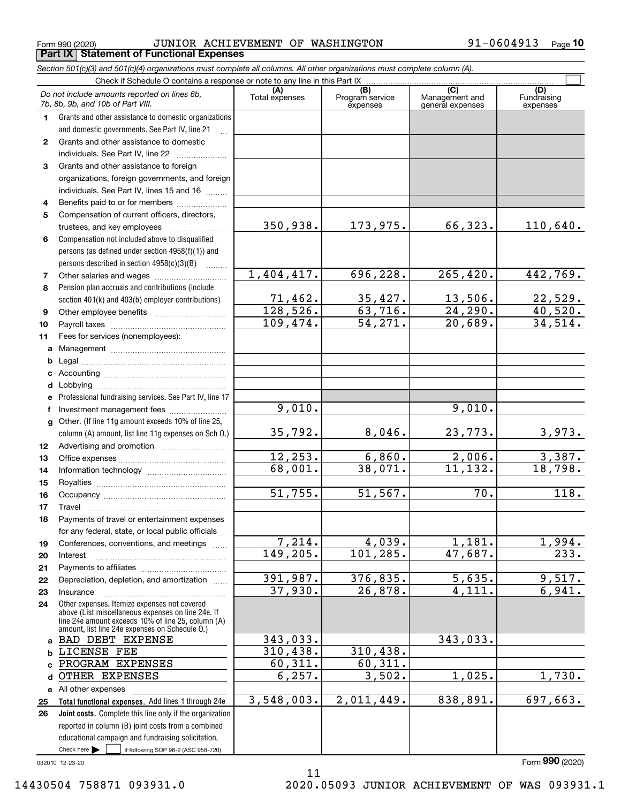Form 990 (2020) JUNIOR ACHIEVEMENT OF WASHINGTON 91-0604913 <sub>Page</sub> **Part IX Statement of Functional Expenses**

|                  | Section 501(c)(3) and 501(c)(4) organizations must complete all columns. All other organizations must complete column (A).                                                                                 |                       |                                    |                                           |                                |
|------------------|------------------------------------------------------------------------------------------------------------------------------------------------------------------------------------------------------------|-----------------------|------------------------------------|-------------------------------------------|--------------------------------|
|                  | Check if Schedule O contains a response or note to any line in this Part IX                                                                                                                                |                       |                                    |                                           |                                |
|                  | Do not include amounts reported on lines 6b,<br>7b, 8b, 9b, and 10b of Part VIII.                                                                                                                          | (A)<br>Total expenses | (B)<br>Program service<br>expenses | (C)<br>Management and<br>general expenses | (D)<br>Fundraising<br>expenses |
| 1.               | Grants and other assistance to domestic organizations                                                                                                                                                      |                       |                                    |                                           |                                |
|                  | and domestic governments. See Part IV, line 21                                                                                                                                                             |                       |                                    |                                           |                                |
| $\mathbf{2}$     | Grants and other assistance to domestic                                                                                                                                                                    |                       |                                    |                                           |                                |
|                  | individuals. See Part IV, line 22<br><u> 1986 - Johann Stoff, Amerikaansk politiker (</u>                                                                                                                  |                       |                                    |                                           |                                |
| 3                | Grants and other assistance to foreign                                                                                                                                                                     |                       |                                    |                                           |                                |
|                  | organizations, foreign governments, and foreign                                                                                                                                                            |                       |                                    |                                           |                                |
|                  | individuals. See Part IV, lines 15 and 16                                                                                                                                                                  |                       |                                    |                                           |                                |
| 4                | Benefits paid to or for members                                                                                                                                                                            |                       |                                    |                                           |                                |
| 5                | Compensation of current officers, directors,                                                                                                                                                               |                       |                                    |                                           |                                |
|                  |                                                                                                                                                                                                            | 350,938.              | 173,975.                           | 66,323.                                   | 110,640.                       |
| 6                | Compensation not included above to disqualified                                                                                                                                                            |                       |                                    |                                           |                                |
|                  | persons (as defined under section 4958(f)(1)) and                                                                                                                                                          |                       |                                    |                                           |                                |
|                  | persons described in section 4958(c)(3)(B)<br><b>Contractor</b>                                                                                                                                            |                       |                                    |                                           |                                |
| 7                |                                                                                                                                                                                                            | 1,404,417.            | 696, 228.                          | 265, 420.                                 | 442,769.                       |
| 8                | Pension plan accruals and contributions (include                                                                                                                                                           |                       |                                    |                                           |                                |
|                  | section 401(k) and 403(b) employer contributions)                                                                                                                                                          | 71,462.               | 35,427.                            | 13,506.                                   | <u>22,529.</u>                 |
| 9                |                                                                                                                                                                                                            | 128,526.              | 63,716.                            | 24, 290.                                  | $\overline{40,520}$ .          |
| 10               |                                                                                                                                                                                                            | 109,474.              | 54, 271.                           | 20,689.                                   | 34,514.                        |
| 11               | Fees for services (nonemployees):                                                                                                                                                                          |                       |                                    |                                           |                                |
| a                |                                                                                                                                                                                                            |                       |                                    |                                           |                                |
| b                |                                                                                                                                                                                                            |                       |                                    |                                           |                                |
| c                |                                                                                                                                                                                                            |                       |                                    |                                           |                                |
| d                |                                                                                                                                                                                                            |                       |                                    |                                           |                                |
| е                | Professional fundraising services. See Part IV, line 17                                                                                                                                                    |                       |                                    |                                           |                                |
| f                | Investment management fees                                                                                                                                                                                 | 9,010.                |                                    | 9,010.                                    |                                |
| g                | Other. (If line 11g amount exceeds 10% of line 25,                                                                                                                                                         |                       |                                    |                                           |                                |
|                  | column (A) amount, list line 11g expenses on Sch O.)                                                                                                                                                       | 35,792.               | 8,046.                             | 23,773.                                   | 3,973.                         |
| 12 <sup>12</sup> |                                                                                                                                                                                                            |                       |                                    |                                           |                                |
| 13               |                                                                                                                                                                                                            | 12, 253.              | 6,860.                             | 2,006.                                    | 3,387.                         |
| 14               |                                                                                                                                                                                                            | 68,001.               | 38,071.                            | 11, 132.                                  | 18,798.                        |
| 15               |                                                                                                                                                                                                            |                       |                                    |                                           |                                |
| 16               |                                                                                                                                                                                                            | 51,755.               | 51, 567.                           | 70.                                       | 118.                           |
| 17               |                                                                                                                                                                                                            |                       |                                    |                                           |                                |
| 18               | Payments of travel or entertainment expenses                                                                                                                                                               |                       |                                    |                                           |                                |
|                  | for any federal, state, or local public officials                                                                                                                                                          |                       |                                    |                                           |                                |
| 19               | Conferences, conventions, and meetings                                                                                                                                                                     | 7,214.                | 4,039.                             | 1,181.                                    | 1,994.                         |
| 20               | Interest                                                                                                                                                                                                   | 149,205.              | 101, 285.                          | 47,687.                                   | 233.                           |
| 21               |                                                                                                                                                                                                            |                       |                                    |                                           |                                |
| 22               | Depreciation, depletion, and amortization                                                                                                                                                                  | 391,987.              | 376,835.                           | 5,635.                                    | 9,517.                         |
| 23               | Insurance                                                                                                                                                                                                  | 37,930.               | 26,878.                            | 4,111.                                    | 6,941.                         |
| 24               | Other expenses. Itemize expenses not covered<br>above (List miscellaneous expenses on line 24e. If<br>line 24e amount exceeds 10% of line 25, column (A)<br>amount, list line 24e expenses on Schedule O.) |                       |                                    |                                           |                                |
|                  | a BAD DEBT EXPENSE                                                                                                                                                                                         | 343,033.              |                                    | 343,033.                                  |                                |
| b                | LICENSE FEE                                                                                                                                                                                                | 310, 438.             | 310,438.                           |                                           |                                |
|                  | PROGRAM EXPENSES                                                                                                                                                                                           | 60, 311.              | 60, 311.                           |                                           |                                |
| d                | OTHER EXPENSES                                                                                                                                                                                             | 6, 257.               | 3,502.                             | 1,025.                                    | 1,730.                         |
|                  | e All other expenses                                                                                                                                                                                       |                       |                                    |                                           |                                |
| 25               | Total functional expenses. Add lines 1 through 24e                                                                                                                                                         | 3,548,003.            | 2,011,449.                         | 838,891.                                  | 697,663.                       |
| 26               | <b>Joint costs.</b> Complete this line only if the organization                                                                                                                                            |                       |                                    |                                           |                                |
|                  | reported in column (B) joint costs from a combined                                                                                                                                                         |                       |                                    |                                           |                                |
|                  | educational campaign and fundraising solicitation.                                                                                                                                                         |                       |                                    |                                           |                                |
|                  | Check here $\blacktriangleright$<br>if following SOP 98-2 (ASC 958-720)                                                                                                                                    |                       |                                    |                                           |                                |

11

032010 12-23-20

Form (2020) **990**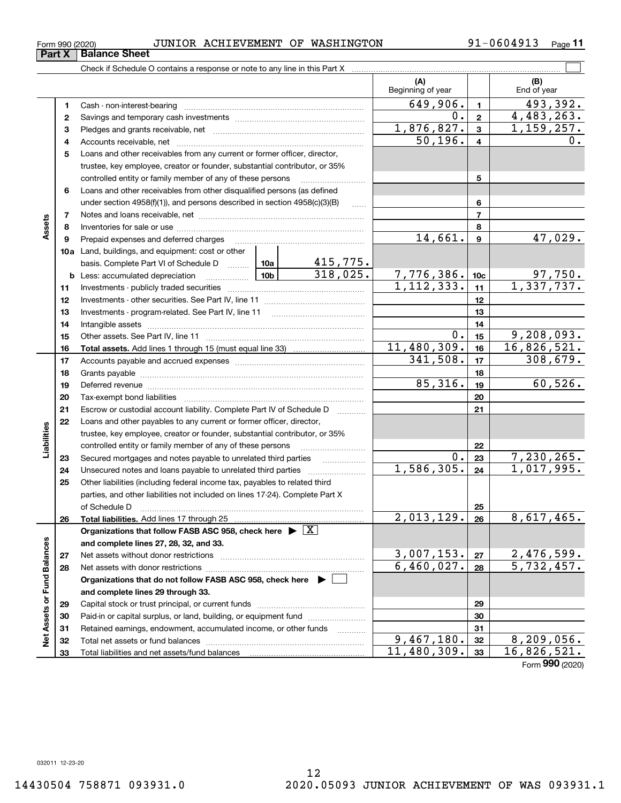**Net Assets or Fund Balances**

ğ

Assets or Fund Balances

**78910a**Land, buildings, and equipment: cost or other **111213141516171819202122232425262728678910c11121314151617181920212223242526b** Less: accumulated depreciation  $\ldots$  **10b** basis. Complete Part VI of Schedule D www.ptimes. **Total assets.**  Add lines 1 through 15 (must equal line 33) **Total liabilities.**  Add lines 17 through 25 **Organizations that follow FASB ASC 958, check here** | X **and complete lines 27, 28, 32, and 33. 2728Organizations that do not follow FASB ASC 958, check here** | **and complete lines 29 through 33.** under section  $4958(f)(1)$ , and persons described in section  $4958(c)(3)(B)$ Notes and loans receivable, net ~~~~~~~~~~~~~~~~~~~~~~~Inventories for sale or use ~~~~~~~~~~~~~~~~~~~~~~~~~~Prepaid expenses and deferred charges ~~~~~~~~~~~~~~~~~~ Investments - publicly traded securities ~~~~~~~~~~~~~~~~~~~ Investments - other securities. See Part IV, line 11 ~~~~~~~~~~~~~~ Investments - program-related. See Part IV, line 11 ~~~~~~~~~~~~~Intangible assets ~~~~~~~~~~~~~~~~~~~~~~~~~~~~~~ Other assets. See Part IV, line 11 ~~~~~~~~~~~~~~~~~~~~~~ Accounts payable and accrued expenses ~~~~~~~~~~~~~~~~~~ Grants payable ~~~~~~~~~~~~~~~~~~~~~~~~~~~~~~~ Deferred revenue ~~~~~~~~~~~~~~~~~~~~~~~~~~~~~~ Tax-exempt bond liabilities …………………………………………………………… Escrow or custodial account liability. Complete Part IV of Schedule D Loans and other payables to any current or former officer, director, trustee, key employee, creator or founder, substantial contributor, or 35% controlled entity or family member of any of these persons ~~~~~~~~~Secured mortgages and notes payable to unrelated third parties Unsecured notes and loans payable to unrelated third parties  $\ldots$ Other liabilities (including federal income tax, payables to related third parties, and other liabilities not included on lines 17-24). Complete Part X of Schedule D ~~~~~~~~~~~~~~~~~~~~~~~~~~~~~~~ Net assets without donor restrictions Net assets with donor restrictions ~~~~~~~~~~~~~~~~~~~~~~ $14,661$ .  $9$   $47,029$ .  $1, 112, 333.$  1, 1, 337, 737. 415,775.  $318,025.$  7,776,386. 10c 97,750.  $0.15$  9,208,093.  $11,480,309.$  16, 16, 826, 521.  $341,508.$   $17$   $308,679.$  $85,316.$  19 60,526.  $\overline{0.}$ | 23 | 7,230,265.  $2,013,129. |26 | 8,617,465.$  $3,007,153. |z_7|$  2,476,599.  $6,460,027.$  28 5,732,457.  $1,586,305. |24 | 1,017,995.$ 

## Form 990 (2020) JUNIOR ACHIEVEMENT OF WASHINGTON 91-0604913 <sub>Page</sub>

Check if Schedule O contains a response or note to any line in this Part X

91-0604913 <sub>Page</sub> 11

 $0.2$  4,483,263.

 $\mathcal{L}^{\text{max}}$ 

**(A) (B)**

Beginning of year | | End of year

 $649,906$ .  $1 \quad 493,392$ .

 $50,196. | 4 | 0.$  $1,876,827.$   $3$  1,159,257.

**5**

 $11,480,309.$  33 16,826,521.

 $9,467,180.$   $32$  | 8,209,056.

Form (2020) **990**

**3** Pledges and grants receivable, net  $\ldots$  **multimes contained and grants receivable**, net **multimes contained and grants receivable**, net **multimes contained and grants receivable** 

Cash - non-interest-bearing ~~~~~~~~~~~~~~~~~~~~~~~~~ Savings and temporary cash investments ~~~~~~~~~~~~~~~~~~

Accounts receivable, net ~~~~~~~~~~~~~~~~~~~~~~~~~~ Loans and other receivables from any current or former officer, director, trustee, key employee, creator or founder, substantial contributor, or 35% controlled entity or family member of any of these persons ............................ Loans and other receivables from other disqualified persons (as defined

Capital stock or trust principal, or current funds ~~~~~~~~~~~~~~~ Paid-in or capital surplus, or land, building, or equipment fund www.commun.com Retained earnings, endowment, accumulated income, or other funds www.com Total net assets or fund balances ~~~~~~~~~~~~~~~~~~~~~~

Total liabilities and net assets/fund balances

**12**

**Part X** Balance Sheet

**45**

**6**

**Assets**

**Liabilities**

iabilities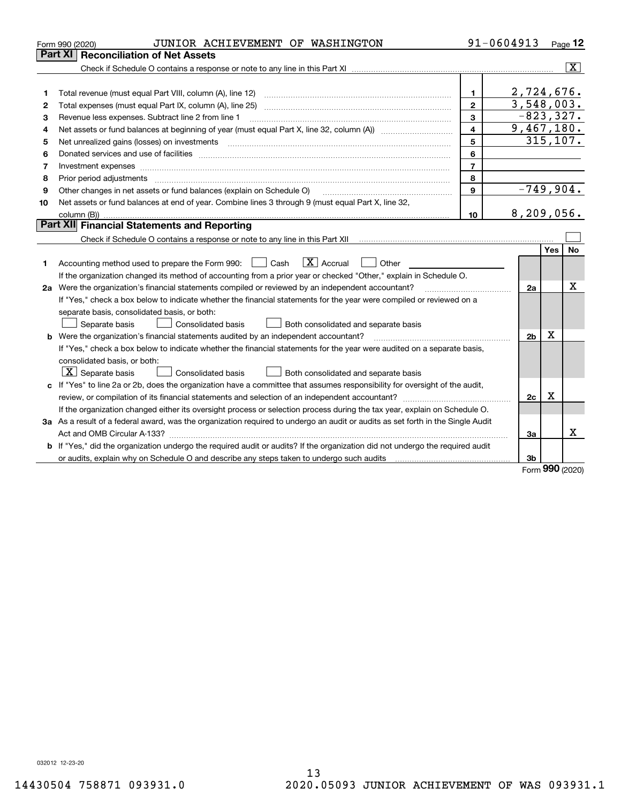|    | JUNIOR ACHIEVEMENT OF WASHINGTON<br>Form 990 (2020)                                                                                                                                                                            |                | 91-0604913     |     | Page $12$               |
|----|--------------------------------------------------------------------------------------------------------------------------------------------------------------------------------------------------------------------------------|----------------|----------------|-----|-------------------------|
|    | Part XI<br><b>Reconciliation of Net Assets</b>                                                                                                                                                                                 |                |                |     |                         |
|    |                                                                                                                                                                                                                                |                |                |     | $\overline{\mathbf{x}}$ |
|    |                                                                                                                                                                                                                                |                |                |     |                         |
| 1  |                                                                                                                                                                                                                                | 1.             | 2,724,676.     |     |                         |
| 2  |                                                                                                                                                                                                                                | $\mathbf{2}$   | 3,548,003.     |     |                         |
| з  | Revenue less expenses. Subtract line 2 from line 1                                                                                                                                                                             | 3              | $-823, 327.$   |     |                         |
| 4  |                                                                                                                                                                                                                                | $\overline{4}$ | 9,467,180.     |     |                         |
| 5  |                                                                                                                                                                                                                                | 5              |                |     | 315, 107.               |
| 6  | Donated services and use of facilities [111] matter contracts and the service of facilities [11] matter contracts and use of facilities [11] matter contracts and the service of facilities [11] matter contracts and the serv | 6              |                |     |                         |
| 7  | Investment expenses www.communication.com/www.communication.com/www.communication.com/www.com                                                                                                                                  | $\overline{7}$ |                |     |                         |
| 8  |                                                                                                                                                                                                                                | 8              |                |     |                         |
| 9  | Other changes in net assets or fund balances (explain on Schedule O)                                                                                                                                                           | $\mathbf{9}$   | $-749,904.$    |     |                         |
| 10 | Net assets or fund balances at end of year. Combine lines 3 through 9 (must equal Part X, line 32,                                                                                                                             |                |                |     |                         |
|    |                                                                                                                                                                                                                                | 10             | 8, 209, 056.   |     |                         |
|    | Part XII Financial Statements and Reporting                                                                                                                                                                                    |                |                |     |                         |
|    |                                                                                                                                                                                                                                |                |                |     |                         |
|    |                                                                                                                                                                                                                                |                |                | Yes | No                      |
| 1  | $\overline{X}$ Accrual<br>Accounting method used to prepare the Form 990: <u>[</u> Cash<br>Other<br>$\pm$                                                                                                                      |                |                |     |                         |
|    | If the organization changed its method of accounting from a prior year or checked "Other," explain in Schedule O.                                                                                                              |                |                |     |                         |
|    | 2a Were the organization's financial statements compiled or reviewed by an independent accountant?                                                                                                                             |                | 2a             |     | Χ                       |
|    | If "Yes," check a box below to indicate whether the financial statements for the year were compiled or reviewed on a                                                                                                           |                |                |     |                         |
|    | separate basis, consolidated basis, or both:                                                                                                                                                                                   |                |                |     |                         |
|    | Separate basis<br><b>Consolidated basis</b><br>Both consolidated and separate basis                                                                                                                                            |                |                |     |                         |
|    | b Were the organization's financial statements audited by an independent accountant?                                                                                                                                           |                | 2 <sub>b</sub> | X   |                         |
|    | If "Yes," check a box below to indicate whether the financial statements for the year were audited on a separate basis,                                                                                                        |                |                |     |                         |
|    | consolidated basis, or both:                                                                                                                                                                                                   |                |                |     |                         |
|    | $ \mathbf{X} $ Separate basis<br><b>Consolidated basis</b><br>Both consolidated and separate basis                                                                                                                             |                |                |     |                         |
|    | c If "Yes" to line 2a or 2b, does the organization have a committee that assumes responsibility for oversight of the audit,                                                                                                    |                |                |     |                         |
|    | review, or compilation of its financial statements and selection of an independent accountant?                                                                                                                                 |                | 2c             | x   |                         |
|    | If the organization changed either its oversight process or selection process during the tax year, explain on Schedule O.                                                                                                      |                |                |     |                         |
|    | 3a As a result of a federal award, was the organization required to undergo an audit or audits as set forth in the Single Audit                                                                                                |                |                |     |                         |
|    |                                                                                                                                                                                                                                |                | За             |     | x                       |
|    | <b>b</b> If "Yes," did the organization undergo the required audit or audits? If the organization did not undergo the required audit                                                                                           |                |                |     |                         |
|    | or audits, explain why on Schedule O and describe any steps taken to undergo such audits [11] content to under                                                                                                                 |                | 3b             |     |                         |

Form (2020) **990**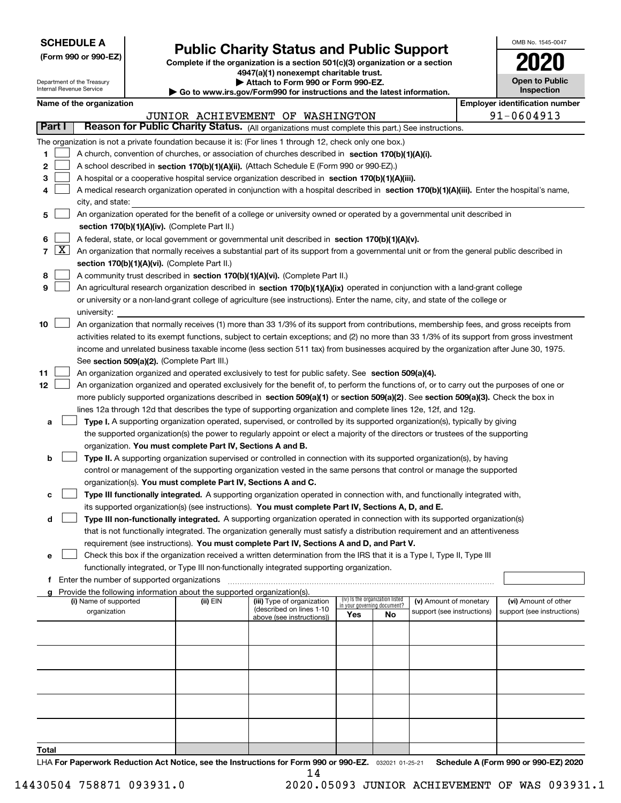| <b>SCHEDULE A</b> |
|-------------------|
|-------------------|

Department of the Treasury Internal Revenue Service

**(Form 990 or 990-EZ)**

# **Public Charity Status and Public Support**

**Complete if the organization is a section 501(c)(3) organization or a section 4947(a)(1) nonexempt charitable trust. | Attach to Form 990 or Form 990-EZ.** 

| ▶ Go to www.irs.gov/Form990 for instructions and the latest information. |
|--------------------------------------------------------------------------|

| 2020                                |
|-------------------------------------|
| <b>Open to Public</b><br>Inspection |

OMB No. 1545-0047

|        |                                                                                           | Name of the organization                                                                                                                                                                                               |          |                                                       |                             |                                 |                            | <b>Employer identification number</b> |  |
|--------|-------------------------------------------------------------------------------------------|------------------------------------------------------------------------------------------------------------------------------------------------------------------------------------------------------------------------|----------|-------------------------------------------------------|-----------------------------|---------------------------------|----------------------------|---------------------------------------|--|
|        |                                                                                           |                                                                                                                                                                                                                        |          | JUNIOR ACHIEVEMENT OF WASHINGTON                      |                             |                                 |                            | 91-0604913                            |  |
| Part I |                                                                                           | Reason for Public Charity Status. (All organizations must complete this part.) See instructions.                                                                                                                       |          |                                                       |                             |                                 |                            |                                       |  |
|        |                                                                                           | The organization is not a private foundation because it is: (For lines 1 through 12, check only one box.)                                                                                                              |          |                                                       |                             |                                 |                            |                                       |  |
| 1.     |                                                                                           | A church, convention of churches, or association of churches described in section 170(b)(1)(A)(i).                                                                                                                     |          |                                                       |                             |                                 |                            |                                       |  |
| 2      | A school described in section 170(b)(1)(A)(ii). (Attach Schedule E (Form 990 or 990-EZ).) |                                                                                                                                                                                                                        |          |                                                       |                             |                                 |                            |                                       |  |
| 3      |                                                                                           | A hospital or a cooperative hospital service organization described in section 170(b)(1)(A)(iii).                                                                                                                      |          |                                                       |                             |                                 |                            |                                       |  |
| 4      |                                                                                           | A medical research organization operated in conjunction with a hospital described in section 170(b)(1)(A)(iii). Enter the hospital's name,                                                                             |          |                                                       |                             |                                 |                            |                                       |  |
|        |                                                                                           | city, and state:                                                                                                                                                                                                       |          |                                                       |                             |                                 |                            |                                       |  |
| 5      |                                                                                           | An organization operated for the benefit of a college or university owned or operated by a governmental unit described in                                                                                              |          |                                                       |                             |                                 |                            |                                       |  |
|        |                                                                                           | section 170(b)(1)(A)(iv). (Complete Part II.)                                                                                                                                                                          |          |                                                       |                             |                                 |                            |                                       |  |
| 6      |                                                                                           | A federal, state, or local government or governmental unit described in section 170(b)(1)(A)(v).                                                                                                                       |          |                                                       |                             |                                 |                            |                                       |  |
|        | $7 \times$                                                                                | An organization that normally receives a substantial part of its support from a governmental unit or from the general public described in                                                                              |          |                                                       |                             |                                 |                            |                                       |  |
|        |                                                                                           | section 170(b)(1)(A)(vi). (Complete Part II.)                                                                                                                                                                          |          |                                                       |                             |                                 |                            |                                       |  |
| 8      |                                                                                           | A community trust described in section 170(b)(1)(A)(vi). (Complete Part II.)                                                                                                                                           |          |                                                       |                             |                                 |                            |                                       |  |
| 9      |                                                                                           | An agricultural research organization described in section 170(b)(1)(A)(ix) operated in conjunction with a land-grant college                                                                                          |          |                                                       |                             |                                 |                            |                                       |  |
|        |                                                                                           | or university or a non-land-grant college of agriculture (see instructions). Enter the name, city, and state of the college or                                                                                         |          |                                                       |                             |                                 |                            |                                       |  |
|        |                                                                                           | university:                                                                                                                                                                                                            |          |                                                       |                             |                                 |                            |                                       |  |
| 10     |                                                                                           | An organization that normally receives (1) more than 33 1/3% of its support from contributions, membership fees, and gross receipts from                                                                               |          |                                                       |                             |                                 |                            |                                       |  |
|        |                                                                                           | activities related to its exempt functions, subject to certain exceptions; and (2) no more than 33 1/3% of its support from gross investment                                                                           |          |                                                       |                             |                                 |                            |                                       |  |
|        |                                                                                           | income and unrelated business taxable income (less section 511 tax) from businesses acquired by the organization after June 30, 1975.                                                                                  |          |                                                       |                             |                                 |                            |                                       |  |
|        |                                                                                           | See section 509(a)(2). (Complete Part III.)                                                                                                                                                                            |          |                                                       |                             |                                 |                            |                                       |  |
| 11     |                                                                                           | An organization organized and operated exclusively to test for public safety. See section 509(a)(4).                                                                                                                   |          |                                                       |                             |                                 |                            |                                       |  |
| 12     |                                                                                           | An organization organized and operated exclusively for the benefit of, to perform the functions of, or to carry out the purposes of one or                                                                             |          |                                                       |                             |                                 |                            |                                       |  |
|        |                                                                                           | more publicly supported organizations described in section 509(a)(1) or section 509(a)(2). See section 509(a)(3). Check the box in                                                                                     |          |                                                       |                             |                                 |                            |                                       |  |
|        |                                                                                           | lines 12a through 12d that describes the type of supporting organization and complete lines 12e, 12f, and 12g.                                                                                                         |          |                                                       |                             |                                 |                            |                                       |  |
| а      |                                                                                           | Type I. A supporting organization operated, supervised, or controlled by its supported organization(s), typically by giving                                                                                            |          |                                                       |                             |                                 |                            |                                       |  |
|        |                                                                                           | the supported organization(s) the power to regularly appoint or elect a majority of the directors or trustees of the supporting                                                                                        |          |                                                       |                             |                                 |                            |                                       |  |
|        |                                                                                           | organization. You must complete Part IV, Sections A and B.                                                                                                                                                             |          |                                                       |                             |                                 |                            |                                       |  |
| b      |                                                                                           | Type II. A supporting organization supervised or controlled in connection with its supported organization(s), by having                                                                                                |          |                                                       |                             |                                 |                            |                                       |  |
|        |                                                                                           | control or management of the supporting organization vested in the same persons that control or manage the supported                                                                                                   |          |                                                       |                             |                                 |                            |                                       |  |
|        |                                                                                           | organization(s). You must complete Part IV, Sections A and C.                                                                                                                                                          |          |                                                       |                             |                                 |                            |                                       |  |
| с      |                                                                                           | Type III functionally integrated. A supporting organization operated in connection with, and functionally integrated with,                                                                                             |          |                                                       |                             |                                 |                            |                                       |  |
|        |                                                                                           | its supported organization(s) (see instructions). You must complete Part IV, Sections A, D, and E.                                                                                                                     |          |                                                       |                             |                                 |                            |                                       |  |
| d      |                                                                                           | Type III non-functionally integrated. A supporting organization operated in connection with its supported organization(s)                                                                                              |          |                                                       |                             |                                 |                            |                                       |  |
|        |                                                                                           | that is not functionally integrated. The organization generally must satisfy a distribution requirement and an attentiveness                                                                                           |          |                                                       |                             |                                 |                            |                                       |  |
|        |                                                                                           | requirement (see instructions). You must complete Part IV, Sections A and D, and Part V.                                                                                                                               |          |                                                       |                             |                                 |                            |                                       |  |
|        |                                                                                           | □ Check this box if the organization received a written determination from the IRS that it is a Type I, Type II, Type III<br>functionally integrated, or Type III non-functionally integrated supporting organization. |          |                                                       |                             |                                 |                            |                                       |  |
|        |                                                                                           | f Enter the number of supported organizations                                                                                                                                                                          |          |                                                       |                             |                                 |                            |                                       |  |
|        |                                                                                           | Provide the following information about the supported organization(s).                                                                                                                                                 |          |                                                       |                             |                                 |                            |                                       |  |
|        |                                                                                           | (i) Name of supported                                                                                                                                                                                                  | (ii) EIN | (iii) Type of organization                            | in your governing document? | (iv) Is the organization listed | (v) Amount of monetary     | (vi) Amount of other                  |  |
|        |                                                                                           | organization                                                                                                                                                                                                           |          | (described on lines 1-10<br>above (see instructions)) | Yes                         | No                              | support (see instructions) | support (see instructions)            |  |
|        |                                                                                           |                                                                                                                                                                                                                        |          |                                                       |                             |                                 |                            |                                       |  |
|        |                                                                                           |                                                                                                                                                                                                                        |          |                                                       |                             |                                 |                            |                                       |  |
|        |                                                                                           |                                                                                                                                                                                                                        |          |                                                       |                             |                                 |                            |                                       |  |
|        |                                                                                           |                                                                                                                                                                                                                        |          |                                                       |                             |                                 |                            |                                       |  |
|        |                                                                                           |                                                                                                                                                                                                                        |          |                                                       |                             |                                 |                            |                                       |  |
|        |                                                                                           |                                                                                                                                                                                                                        |          |                                                       |                             |                                 |                            |                                       |  |
|        |                                                                                           |                                                                                                                                                                                                                        |          |                                                       |                             |                                 |                            |                                       |  |
|        |                                                                                           |                                                                                                                                                                                                                        |          |                                                       |                             |                                 |                            |                                       |  |
|        |                                                                                           |                                                                                                                                                                                                                        |          |                                                       |                             |                                 |                            |                                       |  |
|        |                                                                                           |                                                                                                                                                                                                                        |          |                                                       |                             |                                 |                            |                                       |  |
| Total  |                                                                                           |                                                                                                                                                                                                                        |          |                                                       |                             |                                 |                            |                                       |  |

LHA For Paperwork Reduction Act Notice, see the Instructions for Form 990 or 990-EZ. <sub>032021</sub> o1-25-21 Schedule A (Form 990 or 990-EZ) 2020 14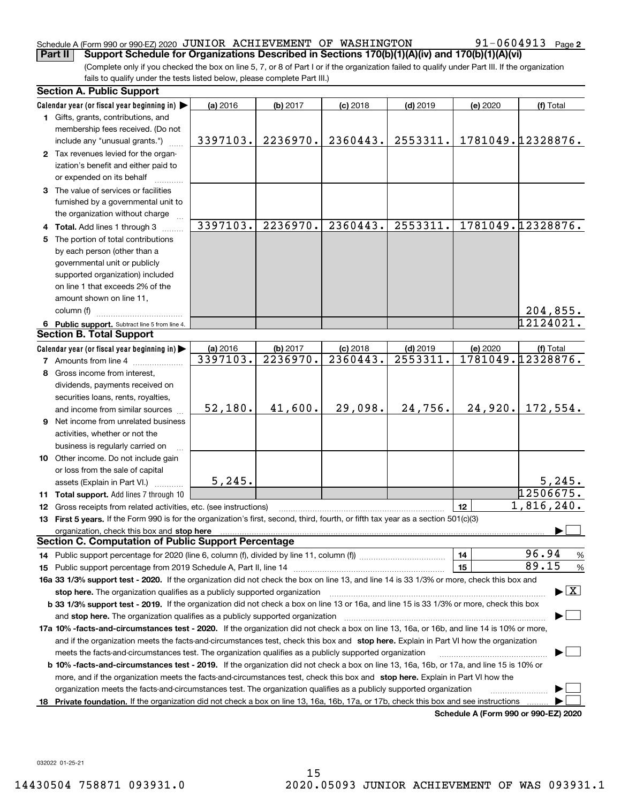### Schedule A (Form 990 or 990-EZ) 2020  $\,$  JUNIOR  $\,$  ACHIEVEMENT OF WASHINGTON  $\,$   $\,$  91-0604913  $\,$  Page **Part II Support Schedule for Organizations Described in Sections 170(b)(1)(A)(iv) and 170(b)(1)(A)(vi)**

(Complete only if you checked the box on line 5, 7, or 8 of Part I or if the organization failed to qualify under Part III. If the organization fails to qualify under the tests listed below, please complete Part III.)

|    | <b>Section A. Public Support</b>                                                                                                               |          |          |            |            |          |                                         |
|----|------------------------------------------------------------------------------------------------------------------------------------------------|----------|----------|------------|------------|----------|-----------------------------------------|
|    | Calendar year (or fiscal year beginning in)                                                                                                    | (a) 2016 | (b) 2017 | $(c)$ 2018 | $(d)$ 2019 | (e) 2020 | (f) Total                               |
|    | 1 Gifts, grants, contributions, and                                                                                                            |          |          |            |            |          |                                         |
|    | membership fees received. (Do not                                                                                                              |          |          |            |            |          |                                         |
|    | include any "unusual grants.")                                                                                                                 | 3397103. | 2236970. | 2360443.   | 2553311.   |          | 1781049.12328876.                       |
|    | 2 Tax revenues levied for the organ-                                                                                                           |          |          |            |            |          |                                         |
|    | ization's benefit and either paid to                                                                                                           |          |          |            |            |          |                                         |
|    | or expended on its behalf                                                                                                                      |          |          |            |            |          |                                         |
|    | 3 The value of services or facilities                                                                                                          |          |          |            |            |          |                                         |
|    | furnished by a governmental unit to                                                                                                            |          |          |            |            |          |                                         |
|    | the organization without charge                                                                                                                |          |          |            |            |          |                                         |
|    | 4 Total. Add lines 1 through 3                                                                                                                 | 3397103. | 2236970. | 2360443.   | 2553311.   |          | 1781049.12328876.                       |
|    | 5 The portion of total contributions                                                                                                           |          |          |            |            |          |                                         |
|    | by each person (other than a                                                                                                                   |          |          |            |            |          |                                         |
|    | governmental unit or publicly                                                                                                                  |          |          |            |            |          |                                         |
|    | supported organization) included                                                                                                               |          |          |            |            |          |                                         |
|    | on line 1 that exceeds 2% of the                                                                                                               |          |          |            |            |          |                                         |
|    | amount shown on line 11,                                                                                                                       |          |          |            |            |          |                                         |
|    | column (f)                                                                                                                                     |          |          |            |            |          | 204,855.                                |
|    | 6 Public support. Subtract line 5 from line 4.                                                                                                 |          |          |            |            |          | $\overline{12}$ 124021.                 |
|    | <b>Section B. Total Support</b>                                                                                                                |          |          |            |            |          |                                         |
|    | Calendar year (or fiscal year beginning in)                                                                                                    | (a) 2016 | (b) 2017 | $(c)$ 2018 | $(d)$ 2019 | (e) 2020 | (f) Total                               |
|    | <b>7</b> Amounts from line 4                                                                                                                   | 3397103. | 2236970. | 2360443.   | 2553311.   |          | 1781049.12328876.                       |
|    | 8 Gross income from interest,                                                                                                                  |          |          |            |            |          |                                         |
|    | dividends, payments received on                                                                                                                |          |          |            |            |          |                                         |
|    | securities loans, rents, royalties,                                                                                                            |          |          |            |            |          |                                         |
|    | and income from similar sources                                                                                                                | 52,180.  | 41,600.  | 29,098.    | 24,756.    | 24,920.  | 172,554.                                |
|    | 9 Net income from unrelated business                                                                                                           |          |          |            |            |          |                                         |
|    | activities, whether or not the                                                                                                                 |          |          |            |            |          |                                         |
|    | business is regularly carried on                                                                                                               |          |          |            |            |          |                                         |
|    | 10 Other income. Do not include gain                                                                                                           |          |          |            |            |          |                                         |
|    | or loss from the sale of capital                                                                                                               |          |          |            |            |          |                                         |
|    | assets (Explain in Part VI.) <b>Constant</b>                                                                                                   | 5, 245.  |          |            |            |          | 5,245.                                  |
|    | 11 Total support. Add lines 7 through 10                                                                                                       |          |          |            |            |          | 12506675.                               |
|    | 12 Gross receipts from related activities, etc. (see instructions)                                                                             |          |          |            |            | 12       | 1,816,240.                              |
|    | 13 First 5 years. If the Form 990 is for the organization's first, second, third, fourth, or fifth tax year as a section 501(c)(3)             |          |          |            |            |          |                                         |
|    | organization, check this box and stop here                                                                                                     |          |          |            |            |          |                                         |
|    | <b>Section C. Computation of Public Support Percentage</b>                                                                                     |          |          |            |            |          |                                         |
|    |                                                                                                                                                |          |          |            |            | 14       | 96.94<br>$\frac{9}{6}$                  |
|    |                                                                                                                                                |          |          |            |            | 15       | 89.15<br>%                              |
|    | 16a 33 1/3% support test - 2020. If the organization did not check the box on line 13, and line 14 is 33 1/3% or more, check this box and      |          |          |            |            |          |                                         |
|    | stop here. The organization qualifies as a publicly supported organization                                                                     |          |          |            |            |          | $\blacktriangleright$ $\vert$ X $\vert$ |
|    | b 33 1/3% support test - 2019. If the organization did not check a box on line 13 or 16a, and line 15 is 33 1/3% or more, check this box       |          |          |            |            |          |                                         |
|    | and stop here. The organization qualifies as a publicly supported organization                                                                 |          |          |            |            |          |                                         |
|    | 17a 10% -facts-and-circumstances test - 2020. If the organization did not check a box on line 13, 16a, or 16b, and line 14 is 10% or more,     |          |          |            |            |          |                                         |
|    | and if the organization meets the facts-and-circumstances test, check this box and stop here. Explain in Part VI how the organization          |          |          |            |            |          |                                         |
|    | meets the facts-and-circumstances test. The organization qualifies as a publicly supported organization                                        |          |          |            |            |          |                                         |
|    | <b>b 10% -facts-and-circumstances test - 2019.</b> If the organization did not check a box on line 13, 16a, 16b, or 17a, and line 15 is 10% or |          |          |            |            |          |                                         |
|    | more, and if the organization meets the facts-and-circumstances test, check this box and stop here. Explain in Part VI how the                 |          |          |            |            |          |                                         |
|    | organization meets the facts-and-circumstances test. The organization qualifies as a publicly supported organization                           |          |          |            |            |          |                                         |
| 18 | Private foundation. If the organization did not check a box on line 13, 16a, 16b, 17a, or 17b, check this box and see instructions             |          |          |            |            |          |                                         |
|    |                                                                                                                                                |          |          |            |            |          | Schedule A (Form 990 or 990-F7) 2020    |

**Schedule A (Form 990 or 990-EZ) 2020**

032022 01-25-21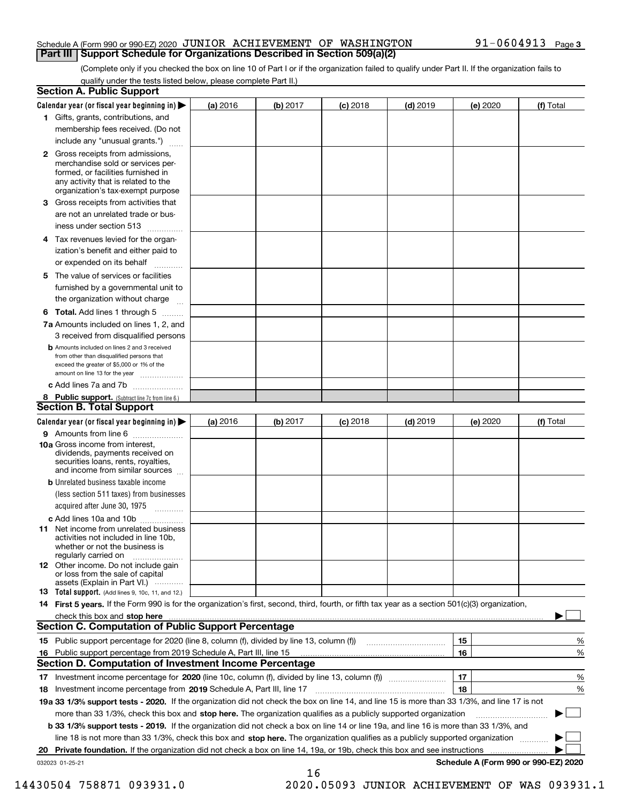### Schedule A (Form 990 or 990-EZ) 2020  $\,$  JUNIOR  $\,$  ACHIEVEMENT OF WASHINGTON  $\,$   $\,$  91-0604913  $\,$  Page **Part III Support Schedule for Organizations Described in Section 509(a)(2)**

(Complete only if you checked the box on line 10 of Part I or if the organization failed to qualify under Part II. If the organization fails to qualify under the tests listed below, please complete Part II.)

|    | <b>Section A. Public Support</b>                                                                                                                                                                                              |          |          |            |            |          |                                      |
|----|-------------------------------------------------------------------------------------------------------------------------------------------------------------------------------------------------------------------------------|----------|----------|------------|------------|----------|--------------------------------------|
|    | Calendar year (or fiscal year beginning in) $\blacktriangleright$                                                                                                                                                             | (a) 2016 | (b) 2017 | $(c)$ 2018 | $(d)$ 2019 | (e) 2020 | (f) Total                            |
|    | 1 Gifts, grants, contributions, and                                                                                                                                                                                           |          |          |            |            |          |                                      |
|    | membership fees received. (Do not                                                                                                                                                                                             |          |          |            |            |          |                                      |
|    | include any "unusual grants.")                                                                                                                                                                                                |          |          |            |            |          |                                      |
|    | 2 Gross receipts from admissions,<br>merchandise sold or services per-<br>formed, or facilities furnished in<br>any activity that is related to the<br>organization's tax-exempt purpose                                      |          |          |            |            |          |                                      |
|    | 3 Gross receipts from activities that<br>are not an unrelated trade or bus-                                                                                                                                                   |          |          |            |            |          |                                      |
|    | iness under section 513                                                                                                                                                                                                       |          |          |            |            |          |                                      |
|    | 4 Tax revenues levied for the organ-                                                                                                                                                                                          |          |          |            |            |          |                                      |
|    | ization's benefit and either paid to<br>or expended on its behalf<br>.                                                                                                                                                        |          |          |            |            |          |                                      |
|    | 5 The value of services or facilities                                                                                                                                                                                         |          |          |            |            |          |                                      |
|    | furnished by a governmental unit to                                                                                                                                                                                           |          |          |            |            |          |                                      |
|    | the organization without charge                                                                                                                                                                                               |          |          |            |            |          |                                      |
|    | <b>6 Total.</b> Add lines 1 through 5                                                                                                                                                                                         |          |          |            |            |          |                                      |
|    | 7a Amounts included on lines 1, 2, and                                                                                                                                                                                        |          |          |            |            |          |                                      |
|    | 3 received from disqualified persons                                                                                                                                                                                          |          |          |            |            |          |                                      |
|    | <b>b</b> Amounts included on lines 2 and 3 received<br>from other than disqualified persons that<br>exceed the greater of \$5,000 or 1% of the<br>amount on line 13 for the year                                              |          |          |            |            |          |                                      |
|    | c Add lines 7a and 7b                                                                                                                                                                                                         |          |          |            |            |          |                                      |
|    | 8 Public support. (Subtract line 7c from line 6.)                                                                                                                                                                             |          |          |            |            |          |                                      |
|    | <b>Section B. Total Support</b>                                                                                                                                                                                               |          |          |            |            |          |                                      |
|    | Calendar year (or fiscal year beginning in) $\blacktriangleright$                                                                                                                                                             | (a) 2016 | (b) 2017 | $(c)$ 2018 | $(d)$ 2019 | (e) 2020 | (f) Total                            |
|    | 9 Amounts from line 6                                                                                                                                                                                                         |          |          |            |            |          |                                      |
|    | 10a Gross income from interest,<br>dividends, payments received on<br>securities loans, rents, royalties,<br>and income from similar sources                                                                                  |          |          |            |            |          |                                      |
|    | <b>b</b> Unrelated business taxable income<br>(less section 511 taxes) from businesses                                                                                                                                        |          |          |            |            |          |                                      |
|    | acquired after June 30, 1975                                                                                                                                                                                                  |          |          |            |            |          |                                      |
|    | c Add lines 10a and 10b<br>11 Net income from unrelated business<br>activities not included in line 10b,<br>whether or not the business is<br>regularly carried on                                                            |          |          |            |            |          |                                      |
|    | 12 Other income. Do not include gain<br>or loss from the sale of capital<br>assets (Explain in Part VI.)                                                                                                                      |          |          |            |            |          |                                      |
|    | <b>13</b> Total support. (Add lines 9, 10c, 11, and 12.)                                                                                                                                                                      |          |          |            |            |          |                                      |
|    | 14 First 5 years. If the Form 990 is for the organization's first, second, third, fourth, or fifth tax year as a section 501(c)(3) organization,                                                                              |          |          |            |            |          |                                      |
|    | check this box and stop here with the continuum control to the change of the state of the state of the change of the change of the change of the change of the change of the change of the change of the change of the change |          |          |            |            |          |                                      |
|    | <b>Section C. Computation of Public Support Percentage</b>                                                                                                                                                                    |          |          |            |            |          |                                      |
|    | 15 Public support percentage for 2020 (line 8, column (f), divided by line 13, column (f))                                                                                                                                    |          |          |            |            | 15       | %                                    |
|    | 16 Public support percentage from 2019 Schedule A, Part III, line 15                                                                                                                                                          |          |          |            |            | 16       | %                                    |
|    | <b>Section D. Computation of Investment Income Percentage</b>                                                                                                                                                                 |          |          |            |            |          |                                      |
|    | 17 Investment income percentage for 2020 (line 10c, column (f), divided by line 13, column (f))                                                                                                                               |          |          |            |            | 17       | %                                    |
|    | <b>18</b> Investment income percentage from <b>2019</b> Schedule A, Part III, line 17                                                                                                                                         |          |          |            |            | 18       | %                                    |
|    | 19a 33 1/3% support tests - 2020. If the organization did not check the box on line 14, and line 15 is more than 33 1/3%, and line 17 is not                                                                                  |          |          |            |            |          |                                      |
|    | more than 33 1/3%, check this box and stop here. The organization qualifies as a publicly supported organization                                                                                                              |          |          |            |            |          | ▶                                    |
|    | b 33 1/3% support tests - 2019. If the organization did not check a box on line 14 or line 19a, and line 16 is more than 33 1/3%, and                                                                                         |          |          |            |            |          |                                      |
|    | line 18 is not more than 33 1/3%, check this box and stop here. The organization qualifies as a publicly supported organization                                                                                               |          |          |            |            |          |                                      |
| 20 | <b>Private foundation.</b> If the organization did not check a box on line 14, 19a, or 19b, check this box and see instructions                                                                                               |          |          |            |            |          |                                      |
|    | 032023 01-25-21                                                                                                                                                                                                               |          | 16       |            |            |          | Schedule A (Form 990 or 990-EZ) 2020 |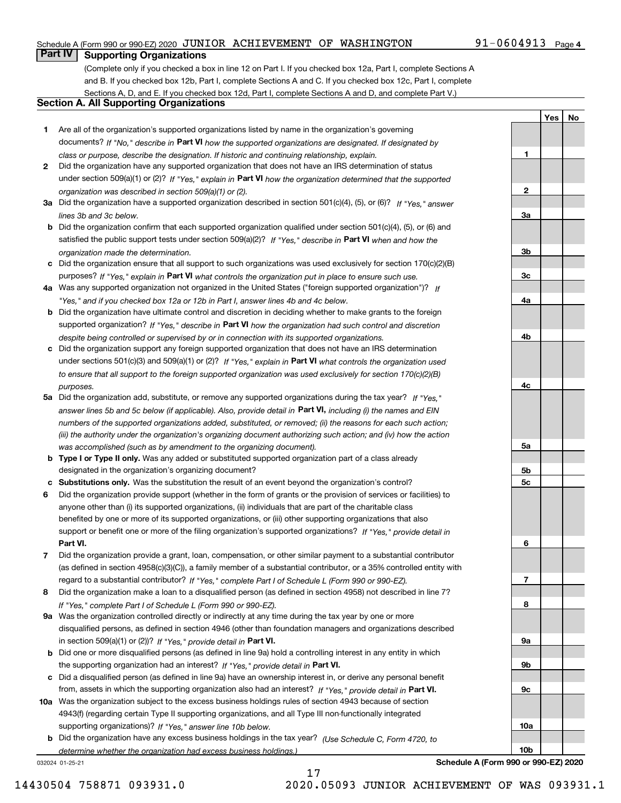### Schedule A (Form 990 or 990-EZ) 2020  $\,$  JUNIOR  $\,$  ACHIEVEMENT OF WASHINGTON  $\,$   $\,$  91-0604913  $\,$  Page

# **Part IV Supporting Organizations**

(Complete only if you checked a box in line 12 on Part I. If you checked box 12a, Part I, complete Sections A and B. If you checked box 12b, Part I, complete Sections A and C. If you checked box 12c, Part I, complete Sections A, D, and E. If you checked box 12d, Part I, complete Sections A and D, and complete Part V.)

### **Section A. All Supporting Organizations**

- **1** Are all of the organization's supported organizations listed by name in the organization's governing documents? If "No," describe in **Part VI** how the supported organizations are designated. If designated by *class or purpose, describe the designation. If historic and continuing relationship, explain.*
- **2** Did the organization have any supported organization that does not have an IRS determination of status under section 509(a)(1) or (2)? If "Yes," explain in Part VI how the organization determined that the supported *organization was described in section 509(a)(1) or (2).*
- **3a** Did the organization have a supported organization described in section 501(c)(4), (5), or (6)? If "Yes," answer *lines 3b and 3c below.*
- **b** Did the organization confirm that each supported organization qualified under section 501(c)(4), (5), or (6) and satisfied the public support tests under section 509(a)(2)? If "Yes," describe in **Part VI** when and how the *organization made the determination.*
- **c**Did the organization ensure that all support to such organizations was used exclusively for section 170(c)(2)(B) purposes? If "Yes," explain in **Part VI** what controls the organization put in place to ensure such use.
- **4a***If* Was any supported organization not organized in the United States ("foreign supported organization")? *"Yes," and if you checked box 12a or 12b in Part I, answer lines 4b and 4c below.*
- **b** Did the organization have ultimate control and discretion in deciding whether to make grants to the foreign supported organization? If "Yes," describe in **Part VI** how the organization had such control and discretion *despite being controlled or supervised by or in connection with its supported organizations.*
- **c** Did the organization support any foreign supported organization that does not have an IRS determination under sections 501(c)(3) and 509(a)(1) or (2)? If "Yes," explain in **Part VI** what controls the organization used *to ensure that all support to the foreign supported organization was used exclusively for section 170(c)(2)(B) purposes.*
- **5a** Did the organization add, substitute, or remove any supported organizations during the tax year? If "Yes," answer lines 5b and 5c below (if applicable). Also, provide detail in **Part VI,** including (i) the names and EIN *numbers of the supported organizations added, substituted, or removed; (ii) the reasons for each such action; (iii) the authority under the organization's organizing document authorizing such action; and (iv) how the action was accomplished (such as by amendment to the organizing document).*
- **b** Type I or Type II only. Was any added or substituted supported organization part of a class already designated in the organization's organizing document?
- **cSubstitutions only.**  Was the substitution the result of an event beyond the organization's control?
- **6** Did the organization provide support (whether in the form of grants or the provision of services or facilities) to **Part VI.** *If "Yes," provide detail in* support or benefit one or more of the filing organization's supported organizations? anyone other than (i) its supported organizations, (ii) individuals that are part of the charitable class benefited by one or more of its supported organizations, or (iii) other supporting organizations that also
- **7**Did the organization provide a grant, loan, compensation, or other similar payment to a substantial contributor *If "Yes," complete Part I of Schedule L (Form 990 or 990-EZ).* regard to a substantial contributor? (as defined in section 4958(c)(3)(C)), a family member of a substantial contributor, or a 35% controlled entity with
- **8** Did the organization make a loan to a disqualified person (as defined in section 4958) not described in line 7? *If "Yes," complete Part I of Schedule L (Form 990 or 990-EZ).*
- **9a** Was the organization controlled directly or indirectly at any time during the tax year by one or more in section 509(a)(1) or (2))? If "Yes," *provide detail in* <code>Part VI.</code> disqualified persons, as defined in section 4946 (other than foundation managers and organizations described
- **b** Did one or more disqualified persons (as defined in line 9a) hold a controlling interest in any entity in which the supporting organization had an interest? If "Yes," provide detail in P**art VI**.
- **c**Did a disqualified person (as defined in line 9a) have an ownership interest in, or derive any personal benefit from, assets in which the supporting organization also had an interest? If "Yes," provide detail in P**art VI.**
- **10a** Was the organization subject to the excess business holdings rules of section 4943 because of section supporting organizations)? If "Yes," answer line 10b below. 4943(f) (regarding certain Type II supporting organizations, and all Type III non-functionally integrated
- **b** Did the organization have any excess business holdings in the tax year? (Use Schedule C, Form 4720, to *determine whether the organization had excess business holdings.)*

17

032024 01-25-21

**Schedule A (Form 990 or 990-EZ) 2020**

**1**

**2**

**3a**

**3b**

**3c**

**4a**

**4b**

**4c**

**5a**

**5b5c**

**6**

**7**

**8**

**9a**

**9b**

**9c**

**10a**

**10b**

**YesNo**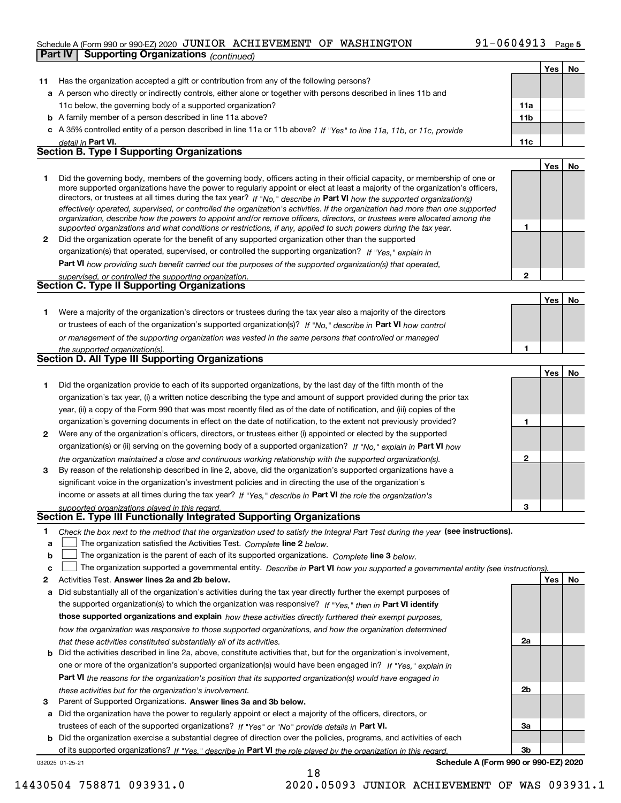### Schedule A (Form 990 or 990-EZ) 2020  $\,$  JUNIOR  $\,$  ACHIEVEMENT OF WASHINGTON  $\,$   $\,$  91-0604913  $\,$  Page **Part IV Supporting Organizations** *(continued)*

| Part IV | Supporting Organizations (continued)                                                                                                                                                                                                                      |              |     |    |
|---------|-----------------------------------------------------------------------------------------------------------------------------------------------------------------------------------------------------------------------------------------------------------|--------------|-----|----|
|         |                                                                                                                                                                                                                                                           |              | Yes | No |
| 11      | Has the organization accepted a gift or contribution from any of the following persons?                                                                                                                                                                   |              |     |    |
|         | a A person who directly or indirectly controls, either alone or together with persons described in lines 11b and                                                                                                                                          |              |     |    |
|         | 11c below, the governing body of a supported organization?                                                                                                                                                                                                | 11a          |     |    |
|         | <b>b</b> A family member of a person described in line 11a above?                                                                                                                                                                                         | 11b          |     |    |
|         | c A 35% controlled entity of a person described in line 11a or 11b above? If "Yes" to line 11a, 11b, or 11c, provide                                                                                                                                      |              |     |    |
|         | detail in Part VI.                                                                                                                                                                                                                                        | 11c          |     |    |
|         | <b>Section B. Type I Supporting Organizations</b>                                                                                                                                                                                                         |              |     |    |
|         |                                                                                                                                                                                                                                                           |              | Yes | No |
| 1.      | Did the governing body, members of the governing body, officers acting in their official capacity, or membership of one or                                                                                                                                |              |     |    |
|         | more supported organizations have the power to regularly appoint or elect at least a majority of the organization's officers,                                                                                                                             |              |     |    |
|         | directors, or trustees at all times during the tax year? If "No," describe in Part VI how the supported organization(s)<br>effectively operated, supervised, or controlled the organization's activities. If the organization had more than one supported |              |     |    |
|         | organization, describe how the powers to appoint and/or remove officers, directors, or trustees were allocated among the                                                                                                                                  |              |     |    |
|         | supported organizations and what conditions or restrictions, if any, applied to such powers during the tax year.                                                                                                                                          | 1            |     |    |
| 2       | Did the organization operate for the benefit of any supported organization other than the supported                                                                                                                                                       |              |     |    |
|         | organization(s) that operated, supervised, or controlled the supporting organization? If "Yes," explain in                                                                                                                                                |              |     |    |
|         | Part VI how providing such benefit carried out the purposes of the supported organization(s) that operated,                                                                                                                                               |              |     |    |
|         | supervised, or controlled the supporting organization.                                                                                                                                                                                                    | $\mathbf{2}$ |     |    |
|         | <b>Section C. Type II Supporting Organizations</b>                                                                                                                                                                                                        |              |     |    |
|         |                                                                                                                                                                                                                                                           |              | Yes | No |
| 1.      | Were a majority of the organization's directors or trustees during the tax year also a majority of the directors                                                                                                                                          |              |     |    |
|         | or trustees of each of the organization's supported organization(s)? If "No," describe in Part VI how control                                                                                                                                             |              |     |    |
|         | or management of the supporting organization was vested in the same persons that controlled or managed                                                                                                                                                    |              |     |    |
|         | the supported organization(s).                                                                                                                                                                                                                            | 1            |     |    |
|         | <b>Section D. All Type III Supporting Organizations</b>                                                                                                                                                                                                   |              |     |    |
|         |                                                                                                                                                                                                                                                           |              | Yes | No |
| 1       | Did the organization provide to each of its supported organizations, by the last day of the fifth month of the                                                                                                                                            |              |     |    |
|         | organization's tax year, (i) a written notice describing the type and amount of support provided during the prior tax                                                                                                                                     |              |     |    |
|         | year, (ii) a copy of the Form 990 that was most recently filed as of the date of notification, and (iii) copies of the                                                                                                                                    |              |     |    |
|         | organization's governing documents in effect on the date of notification, to the extent not previously provided?                                                                                                                                          | 1            |     |    |
| 2       | Were any of the organization's officers, directors, or trustees either (i) appointed or elected by the supported                                                                                                                                          |              |     |    |
|         | organization(s) or (ii) serving on the governing body of a supported organization? If "No," explain in Part VI how                                                                                                                                        |              |     |    |
|         | the organization maintained a close and continuous working relationship with the supported organization(s).                                                                                                                                               | 2            |     |    |
| 3       | By reason of the relationship described in line 2, above, did the organization's supported organizations have a                                                                                                                                           |              |     |    |
|         | significant voice in the organization's investment policies and in directing the use of the organization's                                                                                                                                                |              |     |    |
|         | income or assets at all times during the tax year? If "Yes," describe in Part VI the role the organization's                                                                                                                                              |              |     |    |
|         | supported organizations played in this regard                                                                                                                                                                                                             | 3            |     |    |
|         | Section E. Type III Functionally Integrated Supporting Organizations                                                                                                                                                                                      |              |     |    |
| 1.      | Check the box next to the method that the organization used to satisfy the Integral Part Test during the year (see instructions).                                                                                                                         |              |     |    |
| a       | The organization satisfied the Activities Test. Complete line 2 below.                                                                                                                                                                                    |              |     |    |
| b       | The organization is the parent of each of its supported organizations. Complete line 3 below.                                                                                                                                                             |              |     |    |
| c       | The organization supported a governmental entity. Describe in Part VI how you supported a governmental entity (see instructions)                                                                                                                          |              |     |    |
| 2       | Activities Test. Answer lines 2a and 2b below.                                                                                                                                                                                                            |              | Yes | No |
| а       | Did substantially all of the organization's activities during the tax year directly further the exempt purposes of                                                                                                                                        |              |     |    |
|         | the supported organization(s) to which the organization was responsive? If "Yes," then in Part VI identify                                                                                                                                                |              |     |    |
|         | those supported organizations and explain how these activities directly furthered their exempt purposes,                                                                                                                                                  |              |     |    |
|         | how the organization was responsive to those supported organizations, and how the organization determined                                                                                                                                                 |              |     |    |
|         | that these activities constituted substantially all of its activities.                                                                                                                                                                                    | 2a           |     |    |
| b       | Did the activities described in line 2a, above, constitute activities that, but for the organization's involvement,                                                                                                                                       |              |     |    |
|         | one or more of the organization's supported organization(s) would have been engaged in? If "Yes," explain in                                                                                                                                              |              |     |    |
|         | Part VI the reasons for the organization's position that its supported organization(s) would have engaged in                                                                                                                                              |              |     |    |
|         | these activities but for the organization's involvement.                                                                                                                                                                                                  | 2b           |     |    |

**3** Parent of Supported Organizations. Answer lines 3a and 3b below.

**a** Did the organization have the power to regularly appoint or elect a majority of the officers, directors, or trustees of each of the supported organizations? If "Yes" or "No" provide details in **Part VI.** 

**b** Did the organization exercise a substantial degree of direction over the policies, programs, and activities of each of its supported organizations? If "Yes," describe in Part VI the role played by the organization in this regard.

18

032025 01-25-21

**Schedule A (Form 990 or 990-EZ) 2020**

**3a**

**3b**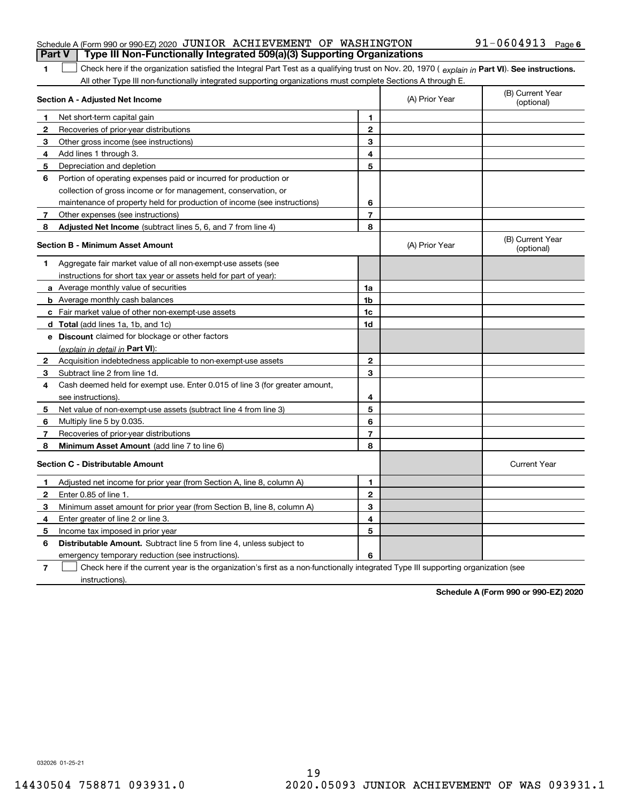### Schedule A (Form 990 or 990-EZ) 2020  $\,$  JUNIOR  $\,$  ACHIEVEMENT OF WASHINGTON  $\,$   $\,$  91-0604913  $\,$  Page **Part V Type III Non-Functionally Integrated 509(a)(3) Supporting Organizations**

### 1 Check here if the organization satisfied the Integral Part Test as a qualifying trust on Nov. 20, 1970 (explain in Part VI). See instructions. All other Type III non-functionally integrated supporting organizations must complete Sections A through E.

|              | Section A - Adjusted Net Income                                                                                                   |                | (A) Prior Year | (B) Current Year<br>(optional) |
|--------------|-----------------------------------------------------------------------------------------------------------------------------------|----------------|----------------|--------------------------------|
| 1            | Net short-term capital gain                                                                                                       | 1.             |                |                                |
| $\mathbf{2}$ | Recoveries of prior-year distributions                                                                                            | $\mathbf{2}$   |                |                                |
| 3            | Other gross income (see instructions)                                                                                             | 3              |                |                                |
| 4            | Add lines 1 through 3.                                                                                                            | 4              |                |                                |
| 5            | Depreciation and depletion                                                                                                        | 5              |                |                                |
| 6            | Portion of operating expenses paid or incurred for production or                                                                  |                |                |                                |
|              | collection of gross income or for management, conservation, or                                                                    |                |                |                                |
|              | maintenance of property held for production of income (see instructions)                                                          | 6              |                |                                |
| 7            | Other expenses (see instructions)                                                                                                 | $\overline{7}$ |                |                                |
| 8            | Adjusted Net Income (subtract lines 5, 6, and 7 from line 4)                                                                      | 8              |                |                                |
|              | <b>Section B - Minimum Asset Amount</b>                                                                                           |                | (A) Prior Year | (B) Current Year<br>(optional) |
| 1            | Aggregate fair market value of all non-exempt-use assets (see                                                                     |                |                |                                |
|              | instructions for short tax year or assets held for part of year):                                                                 |                |                |                                |
|              | <b>a</b> Average monthly value of securities                                                                                      | 1a             |                |                                |
|              | <b>b</b> Average monthly cash balances                                                                                            | 1 <sub>b</sub> |                |                                |
|              | c Fair market value of other non-exempt-use assets                                                                                | 1c             |                |                                |
|              | <b>d</b> Total (add lines 1a, 1b, and 1c)                                                                                         | 1d             |                |                                |
|              | e Discount claimed for blockage or other factors                                                                                  |                |                |                                |
|              | (explain in detail in <b>Part VI</b> ):                                                                                           |                |                |                                |
| 2            | Acquisition indebtedness applicable to non-exempt-use assets                                                                      | $\mathbf{2}$   |                |                                |
| 3            | Subtract line 2 from line 1d.                                                                                                     | 3              |                |                                |
| 4            | Cash deemed held for exempt use. Enter 0.015 of line 3 (for greater amount,                                                       |                |                |                                |
|              | see instructions)                                                                                                                 | 4              |                |                                |
| 5            | Net value of non-exempt-use assets (subtract line 4 from line 3)                                                                  | 5              |                |                                |
| 6            | Multiply line 5 by 0.035.                                                                                                         | 6              |                |                                |
| 7            | Recoveries of prior-year distributions                                                                                            | $\overline{7}$ |                |                                |
| 8            | <b>Minimum Asset Amount</b> (add line 7 to line 6)                                                                                | 8              |                |                                |
|              | <b>Section C - Distributable Amount</b>                                                                                           |                |                | <b>Current Year</b>            |
| 1.           | Adjusted net income for prior year (from Section A, line 8, column A)                                                             | 1              |                |                                |
| 2            | Enter 0.85 of line 1.                                                                                                             | $\overline{2}$ |                |                                |
| 3            | Minimum asset amount for prior year (from Section B, line 8, column A)                                                            | 3              |                |                                |
| 4            | Enter greater of line 2 or line 3.                                                                                                | 4              |                |                                |
| 5            | Income tax imposed in prior year                                                                                                  | 5              |                |                                |
| 6            | <b>Distributable Amount.</b> Subtract line 5 from line 4, unless subject to                                                       |                |                |                                |
|              | emergency temporary reduction (see instructions).                                                                                 | 6              |                |                                |
| 7            | Check here if the current year is the organization's first as a non-functionally integrated Type III supporting organization (see |                |                |                                |

instructions).

**1**

**Schedule A (Form 990 or 990-EZ) 2020**

032026 01-25-21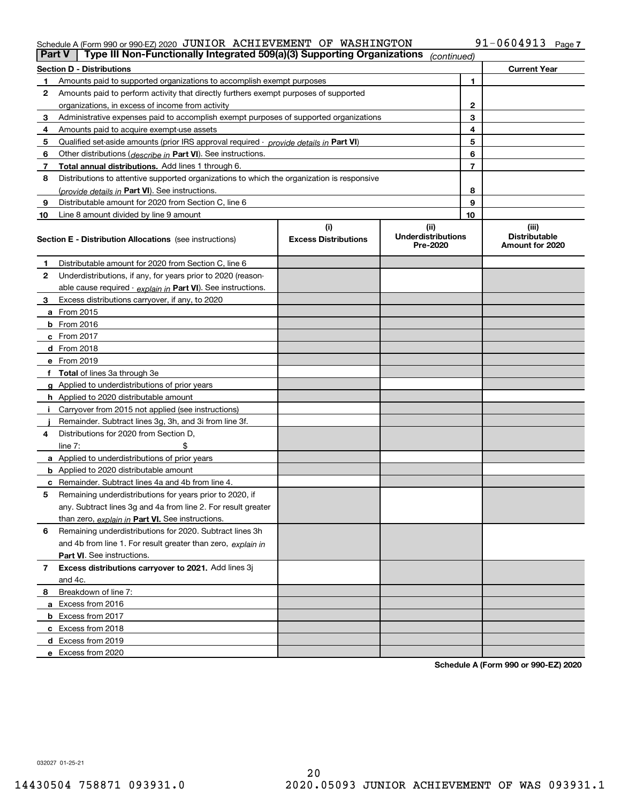## Schedule A (Form 990 or 990-EZ) 2020  $\,$  JUNIOR  $\,$  ACHIEVEMENT OF WASHINGTON  $\,$   $\,$  91-0604913  $\,$  Page

|              | Type III Non-Functionally Integrated 509(a)(3) Supporting Organizations<br>Part V<br>(continued) |                             |                                       |                |                                         |  |  |  |
|--------------|--------------------------------------------------------------------------------------------------|-----------------------------|---------------------------------------|----------------|-----------------------------------------|--|--|--|
|              | <b>Section D - Distributions</b><br><b>Current Year</b>                                          |                             |                                       |                |                                         |  |  |  |
|              | Amounts paid to supported organizations to accomplish exempt purposes                            |                             | 1                                     |                |                                         |  |  |  |
| 2            | Amounts paid to perform activity that directly furthers exempt purposes of supported             |                             |                                       |                |                                         |  |  |  |
|              | organizations, in excess of income from activity                                                 |                             | $\mathbf{2}$                          |                |                                         |  |  |  |
| 3            | Administrative expenses paid to accomplish exempt purposes of supported organizations            |                             |                                       | 3              |                                         |  |  |  |
| 4            | Amounts paid to acquire exempt-use assets                                                        |                             |                                       | 4              |                                         |  |  |  |
| 5            | Qualified set aside amounts (prior IRS approval required - provide details in Part VI)           |                             |                                       | 5              |                                         |  |  |  |
| 6            | Other distributions ( <i>describe in</i> Part VI). See instructions.                             |                             |                                       | 6              |                                         |  |  |  |
| 7            | Total annual distributions. Add lines 1 through 6.                                               |                             |                                       | $\overline{7}$ |                                         |  |  |  |
| 8            | Distributions to attentive supported organizations to which the organization is responsive       |                             |                                       |                |                                         |  |  |  |
|              | (provide details in Part VI). See instructions.                                                  |                             |                                       | 8              |                                         |  |  |  |
| 9            | Distributable amount for 2020 from Section C, line 6                                             |                             |                                       | 9              |                                         |  |  |  |
| 10           | Line 8 amount divided by line 9 amount                                                           |                             |                                       | 10             |                                         |  |  |  |
|              |                                                                                                  | (i)                         | (ii)                                  |                | (iii)                                   |  |  |  |
|              | <b>Section E - Distribution Allocations</b> (see instructions)                                   | <b>Excess Distributions</b> | <b>Underdistributions</b><br>Pre-2020 |                | <b>Distributable</b><br>Amount for 2020 |  |  |  |
| 1            | Distributable amount for 2020 from Section C, line 6                                             |                             |                                       |                |                                         |  |  |  |
| 2            | Underdistributions, if any, for years prior to 2020 (reason-                                     |                             |                                       |                |                                         |  |  |  |
|              | able cause required - explain in Part VI). See instructions.                                     |                             |                                       |                |                                         |  |  |  |
| 3            | Excess distributions carryover, if any, to 2020                                                  |                             |                                       |                |                                         |  |  |  |
|              | a From 2015                                                                                      |                             |                                       |                |                                         |  |  |  |
|              | $b$ From 2016                                                                                    |                             |                                       |                |                                         |  |  |  |
|              | $c$ From 2017                                                                                    |                             |                                       |                |                                         |  |  |  |
|              | <b>d</b> From 2018                                                                               |                             |                                       |                |                                         |  |  |  |
|              | e From 2019                                                                                      |                             |                                       |                |                                         |  |  |  |
|              | f Total of lines 3a through 3e                                                                   |                             |                                       |                |                                         |  |  |  |
|              | g Applied to underdistributions of prior years                                                   |                             |                                       |                |                                         |  |  |  |
|              | <b>h</b> Applied to 2020 distributable amount                                                    |                             |                                       |                |                                         |  |  |  |
|              | Carryover from 2015 not applied (see instructions)                                               |                             |                                       |                |                                         |  |  |  |
|              | Remainder. Subtract lines 3g, 3h, and 3i from line 3f.                                           |                             |                                       |                |                                         |  |  |  |
| 4            | Distributions for 2020 from Section D.                                                           |                             |                                       |                |                                         |  |  |  |
|              | line $7:$                                                                                        |                             |                                       |                |                                         |  |  |  |
|              | a Applied to underdistributions of prior years                                                   |                             |                                       |                |                                         |  |  |  |
|              | <b>b</b> Applied to 2020 distributable amount                                                    |                             |                                       |                |                                         |  |  |  |
|              | c Remainder. Subtract lines 4a and 4b from line 4.                                               |                             |                                       |                |                                         |  |  |  |
| 5            | Remaining underdistributions for years prior to 2020, if                                         |                             |                                       |                |                                         |  |  |  |
|              | any. Subtract lines 3g and 4a from line 2. For result greater                                    |                             |                                       |                |                                         |  |  |  |
|              | than zero, explain in Part VI. See instructions.                                                 |                             |                                       |                |                                         |  |  |  |
| 6            | Remaining underdistributions for 2020. Subtract lines 3h                                         |                             |                                       |                |                                         |  |  |  |
|              | and 4b from line 1. For result greater than zero, explain in                                     |                             |                                       |                |                                         |  |  |  |
|              | <b>Part VI.</b> See instructions.                                                                |                             |                                       |                |                                         |  |  |  |
| $\mathbf{7}$ | Excess distributions carryover to 2021. Add lines 3j                                             |                             |                                       |                |                                         |  |  |  |
|              | and 4c.                                                                                          |                             |                                       |                |                                         |  |  |  |
| 8            | Breakdown of line 7:                                                                             |                             |                                       |                |                                         |  |  |  |
|              | a Excess from 2016                                                                               |                             |                                       |                |                                         |  |  |  |
|              | <b>b</b> Excess from 2017                                                                        |                             |                                       |                |                                         |  |  |  |
|              | c Excess from 2018                                                                               |                             |                                       |                |                                         |  |  |  |
|              | d Excess from 2019                                                                               |                             |                                       |                |                                         |  |  |  |
|              | e Excess from 2020                                                                               |                             |                                       |                |                                         |  |  |  |
|              |                                                                                                  |                             |                                       |                |                                         |  |  |  |

**Schedule A (Form 990 or 990-EZ) 2020**

032027 01-25-21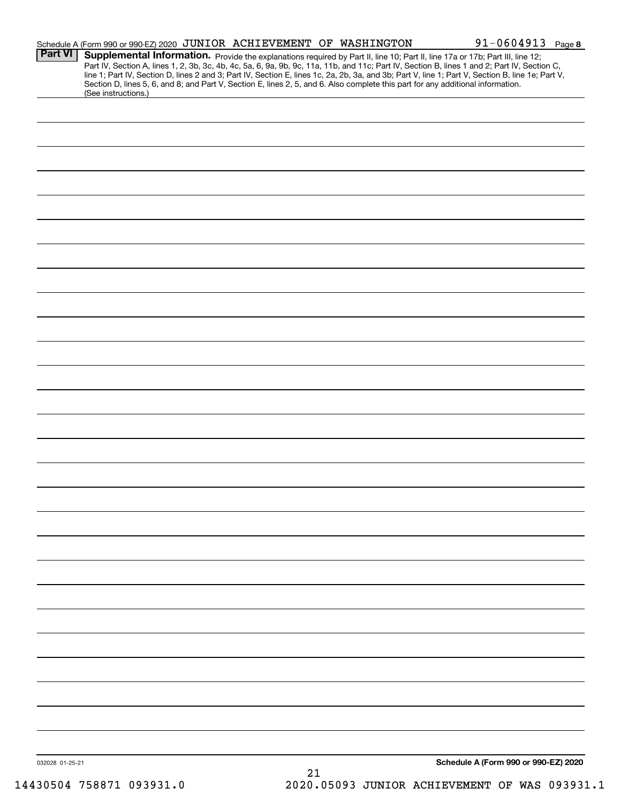|                 | Schedule A (Form 990 or 990-EZ) 2020 JUNIOR ACHIEVEMENT OF WASHINGTON                                                                                                                                                                                                                                                                                                                                                             | $91 - 0604913$ Page 8                |
|-----------------|-----------------------------------------------------------------------------------------------------------------------------------------------------------------------------------------------------------------------------------------------------------------------------------------------------------------------------------------------------------------------------------------------------------------------------------|--------------------------------------|
| <b>Part VI</b>  | Supplemental Information. Provide the explanations required by Part II, line 10; Part II, line 17a or 17b; Part III, line 12;<br>Part IV, Section A, lines 1, 2, 3b, 3c, 4b, 4c, 5a, 6, 9a, 9b, 9c, 11a, 11b, and 11c; Part IV, Section B, lines 1 and 2; Part IV, Section C,<br>line 1; Part IV, Section D, lines 2 and 3; Part IV, Section E, lines 1c, 2a, 2b, 3a, and 3b; Part V, line 1; Part V, Section B, line 1e; Part V, |                                      |
|                 | Section D, lines 5, 6, and 8; and Part V, Section E, lines 2, 5, and 6. Also complete this part for any additional information.<br>(See instructions.)                                                                                                                                                                                                                                                                            |                                      |
|                 |                                                                                                                                                                                                                                                                                                                                                                                                                                   |                                      |
|                 |                                                                                                                                                                                                                                                                                                                                                                                                                                   |                                      |
|                 |                                                                                                                                                                                                                                                                                                                                                                                                                                   |                                      |
|                 |                                                                                                                                                                                                                                                                                                                                                                                                                                   |                                      |
|                 |                                                                                                                                                                                                                                                                                                                                                                                                                                   |                                      |
|                 |                                                                                                                                                                                                                                                                                                                                                                                                                                   |                                      |
|                 |                                                                                                                                                                                                                                                                                                                                                                                                                                   |                                      |
|                 |                                                                                                                                                                                                                                                                                                                                                                                                                                   |                                      |
|                 |                                                                                                                                                                                                                                                                                                                                                                                                                                   |                                      |
|                 |                                                                                                                                                                                                                                                                                                                                                                                                                                   |                                      |
|                 |                                                                                                                                                                                                                                                                                                                                                                                                                                   |                                      |
|                 |                                                                                                                                                                                                                                                                                                                                                                                                                                   |                                      |
|                 |                                                                                                                                                                                                                                                                                                                                                                                                                                   |                                      |
|                 |                                                                                                                                                                                                                                                                                                                                                                                                                                   |                                      |
|                 |                                                                                                                                                                                                                                                                                                                                                                                                                                   |                                      |
|                 |                                                                                                                                                                                                                                                                                                                                                                                                                                   |                                      |
|                 |                                                                                                                                                                                                                                                                                                                                                                                                                                   |                                      |
|                 |                                                                                                                                                                                                                                                                                                                                                                                                                                   |                                      |
|                 |                                                                                                                                                                                                                                                                                                                                                                                                                                   |                                      |
|                 |                                                                                                                                                                                                                                                                                                                                                                                                                                   |                                      |
|                 |                                                                                                                                                                                                                                                                                                                                                                                                                                   |                                      |
|                 |                                                                                                                                                                                                                                                                                                                                                                                                                                   |                                      |
|                 |                                                                                                                                                                                                                                                                                                                                                                                                                                   |                                      |
|                 |                                                                                                                                                                                                                                                                                                                                                                                                                                   |                                      |
|                 |                                                                                                                                                                                                                                                                                                                                                                                                                                   |                                      |
|                 |                                                                                                                                                                                                                                                                                                                                                                                                                                   |                                      |
|                 |                                                                                                                                                                                                                                                                                                                                                                                                                                   |                                      |
|                 |                                                                                                                                                                                                                                                                                                                                                                                                                                   |                                      |
|                 |                                                                                                                                                                                                                                                                                                                                                                                                                                   |                                      |
|                 |                                                                                                                                                                                                                                                                                                                                                                                                                                   |                                      |
|                 |                                                                                                                                                                                                                                                                                                                                                                                                                                   |                                      |
|                 |                                                                                                                                                                                                                                                                                                                                                                                                                                   |                                      |
|                 |                                                                                                                                                                                                                                                                                                                                                                                                                                   |                                      |
|                 |                                                                                                                                                                                                                                                                                                                                                                                                                                   |                                      |
|                 |                                                                                                                                                                                                                                                                                                                                                                                                                                   |                                      |
|                 |                                                                                                                                                                                                                                                                                                                                                                                                                                   |                                      |
| 032028 01-25-21 | 21                                                                                                                                                                                                                                                                                                                                                                                                                                | Schedule A (Form 990 or 990-EZ) 2020 |
|                 |                                                                                                                                                                                                                                                                                                                                                                                                                                   |                                      |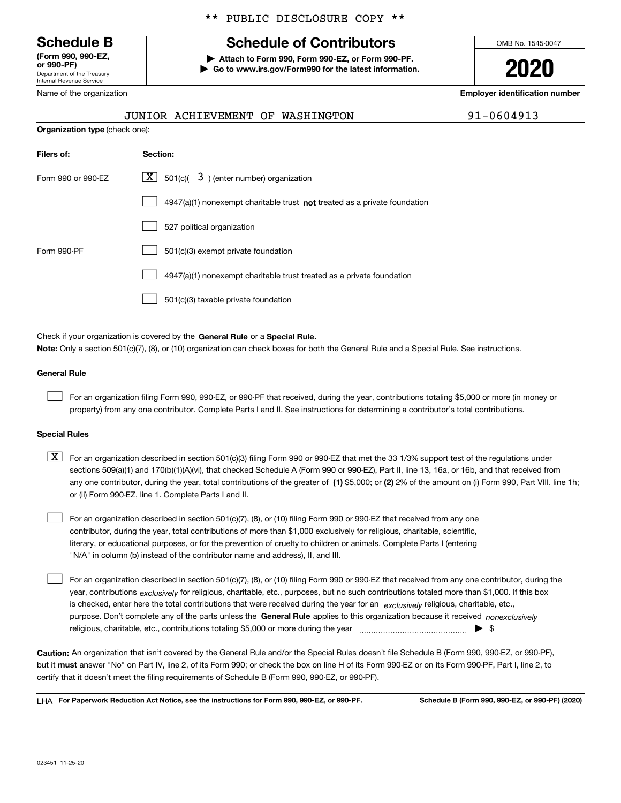Department of the Treasury Internal Revenue Service **(Form 990, 990-EZ, or 990-PF)**

Name of the organization

**Organization type** (check one):

### \*\* PUBLIC DISCLOSURE COPY \*\*

# **Schedule B Schedule of Contributors**

**| Attach to Form 990, Form 990-EZ, or Form 990-PF. | Go to www.irs.gov/Form990 for the latest information.** OMB No. 1545-0047

**2020**

**Employer identification number**

|          | JUNIOR ACHIEVEMENT OF WASHINGTON |  | 91-0604913 |
|----------|----------------------------------|--|------------|
| ck one): |                                  |  |            |

| Filers of:         | Section:                                                                    |
|--------------------|-----------------------------------------------------------------------------|
| Form 990 or 990-EZ | X  <br>$3$ ) (enter number) organization<br>501(c)(                         |
|                    | $4947(a)(1)$ nonexempt charitable trust not treated as a private foundation |
|                    | 527 political organization                                                  |
| Form 990-PF        | 501(c)(3) exempt private foundation                                         |
|                    | 4947(a)(1) nonexempt charitable trust treated as a private foundation       |
|                    | 501(c)(3) taxable private foundation                                        |

Check if your organization is covered by the **General Rule** or a **Special Rule. Note:**  Only a section 501(c)(7), (8), or (10) organization can check boxes for both the General Rule and a Special Rule. See instructions.

### **General Rule**

 $\mathcal{L}^{\text{max}}$ 

For an organization filing Form 990, 990-EZ, or 990-PF that received, during the year, contributions totaling \$5,000 or more (in money or property) from any one contributor. Complete Parts I and II. See instructions for determining a contributor's total contributions.

### **Special Rules**

any one contributor, during the year, total contributions of the greater of  $\,$  (1) \$5,000; or **(2)** 2% of the amount on (i) Form 990, Part VIII, line 1h;  $\boxed{\textbf{X}}$  For an organization described in section 501(c)(3) filing Form 990 or 990-EZ that met the 33 1/3% support test of the regulations under sections 509(a)(1) and 170(b)(1)(A)(vi), that checked Schedule A (Form 990 or 990-EZ), Part II, line 13, 16a, or 16b, and that received from or (ii) Form 990-EZ, line 1. Complete Parts I and II.

For an organization described in section 501(c)(7), (8), or (10) filing Form 990 or 990-EZ that received from any one contributor, during the year, total contributions of more than \$1,000 exclusively for religious, charitable, scientific, literary, or educational purposes, or for the prevention of cruelty to children or animals. Complete Parts I (entering "N/A" in column (b) instead of the contributor name and address), II, and III.  $\mathcal{L}^{\text{max}}$ 

purpose. Don't complete any of the parts unless the **General Rule** applies to this organization because it received *nonexclusively* year, contributions <sub>exclusively</sub> for religious, charitable, etc., purposes, but no such contributions totaled more than \$1,000. If this box is checked, enter here the total contributions that were received during the year for an  $\;$ exclusively religious, charitable, etc., For an organization described in section 501(c)(7), (8), or (10) filing Form 990 or 990-EZ that received from any one contributor, during the religious, charitable, etc., contributions totaling \$5,000 or more during the year  $\Box$ — $\Box$   $\Box$  $\mathcal{L}^{\text{max}}$ 

**Caution:**  An organization that isn't covered by the General Rule and/or the Special Rules doesn't file Schedule B (Form 990, 990-EZ, or 990-PF),  **must** but it answer "No" on Part IV, line 2, of its Form 990; or check the box on line H of its Form 990-EZ or on its Form 990-PF, Part I, line 2, to certify that it doesn't meet the filing requirements of Schedule B (Form 990, 990-EZ, or 990-PF).

**For Paperwork Reduction Act Notice, see the instructions for Form 990, 990-EZ, or 990-PF. Schedule B (Form 990, 990-EZ, or 990-PF) (2020)** LHA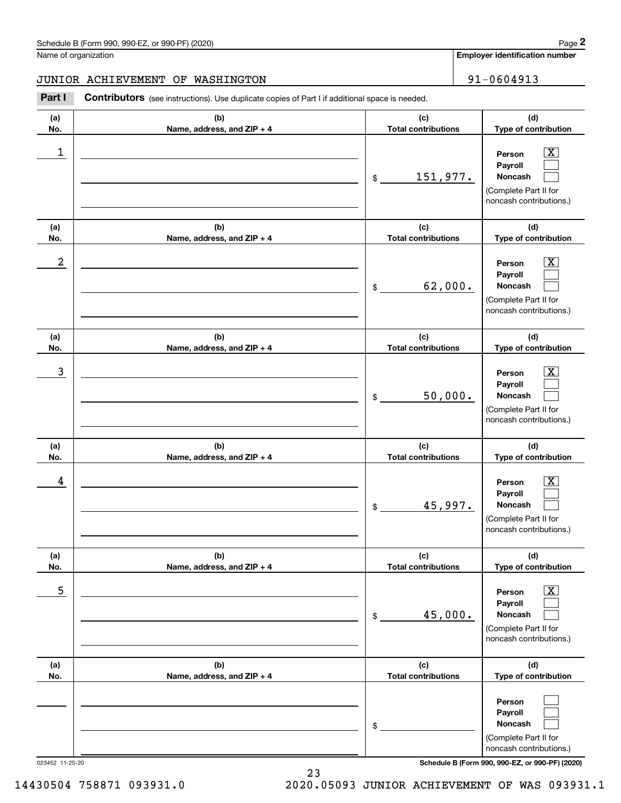**Employer identification number**

## JUNIOR ACHIEVEMENT OF WASHINGTON | 91-0604913

Chedule B (Form 990, 990-EZ, or 990-PF) (2020)<br>
lame of organization<br> **2020 ISBN 191-0604913**<br> **2020 ISBN 191-0604913**<br> **2020 ISBN 191-0604913**<br> **2020 ISBN 191-0604913** 

| (a)         | (b)                               | (c)                                 | (d)                                                                                                       |
|-------------|-----------------------------------|-------------------------------------|-----------------------------------------------------------------------------------------------------------|
| No.         | Name, address, and ZIP + 4        | <b>Total contributions</b>          | Type of contribution                                                                                      |
| $\mathbf 1$ |                                   | 151,977.<br>$$\tilde{\phantom{a}}$$ | $\overline{\text{X}}$<br>Person<br>Payroll<br>Noncash<br>(Complete Part II for<br>noncash contributions.) |
| (a)<br>No.  | (b)<br>Name, address, and ZIP + 4 | (c)<br><b>Total contributions</b>   | (d)<br>Type of contribution                                                                               |
| 2           |                                   | 62,000.<br>\$                       | x.<br>Person<br>Payroll<br>Noncash<br>(Complete Part II for<br>noncash contributions.)                    |
| (a)<br>No.  | (b)<br>Name, address, and ZIP + 4 | (c)<br><b>Total contributions</b>   | (d)<br>Type of contribution                                                                               |
| 3           |                                   | 50,000.<br>\$                       | x<br>Person<br>Payroll<br>Noncash<br>(Complete Part II for<br>noncash contributions.)                     |
| (a)<br>No.  | (b)<br>Name, address, and ZIP + 4 | (c)<br><b>Total contributions</b>   | (d)<br>Type of contribution                                                                               |
| 4           |                                   | 45,997.<br>\$                       | X.<br>Person<br>Payroll<br>Noncash<br>(Complete Part II for<br>noncash contributions.)                    |
| (a)<br>NO.  | (b)<br>Name, address, and ZIP + 4 | (c)<br>Total contributions          | (d)<br>Type of contribution                                                                               |
| 5           |                                   | 45,000.<br>\$                       | $\overline{\text{X}}$<br>Person<br>Payroll<br>Noncash<br>(Complete Part II for<br>noncash contributions.) |
| (a)<br>No.  | (b)<br>Name, address, and ZIP + 4 | (c)<br><b>Total contributions</b>   | (d)<br>Type of contribution                                                                               |
|             |                                   | \$                                  | Person<br>Payroll<br>Noncash<br>(Complete Part II for<br>noncash contributions.)                          |

023452 11-25-20 **Schedule B (Form 990, 990-EZ, or 990-PF) (2020)**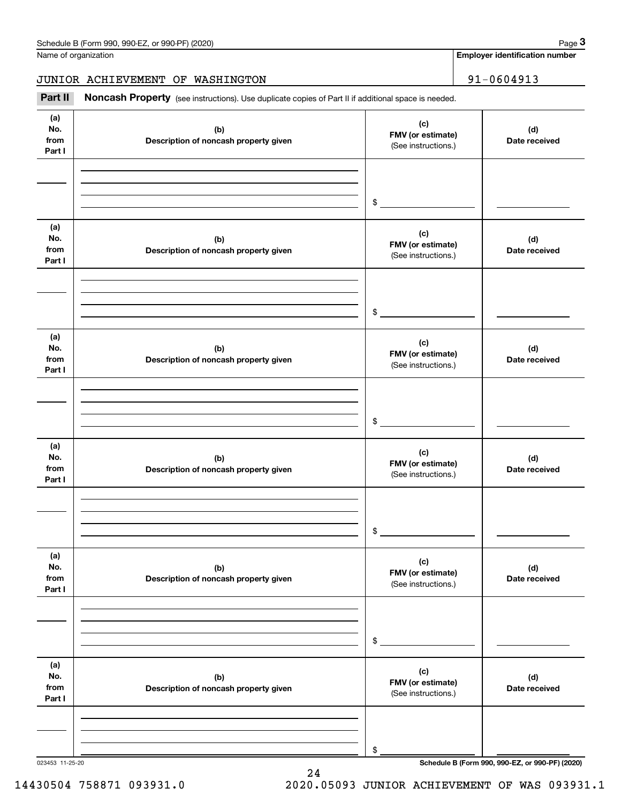**Employer identification number**

JUNIOR ACHIEVEMENT OF WASHINGTON | 91-0604913

Chedule B (Form 990, 990-EZ, or 990-PF) (2020)<br> **2020 Identitions).** Page 3<br> **3Part II if additional space is needed.**<br> **291** – 0604913<br> **291 – 0604913** 

| (a)<br>No.<br>from<br>Part I | (b)<br>Description of noncash property given | (c)<br>FMV (or estimate)<br>(See instructions.) | (d)<br>Date received |
|------------------------------|----------------------------------------------|-------------------------------------------------|----------------------|
|                              |                                              | $\frac{1}{2}$                                   |                      |
| (a)<br>No.<br>from<br>Part I | (b)<br>Description of noncash property given | (c)<br>FMV (or estimate)<br>(See instructions.) | (d)<br>Date received |
|                              |                                              | $\frac{1}{2}$                                   |                      |
| (a)<br>No.<br>from<br>Part I | (b)<br>Description of noncash property given | (c)<br>FMV (or estimate)<br>(See instructions.) | (d)<br>Date received |
|                              |                                              | $\frac{1}{2}$                                   |                      |
| (a)<br>No.<br>from<br>Part I | (b)<br>Description of noncash property given | (c)<br>FMV (or estimate)<br>(See instructions.) | (d)<br>Date received |
|                              |                                              | \$                                              |                      |
| (a)<br>No.<br>from<br>Part I | (b)<br>Description of noncash property given | (c)<br>FMV (or estimate)<br>(See instructions.) | (d)<br>Date received |
|                              |                                              | \$                                              |                      |
| (a)<br>No.<br>from<br>Part I | (b)<br>Description of noncash property given | (c)<br>FMV (or estimate)<br>(See instructions.) | (d)<br>Date received |
|                              |                                              | \$                                              |                      |

24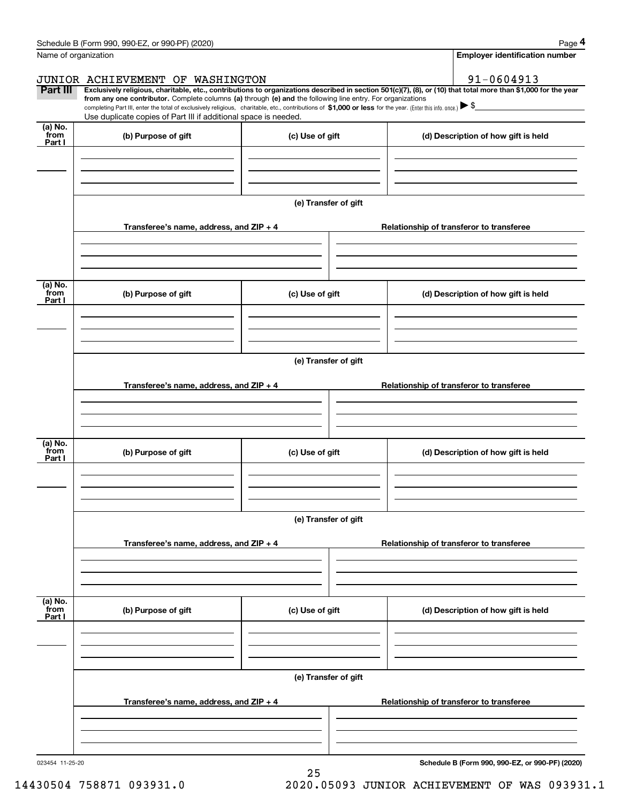| Schedule B (Form 990, 990-EZ, or 990-PF) (2020) | Page |
|-------------------------------------------------|------|
|-------------------------------------------------|------|

| Name of organization      | Schedule B (Form 990, 990-EZ, or 990-PF) (2020)                                                                                                                                                                                                                              |                      |  | Page 4<br><b>Employer identification number</b> |  |
|---------------------------|------------------------------------------------------------------------------------------------------------------------------------------------------------------------------------------------------------------------------------------------------------------------------|----------------------|--|-------------------------------------------------|--|
|                           |                                                                                                                                                                                                                                                                              |                      |  |                                                 |  |
|                           | JUNIOR ACHIEVEMENT OF WASHINGTON                                                                                                                                                                                                                                             |                      |  | 91-0604913                                      |  |
| Part III                  | Exclusively religious, charitable, etc., contributions to organizations described in section 501(c)(7), (8), or (10) that total more than \$1,000 for the year<br>from any one contributor. Complete columns (a) through (e) and the following line entry. For organizations |                      |  |                                                 |  |
|                           | completing Part III, enter the total of exclusively religious, charitable, etc., contributions of \$1,000 or less for the year. (Enter this info. once.) $\blacktriangleright$ \$<br>Use duplicate copies of Part III if additional space is needed.                         |                      |  |                                                 |  |
| (a) No.<br>from           | (b) Purpose of gift                                                                                                                                                                                                                                                          | (c) Use of gift      |  | (d) Description of how gift is held             |  |
| Part I                    |                                                                                                                                                                                                                                                                              |                      |  |                                                 |  |
|                           |                                                                                                                                                                                                                                                                              | (e) Transfer of gift |  |                                                 |  |
|                           | Transferee's name, address, and ZIP + 4                                                                                                                                                                                                                                      |                      |  | Relationship of transferor to transferee        |  |
| (a) No.<br>from           | (b) Purpose of gift                                                                                                                                                                                                                                                          | (c) Use of gift      |  | (d) Description of how gift is held             |  |
| Part I                    |                                                                                                                                                                                                                                                                              |                      |  |                                                 |  |
|                           | (e) Transfer of gift                                                                                                                                                                                                                                                         |                      |  |                                                 |  |
|                           | Transferee's name, address, and ZIP + 4                                                                                                                                                                                                                                      |                      |  | Relationship of transferor to transferee        |  |
| (a) No.<br>from<br>Part I | (b) Purpose of gift                                                                                                                                                                                                                                                          | (c) Use of gift      |  | (d) Description of how gift is held             |  |
|                           | (e) Transfer of gift                                                                                                                                                                                                                                                         |                      |  |                                                 |  |
|                           | Transferee's name, address, and $ZIP + 4$                                                                                                                                                                                                                                    |                      |  | Relationship of transferor to transferee        |  |
| (a) No.<br>from<br>Part I | (b) Purpose of gift                                                                                                                                                                                                                                                          | (c) Use of gift      |  | (d) Description of how gift is held             |  |
|                           |                                                                                                                                                                                                                                                                              |                      |  |                                                 |  |
|                           | (e) Transfer of gift                                                                                                                                                                                                                                                         |                      |  |                                                 |  |
|                           | Transferee's name, address, and $ZIP + 4$                                                                                                                                                                                                                                    |                      |  | Relationship of transferor to transferee        |  |
|                           |                                                                                                                                                                                                                                                                              |                      |  |                                                 |  |

25

023454 11-25-20

**Schedule B (Form 990, 990-EZ, or 990-PF) (2020)**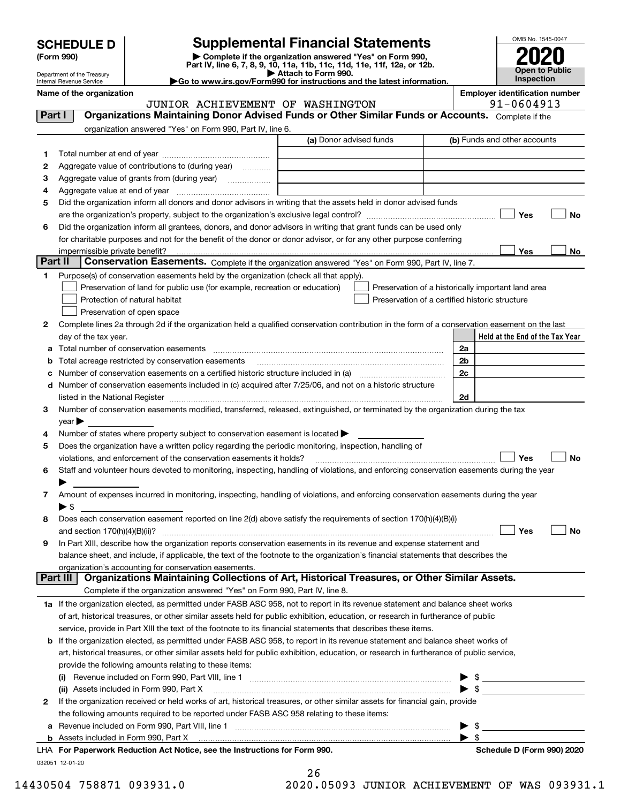| <b>SCHEDULE D</b> |  |
|-------------------|--|
|-------------------|--|

| (Form 990) |  |
|------------|--|
|------------|--|

# **SCHEDULE D Supplemental Financial Statements**

(Form 990)<br>
Pepartment of the Treasury<br>
Department of the Treasury<br>
Department of the Treasury<br>
Department of the Treasury<br> **Co to www.irs.gov/Form990 for instructions and the latest information.**<br> **Co to www.irs.gov/Form9** 



Department of the Treasury Internal Revenue Service

|         | Name of the organization<br>JUNIOR ACHIEVEMENT OF WASHINGTON                                                                                                                                                                            |                                                | <b>Employer identification number</b><br>91-0604913 |
|---------|-----------------------------------------------------------------------------------------------------------------------------------------------------------------------------------------------------------------------------------------|------------------------------------------------|-----------------------------------------------------|
| Part I  | Organizations Maintaining Donor Advised Funds or Other Similar Funds or Accounts. Complete if the                                                                                                                                       |                                                |                                                     |
|         | organization answered "Yes" on Form 990, Part IV, line 6.                                                                                                                                                                               |                                                |                                                     |
|         | (a) Donor advised funds                                                                                                                                                                                                                 |                                                | (b) Funds and other accounts                        |
|         |                                                                                                                                                                                                                                         |                                                |                                                     |
| 1       | Aggregate value of contributions to (during year)                                                                                                                                                                                       |                                                |                                                     |
| 2       |                                                                                                                                                                                                                                         |                                                |                                                     |
| з       | Aggregate value of grants from (during year)                                                                                                                                                                                            |                                                |                                                     |
| 4       |                                                                                                                                                                                                                                         |                                                |                                                     |
| 5       | Did the organization inform all donors and donor advisors in writing that the assets held in donor advised funds                                                                                                                        |                                                | Yes<br>No                                           |
| 6       |                                                                                                                                                                                                                                         |                                                |                                                     |
|         | Did the organization inform all grantees, donors, and donor advisors in writing that grant funds can be used only<br>for charitable purposes and not for the benefit of the donor or donor advisor, or for any other purpose conferring |                                                |                                                     |
|         | impermissible private benefit?                                                                                                                                                                                                          |                                                | Yes<br>No                                           |
| Part II | Conservation Easements. Complete if the organization answered "Yes" on Form 990, Part IV, line 7.                                                                                                                                       |                                                |                                                     |
| 1.      | Purpose(s) of conservation easements held by the organization (check all that apply).                                                                                                                                                   |                                                |                                                     |
|         | Preservation of land for public use (for example, recreation or education)                                                                                                                                                              |                                                |                                                     |
|         | Protection of natural habitat                                                                                                                                                                                                           | Preservation of a certified historic structure | Preservation of a historically important land area  |
|         | Preservation of open space                                                                                                                                                                                                              |                                                |                                                     |
|         | Complete lines 2a through 2d if the organization held a qualified conservation contribution in the form of a conservation easement on the last                                                                                          |                                                |                                                     |
| 2       |                                                                                                                                                                                                                                         |                                                | Held at the End of the Tax Year                     |
|         | day of the tax year.<br>Total number of conservation easements                                                                                                                                                                          |                                                | 2a                                                  |
| а       |                                                                                                                                                                                                                                         |                                                | 2b                                                  |
| b       | Total acreage restricted by conservation easements                                                                                                                                                                                      |                                                | 2c                                                  |
| с       | Number of conservation easements included in (c) acquired after 7/25/06, and not on a historic structure                                                                                                                                |                                                |                                                     |
| d       |                                                                                                                                                                                                                                         |                                                | 2d                                                  |
| З.      | Number of conservation easements modified, transferred, released, extinguished, or terminated by the organization during the tax                                                                                                        |                                                |                                                     |
|         | $year \blacktriangleright$                                                                                                                                                                                                              |                                                |                                                     |
| 4       | Number of states where property subject to conservation easement is located                                                                                                                                                             |                                                |                                                     |
| 5       | Does the organization have a written policy regarding the periodic monitoring, inspection, handling of                                                                                                                                  |                                                |                                                     |
|         | violations, and enforcement of the conservation easements it holds?                                                                                                                                                                     |                                                | Yes<br>No                                           |
| 6       | Staff and volunteer hours devoted to monitoring, inspecting, handling of violations, and enforcing conservation easements during the year                                                                                               |                                                |                                                     |
|         |                                                                                                                                                                                                                                         |                                                |                                                     |
| 7       | Amount of expenses incurred in monitoring, inspecting, handling of violations, and enforcing conservation easements during the year                                                                                                     |                                                |                                                     |
|         | ▶ \$                                                                                                                                                                                                                                    |                                                |                                                     |
| 8       | Does each conservation easement reported on line 2(d) above satisfy the requirements of section 170(h)(4)(B)(i)                                                                                                                         |                                                |                                                     |
|         |                                                                                                                                                                                                                                         |                                                | Yes<br>No                                           |
|         | In Part XIII, describe how the organization reports conservation easements in its revenue and expense statement and                                                                                                                     |                                                |                                                     |
|         | balance sheet, and include, if applicable, the text of the footnote to the organization's financial statements that describes the                                                                                                       |                                                |                                                     |
|         | organization's accounting for conservation easements.                                                                                                                                                                                   |                                                |                                                     |
|         | Organizations Maintaining Collections of Art, Historical Treasures, or Other Similar Assets.<br>Part III                                                                                                                                |                                                |                                                     |
|         | Complete if the organization answered "Yes" on Form 990, Part IV, line 8.                                                                                                                                                               |                                                |                                                     |
|         | 1a If the organization elected, as permitted under FASB ASC 958, not to report in its revenue statement and balance sheet works                                                                                                         |                                                |                                                     |
|         | of art, historical treasures, or other similar assets held for public exhibition, education, or research in furtherance of public                                                                                                       |                                                |                                                     |
|         | service, provide in Part XIII the text of the footnote to its financial statements that describes these items.                                                                                                                          |                                                |                                                     |
| b       | If the organization elected, as permitted under FASB ASC 958, to report in its revenue statement and balance sheet works of                                                                                                             |                                                |                                                     |
|         | art, historical treasures, or other similar assets held for public exhibition, education, or research in furtherance of public service,                                                                                                 |                                                |                                                     |
|         | provide the following amounts relating to these items:                                                                                                                                                                                  |                                                |                                                     |
|         |                                                                                                                                                                                                                                         |                                                | $\mathbb{S}$ . The set of $\mathbb{S}$              |
|         | (ii) Assets included in Form 990, Part X                                                                                                                                                                                                |                                                | $\blacktriangleright$ \$                            |
| 2       | If the organization received or held works of art, historical treasures, or other similar assets for financial gain, provide                                                                                                            |                                                |                                                     |
|         | the following amounts required to be reported under FASB ASC 958 relating to these items:                                                                                                                                               |                                                |                                                     |
| а       |                                                                                                                                                                                                                                         |                                                | \$                                                  |
|         | <b>b</b> Assets included in Form 990, Part X                                                                                                                                                                                            |                                                | $\blacktriangleright$ s                             |
|         | LHA For Paperwork Reduction Act Notice, see the Instructions for Form 990.                                                                                                                                                              |                                                | Schedule D (Form 990) 2020                          |
|         | 032051 12-01-20                                                                                                                                                                                                                         |                                                |                                                     |
|         |                                                                                                                                                                                                                                         |                                                |                                                     |

| 26 |                          |
|----|--------------------------|
|    | O O5093 JUNIOR ACHIRVEME |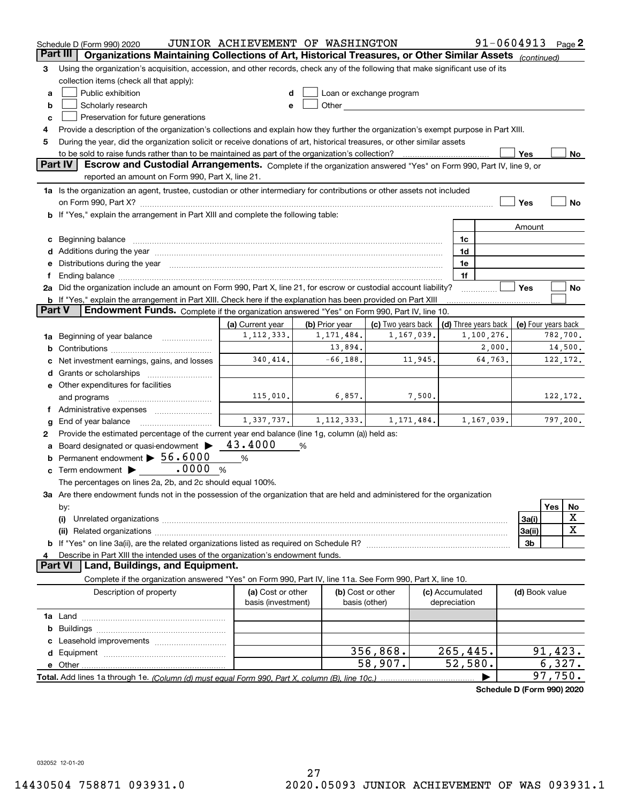|        | Schedule D (Form 990) 2020                                                                                                                                                                                                     | JUNIOR ACHIEVEMENT OF WASHINGTON |                                |                                                                                                                                                                                                                                |                 | $91 - 0604913$ Page 2                                    |                |           |             |
|--------|--------------------------------------------------------------------------------------------------------------------------------------------------------------------------------------------------------------------------------|----------------------------------|--------------------------------|--------------------------------------------------------------------------------------------------------------------------------------------------------------------------------------------------------------------------------|-----------------|----------------------------------------------------------|----------------|-----------|-------------|
|        | Organizations Maintaining Collections of Art, Historical Treasures, or Other Similar Assets (continued)<br>Part III                                                                                                            |                                  |                                |                                                                                                                                                                                                                                |                 |                                                          |                |           |             |
| З      | Using the organization's acquisition, accession, and other records, check any of the following that make significant use of its                                                                                                |                                  |                                |                                                                                                                                                                                                                                |                 |                                                          |                |           |             |
|        | collection items (check all that apply):                                                                                                                                                                                       |                                  |                                |                                                                                                                                                                                                                                |                 |                                                          |                |           |             |
| a      | Public exhibition                                                                                                                                                                                                              |                                  |                                | Loan or exchange program                                                                                                                                                                                                       |                 |                                                          |                |           |             |
| b      | Scholarly research                                                                                                                                                                                                             |                                  |                                | Other and the control of the control of the control of the control of the control of the control of the control of the control of the control of the control of the control of the control of the control of the control of th |                 |                                                          |                |           |             |
| c      | Preservation for future generations                                                                                                                                                                                            |                                  |                                |                                                                                                                                                                                                                                |                 |                                                          |                |           |             |
| 4      | Provide a description of the organization's collections and explain how they further the organization's exempt purpose in Part XIII.                                                                                           |                                  |                                |                                                                                                                                                                                                                                |                 |                                                          |                |           |             |
| 5      | During the year, did the organization solicit or receive donations of art, historical treasures, or other similar assets                                                                                                       |                                  |                                |                                                                                                                                                                                                                                |                 |                                                          |                |           |             |
|        | to be sold to raise funds rather than to be maintained as part of the organization's collection?                                                                                                                               |                                  |                                |                                                                                                                                                                                                                                |                 |                                                          | Yes            |           | No          |
|        | <b>Part IV</b><br>Escrow and Custodial Arrangements. Complete if the organization answered "Yes" on Form 990, Part IV, line 9, or                                                                                              |                                  |                                |                                                                                                                                                                                                                                |                 |                                                          |                |           |             |
|        | reported an amount on Form 990, Part X, line 21.                                                                                                                                                                               |                                  |                                |                                                                                                                                                                                                                                |                 |                                                          |                |           |             |
|        | 1a Is the organization an agent, trustee, custodian or other intermediary for contributions or other assets not included                                                                                                       |                                  |                                |                                                                                                                                                                                                                                |                 |                                                          |                |           |             |
|        |                                                                                                                                                                                                                                |                                  |                                |                                                                                                                                                                                                                                |                 |                                                          | Yes            |           | No          |
|        | <b>b</b> If "Yes," explain the arrangement in Part XIII and complete the following table:                                                                                                                                      |                                  |                                |                                                                                                                                                                                                                                |                 |                                                          |                |           |             |
|        |                                                                                                                                                                                                                                |                                  |                                |                                                                                                                                                                                                                                |                 |                                                          | Amount         |           |             |
|        |                                                                                                                                                                                                                                |                                  |                                |                                                                                                                                                                                                                                | 1c              |                                                          |                |           |             |
|        | Additions during the year manufactured and an account of the year manufactured and account of the year manufactured and account of the year manufactured and account of the year manufactured and account of the year manufact |                                  |                                |                                                                                                                                                                                                                                | 1d              |                                                          |                |           |             |
|        | Distributions during the year manufactured and an account of the state of the state of the state of the state o                                                                                                                |                                  |                                |                                                                                                                                                                                                                                | 1e              |                                                          |                |           |             |
|        |                                                                                                                                                                                                                                |                                  |                                |                                                                                                                                                                                                                                | 1f              |                                                          |                |           |             |
|        | 2a Did the organization include an amount on Form 990, Part X, line 21, for escrow or custodial account liability?                                                                                                             |                                  |                                |                                                                                                                                                                                                                                |                 |                                                          | Yes            |           | No          |
| Part V | <b>b</b> If "Yes," explain the arrangement in Part XIII. Check here if the explanation has been provided on Part XIII<br>Endowment Funds. Complete if the organization answered "Yes" on Form 990, Part IV, line 10.           |                                  |                                |                                                                                                                                                                                                                                |                 |                                                          |                |           |             |
|        |                                                                                                                                                                                                                                |                                  |                                |                                                                                                                                                                                                                                |                 |                                                          |                |           |             |
|        |                                                                                                                                                                                                                                | (a) Current year<br>1, 112, 333. | (b) Prior year<br>1, 171, 484. | (c) Two years back<br>1,167,039.                                                                                                                                                                                               |                 | (d) Three years back   (e) Four years back<br>1,100,276. |                | 782,700.  |             |
| 1a     | Beginning of year balance                                                                                                                                                                                                      |                                  | 13,894.                        |                                                                                                                                                                                                                                |                 | 2,000.                                                   |                |           | 14,500.     |
| b      |                                                                                                                                                                                                                                | 340,414.                         | $-66, 188.$                    | 11,945.                                                                                                                                                                                                                        |                 | 64,763.                                                  |                | 122, 172. |             |
|        | Net investment earnings, gains, and losses                                                                                                                                                                                     |                                  |                                |                                                                                                                                                                                                                                |                 |                                                          |                |           |             |
|        | Grants or scholarships                                                                                                                                                                                                         |                                  |                                |                                                                                                                                                                                                                                |                 |                                                          |                |           |             |
|        | e Other expenditures for facilities                                                                                                                                                                                            | 115,010.                         | 6,857.                         | 7,500.                                                                                                                                                                                                                         |                 |                                                          |                |           | 122, 172.   |
|        | and programs                                                                                                                                                                                                                   |                                  |                                |                                                                                                                                                                                                                                |                 |                                                          |                |           |             |
|        |                                                                                                                                                                                                                                |                                  | $1,337,737.$ $1,112,333.$      | 1, 171, 484.                                                                                                                                                                                                                   |                 | 1,167,039.                                               |                |           | 797,200.    |
| g<br>2 | End of year balance<br>Provide the estimated percentage of the current year end balance (line 1g, column (a)) held as:                                                                                                         |                                  |                                |                                                                                                                                                                                                                                |                 |                                                          |                |           |             |
|        | Board designated or quasi-endowment >                                                                                                                                                                                          | 43.4000                          | %                              |                                                                                                                                                                                                                                |                 |                                                          |                |           |             |
| b      | Permanent endowment > 56.6000                                                                                                                                                                                                  | %                                |                                |                                                                                                                                                                                                                                |                 |                                                          |                |           |             |
| c      | .0000<br>Term endowment ><br>%                                                                                                                                                                                                 |                                  |                                |                                                                                                                                                                                                                                |                 |                                                          |                |           |             |
|        | The percentages on lines 2a, 2b, and 2c should equal 100%.                                                                                                                                                                     |                                  |                                |                                                                                                                                                                                                                                |                 |                                                          |                |           |             |
|        | 3a Are there endowment funds not in the possession of the organization that are held and administered for the organization                                                                                                     |                                  |                                |                                                                                                                                                                                                                                |                 |                                                          |                |           |             |
|        | by:                                                                                                                                                                                                                            |                                  |                                |                                                                                                                                                                                                                                |                 |                                                          |                | Yes       | No          |
|        | (i)                                                                                                                                                                                                                            |                                  |                                |                                                                                                                                                                                                                                |                 |                                                          | 3a(i)          |           | X           |
|        |                                                                                                                                                                                                                                |                                  |                                |                                                                                                                                                                                                                                |                 |                                                          | 3a(ii)         |           | $\mathbf X$ |
|        |                                                                                                                                                                                                                                |                                  |                                |                                                                                                                                                                                                                                |                 |                                                          | 3b             |           |             |
|        | Describe in Part XIII the intended uses of the organization's endowment funds.                                                                                                                                                 |                                  |                                |                                                                                                                                                                                                                                |                 |                                                          |                |           |             |
|        | Land, Buildings, and Equipment.<br>Part VI                                                                                                                                                                                     |                                  |                                |                                                                                                                                                                                                                                |                 |                                                          |                |           |             |
|        | Complete if the organization answered "Yes" on Form 990, Part IV, line 11a. See Form 990, Part X, line 10.                                                                                                                     |                                  |                                |                                                                                                                                                                                                                                |                 |                                                          |                |           |             |
|        | Description of property                                                                                                                                                                                                        | (a) Cost or other                |                                | (b) Cost or other                                                                                                                                                                                                              | (c) Accumulated |                                                          | (d) Book value |           |             |
|        |                                                                                                                                                                                                                                | basis (investment)               |                                | basis (other)                                                                                                                                                                                                                  | depreciation    |                                                          |                |           |             |
|        |                                                                                                                                                                                                                                |                                  |                                |                                                                                                                                                                                                                                |                 |                                                          |                |           |             |
| b      |                                                                                                                                                                                                                                |                                  |                                |                                                                                                                                                                                                                                |                 |                                                          |                |           |             |
|        |                                                                                                                                                                                                                                |                                  |                                |                                                                                                                                                                                                                                |                 |                                                          |                |           |             |
| d      |                                                                                                                                                                                                                                |                                  |                                | 356,868.                                                                                                                                                                                                                       | 265,445.        |                                                          |                | 91,423.   |             |
|        |                                                                                                                                                                                                                                |                                  |                                | 58,907.                                                                                                                                                                                                                        | 52,580.         |                                                          |                | 6,327.    |             |
|        |                                                                                                                                                                                                                                |                                  |                                |                                                                                                                                                                                                                                |                 |                                                          |                | 97,750.   |             |
|        |                                                                                                                                                                                                                                |                                  |                                |                                                                                                                                                                                                                                |                 | Schedule D (Form 990) 2020                               |                |           |             |

032052 12-01-20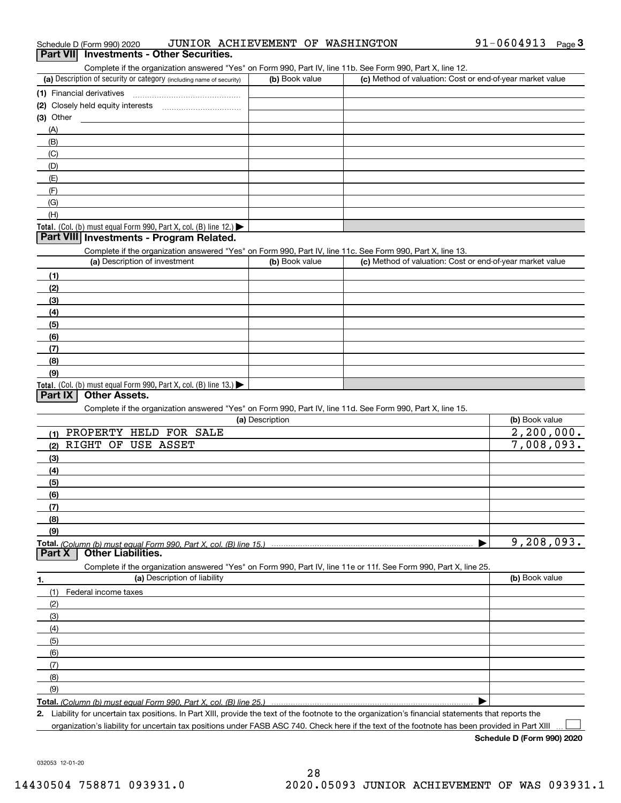| Schedule D (Form 990) 2020                      | JUNIOR ACHIEVEMENT OF WASHINGTON |                                                                                                            | 91-0604913 | $P$ age $3$ |
|-------------------------------------------------|----------------------------------|------------------------------------------------------------------------------------------------------------|------------|-------------|
| <b>Part VII</b> Investments - Other Securities. |                                  |                                                                                                            |            |             |
|                                                 |                                  | Complete if the organization answered "Yes" on Form 990, Part IV, line 11b. See Form 990, Part X, line 12. |            |             |

| (a) Description of security or category (including name of security)                   | (b) Book value | (c) Method of valuation: Cost or end-of-year market value |
|----------------------------------------------------------------------------------------|----------------|-----------------------------------------------------------|
| (1) Financial derivatives                                                              |                |                                                           |
| (2) Closely held equity interests                                                      |                |                                                           |
| $(3)$ Other                                                                            |                |                                                           |
| (A)                                                                                    |                |                                                           |
| (B)                                                                                    |                |                                                           |
| (C)                                                                                    |                |                                                           |
| (D)                                                                                    |                |                                                           |
| (E)                                                                                    |                |                                                           |
| (F)                                                                                    |                |                                                           |
| (G)                                                                                    |                |                                                           |
| (H)                                                                                    |                |                                                           |
| Total. (Col. (b) must equal Form 990, Part X, col. (B) line 12.) $\blacktriangleright$ |                |                                                           |

## **Part VIII Investments - Program Related.**

Complete if the organization answered "Yes" on Form 990, Part IV, line 11c. See Form 990, Part X, line 13.

| $\sim$<br>(a) Description of investment                          | (b) Book value | (c) Method of valuation: Cost or end-of-year market value |
|------------------------------------------------------------------|----------------|-----------------------------------------------------------|
| (1)                                                              |                |                                                           |
| (2)                                                              |                |                                                           |
| $\left(3\right)$                                                 |                |                                                           |
| (4)                                                              |                |                                                           |
| $\left(5\right)$                                                 |                |                                                           |
| (6)                                                              |                |                                                           |
| (7)                                                              |                |                                                           |
| (8)                                                              |                |                                                           |
| (9)                                                              |                |                                                           |
| Total. (Col. (b) must equal Form 990, Part X, col. (B) line 13.) |                |                                                           |

### **Part IX Other Assets.**

Complete if the organization answered "Yes" on Form 990, Part IV, line 11d. See Form 990, Part X, line 15.

| (a) Description                                                                                                   | (b) Book value |
|-------------------------------------------------------------------------------------------------------------------|----------------|
| HELD FOR SALE<br>PROPERTY<br>(1)                                                                                  | 2, 200, 000.   |
| RIGHT<br>OF<br><b>USE ASSET</b><br>(2)                                                                            | 7,008,093.     |
| (3)                                                                                                               |                |
| (4)                                                                                                               |                |
| (5)                                                                                                               |                |
| (6)                                                                                                               |                |
| (7)                                                                                                               |                |
| (8)                                                                                                               |                |
| (9)                                                                                                               |                |
| Total. (Column (b) must equal Form 990, Part X, col. (B) line 15.)                                                | 9,208,093.     |
| <b>Other Liabilities.</b><br>Part X                                                                               |                |
|                                                                                                                   |                |
| Complete if the organization answered "Yes" on Form 990, Part IV, line 11e or 11f. See Form 990, Part X, line 25. |                |
| (a) Description of liability<br>1.                                                                                | (b) Book value |
| Federal income taxes<br>(1)                                                                                       |                |
| (2)                                                                                                               |                |
| (3)                                                                                                               |                |
| (4)                                                                                                               |                |
| (5)                                                                                                               |                |
| (6)                                                                                                               |                |
| (7)                                                                                                               |                |
| (8)                                                                                                               |                |
| (9)                                                                                                               |                |

**Total.**  *(Column (b) must equal Form 990, Part X, col. (B) line 25.)* 

**2.**Liability for uncertain tax positions. In Part XIII, provide the text of the footnote to the organization's financial statements that reports the organization's liability for uncertain tax positions under FASB ASC 740. Check here if the text of the footnote has been provided in Part XIII

**Schedule D (Form 990) 2020**

 $\mathcal{L}^{\text{max}}$ 

032053 12-01-20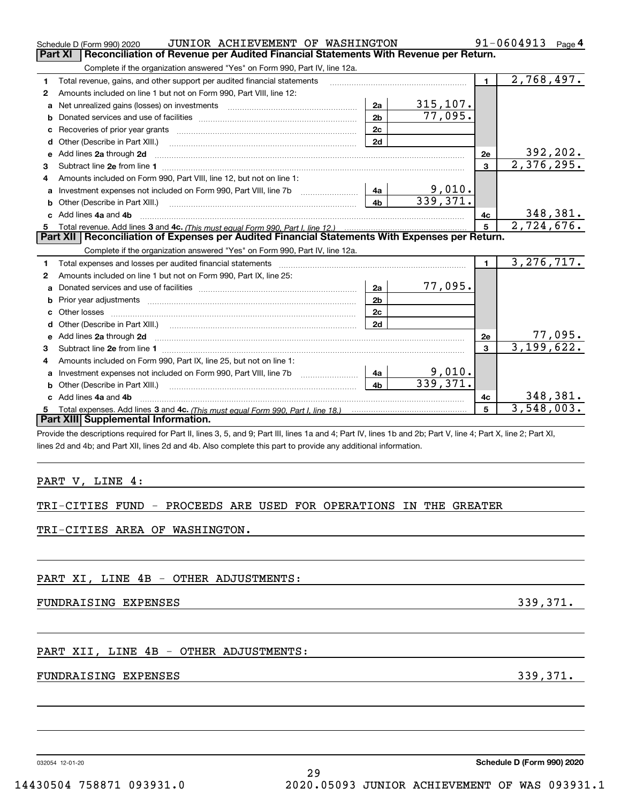|              | JUNIOR ACHIEVEMENT OF WASHINGTON<br>Schedule D (Form 990) 2020<br>Reconciliation of Revenue per Audited Financial Statements With Revenue per Return.<br><b>Part XI</b>                                                        |                |                           |              | 91-0604913<br>Page $4$      |
|--------------|--------------------------------------------------------------------------------------------------------------------------------------------------------------------------------------------------------------------------------|----------------|---------------------------|--------------|-----------------------------|
|              |                                                                                                                                                                                                                                |                |                           |              |                             |
|              | Complete if the organization answered "Yes" on Form 990, Part IV, line 12a.                                                                                                                                                    |                |                           |              | 2,768,497.                  |
| 1.           | Total revenue, gains, and other support per audited financial statements                                                                                                                                                       |                |                           | $\mathbf{1}$ |                             |
| $\mathbf{2}$ | Amounts included on line 1 but not on Form 990, Part VIII, line 12:                                                                                                                                                            | 2a             | 315, 107.                 |              |                             |
| a            | Net unrealized gains (losses) on investments [11] manufacture in the unrealized manufacture in the unrealised                                                                                                                  | 2 <sub>b</sub> | 77,095.                   |              |                             |
| b            |                                                                                                                                                                                                                                | 2c             |                           |              |                             |
| c            | Recoveries of prior year grants [111] [12] matter contracts are priority in the coveries of prior year grants<br>Other (Describe in Part XIII.)                                                                                | 2d             |                           |              |                             |
| d<br>е       | Add lines 2a through 2d                                                                                                                                                                                                        |                |                           | 2e           |                             |
| 3            |                                                                                                                                                                                                                                |                |                           | $\mathbf{R}$ | $\frac{392,202}{2,376,295}$ |
| 4            | Amounts included on Form 990, Part VIII, line 12, but not on line 1:                                                                                                                                                           |                |                           |              |                             |
| a            |                                                                                                                                                                                                                                | 4a             |                           |              |                             |
| b            |                                                                                                                                                                                                                                | 4b             | $\frac{9,010}{339,371}$ . |              |                             |
|              | c Add lines 4a and 4b                                                                                                                                                                                                          |                |                           | 4с           | 348,381.                    |
| 5            |                                                                                                                                                                                                                                |                |                           | 5            | 2,724,676.                  |
|              | Part XII   Reconciliation of Expenses per Audited Financial Statements With Expenses per Return.                                                                                                                               |                |                           |              |                             |
|              | Complete if the organization answered "Yes" on Form 990, Part IV, line 12a.                                                                                                                                                    |                |                           |              |                             |
| 1            | Total expenses and losses per audited financial statements [11] [12] contain an according to the statements [11] [12] and an according to the statements [12] and according to the statement of the statement of the statement |                |                           | 1.           | 3, 276, 717.                |
| $\mathbf{2}$ | Amounts included on line 1 but not on Form 990, Part IX, line 25:                                                                                                                                                              |                |                           |              |                             |
| a            |                                                                                                                                                                                                                                | 2a             | 77,095.                   |              |                             |
|              |                                                                                                                                                                                                                                | 2 <sub>b</sub> |                           |              |                             |
|              |                                                                                                                                                                                                                                | 2c             |                           |              |                             |
| d            |                                                                                                                                                                                                                                | 2d             |                           |              |                             |
| е            | Add lines 2a through 2d                                                                                                                                                                                                        |                |                           | 2e           | $\frac{77,095}{3,199,622}$  |
| 3            |                                                                                                                                                                                                                                |                |                           | 3            |                             |
| 4            | Amounts included on Form 990, Part IX, line 25, but not on line 1:                                                                                                                                                             |                |                           |              |                             |
| а            | Investment expenses not included on Form 990, Part VIII, line 7b                                                                                                                                                               | 4a             | 9,010.                    |              |                             |
| b            |                                                                                                                                                                                                                                | 4 <sub>h</sub> | 339,371.                  |              |                             |
|              | c Add lines 4a and 4b                                                                                                                                                                                                          |                |                           | 4c           | 348,381.                    |
| 5.           |                                                                                                                                                                                                                                |                |                           | 5            | 3,548,003.                  |
|              | <b>Part XIII Supplemental Information.</b>                                                                                                                                                                                     |                |                           |              |                             |
|              | Provide the descriptions required for Part II, lines 3, 5, and 9; Part III, lines 1a and 4; Part IV, lines 1b and 2b; Part V, line 4; Part X, line 2; Part XI,                                                                 |                |                           |              |                             |
|              | lines 2d and 4b; and Part XII, lines 2d and 4b. Also complete this part to provide any additional information.                                                                                                                 |                |                           |              |                             |
|              |                                                                                                                                                                                                                                |                |                           |              |                             |
|              |                                                                                                                                                                                                                                |                |                           |              |                             |
|              | PART V, LINE 4:                                                                                                                                                                                                                |                |                           |              |                             |
|              |                                                                                                                                                                                                                                |                |                           |              |                             |
|              | TRI-CITIES FUND - PROCEEDS ARE USED FOR OPERATIONS IN THE GREATER                                                                                                                                                              |                |                           |              |                             |

### TRI-CITIES AREA OF WASHINGTON.

PART XI, LINE 4B - OTHER ADJUSTMENTS:

FUNDRAISING EXPENSES 339,371.

PART XII, LINE 4B - OTHER ADJUSTMENTS:

# FUNDRAISING EXPENSES 339,371.

032054 12-01-20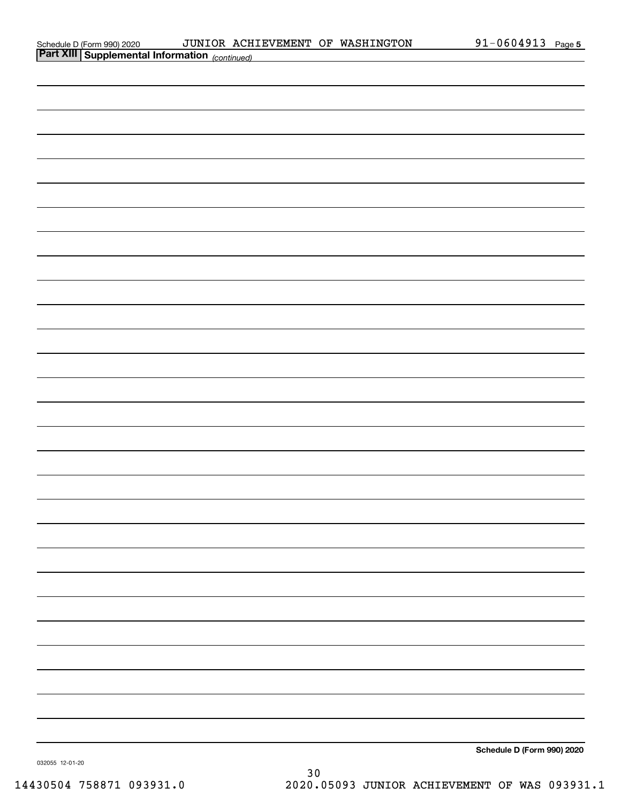| Schedule D (Form 990) 2020 |  |
|----------------------------|--|
|                            |  |

| <b>Part XIII Supplemental Information</b> (continued) |  |                            |
|-------------------------------------------------------|--|----------------------------|
|                                                       |  |                            |
|                                                       |  |                            |
|                                                       |  |                            |
|                                                       |  |                            |
|                                                       |  |                            |
|                                                       |  |                            |
|                                                       |  |                            |
|                                                       |  |                            |
|                                                       |  |                            |
|                                                       |  |                            |
|                                                       |  |                            |
|                                                       |  |                            |
|                                                       |  |                            |
|                                                       |  |                            |
|                                                       |  |                            |
|                                                       |  |                            |
|                                                       |  |                            |
|                                                       |  |                            |
|                                                       |  |                            |
|                                                       |  |                            |
|                                                       |  |                            |
|                                                       |  |                            |
|                                                       |  |                            |
|                                                       |  |                            |
|                                                       |  |                            |
|                                                       |  |                            |
|                                                       |  |                            |
|                                                       |  |                            |
|                                                       |  |                            |
|                                                       |  | Schedule D (Form 990) 2020 |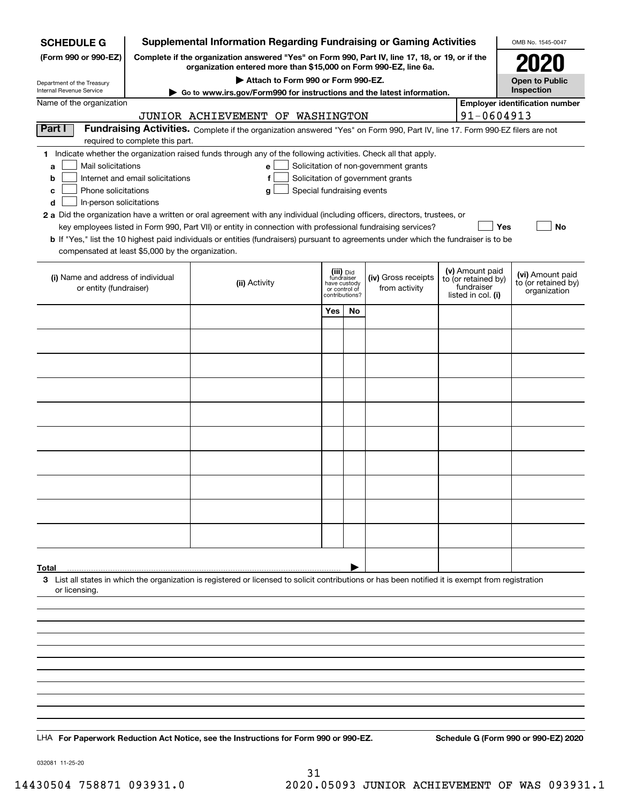| Supplemental Information Regarding Fundraising or Gaming Activities<br><b>SCHEDULE G</b>                                                                                                   |                                                                                                                                                                     |                                                                                                                                                                                                                                           |                                                 |    |                     |  | OMB No. 1545-0047                      |                                       |  |  |
|--------------------------------------------------------------------------------------------------------------------------------------------------------------------------------------------|---------------------------------------------------------------------------------------------------------------------------------------------------------------------|-------------------------------------------------------------------------------------------------------------------------------------------------------------------------------------------------------------------------------------------|-------------------------------------------------|----|---------------------|--|----------------------------------------|---------------------------------------|--|--|
| (Form 990 or 990-EZ)                                                                                                                                                                       | Complete if the organization answered "Yes" on Form 990, Part IV, line 17, 18, or 19, or if the<br>organization entered more than \$15,000 on Form 990-EZ, line 6a. |                                                                                                                                                                                                                                           |                                                 |    |                     |  |                                        |                                       |  |  |
| Department of the Treasury                                                                                                                                                                 | Attach to Form 990 or Form 990-EZ.                                                                                                                                  |                                                                                                                                                                                                                                           |                                                 |    |                     |  |                                        | <b>Open to Public</b>                 |  |  |
| Internal Revenue Service                                                                                                                                                                   | Go to www.irs.gov/Form990 for instructions and the latest information.                                                                                              |                                                                                                                                                                                                                                           |                                                 |    |                     |  |                                        | Inspection                            |  |  |
| Name of the organization                                                                                                                                                                   |                                                                                                                                                                     | JUNIOR ACHIEVEMENT OF WASHINGTON                                                                                                                                                                                                          |                                                 |    |                     |  | 91-0604913                             | <b>Employer identification number</b> |  |  |
| Part I                                                                                                                                                                                     |                                                                                                                                                                     | Fundraising Activities. Complete if the organization answered "Yes" on Form 990, Part IV, line 17. Form 990-EZ filers are not                                                                                                             |                                                 |    |                     |  |                                        |                                       |  |  |
|                                                                                                                                                                                            | required to complete this part.                                                                                                                                     |                                                                                                                                                                                                                                           |                                                 |    |                     |  |                                        |                                       |  |  |
| 1 Indicate whether the organization raised funds through any of the following activities. Check all that apply.<br>Mail solicitations<br>Solicitation of non-government grants<br>e l<br>a |                                                                                                                                                                     |                                                                                                                                                                                                                                           |                                                 |    |                     |  |                                        |                                       |  |  |
| b                                                                                                                                                                                          | Solicitation of government grants<br>Internet and email solicitations<br>f                                                                                          |                                                                                                                                                                                                                                           |                                                 |    |                     |  |                                        |                                       |  |  |
| Phone solicitations<br>с                                                                                                                                                                   |                                                                                                                                                                     | Special fundraising events<br>g                                                                                                                                                                                                           |                                                 |    |                     |  |                                        |                                       |  |  |
| d<br>In-person solicitations                                                                                                                                                               |                                                                                                                                                                     |                                                                                                                                                                                                                                           |                                                 |    |                     |  |                                        |                                       |  |  |
|                                                                                                                                                                                            |                                                                                                                                                                     | 2 a Did the organization have a written or oral agreement with any individual (including officers, directors, trustees, or<br>key employees listed in Form 990, Part VII) or entity in connection with professional fundraising services? |                                                 |    |                     |  | Yes                                    | No                                    |  |  |
|                                                                                                                                                                                            |                                                                                                                                                                     | <b>b</b> If "Yes," list the 10 highest paid individuals or entities (fundraisers) pursuant to agreements under which the fundraiser is to be                                                                                              |                                                 |    |                     |  |                                        |                                       |  |  |
| compensated at least \$5,000 by the organization.                                                                                                                                          |                                                                                                                                                                     |                                                                                                                                                                                                                                           |                                                 |    |                     |  |                                        |                                       |  |  |
| (i) Name and address of individual                                                                                                                                                         |                                                                                                                                                                     |                                                                                                                                                                                                                                           | (iii) Did<br>fundraiser                         |    | (iv) Gross receipts |  | (v) Amount paid<br>to (or retained by) | (vi) Amount paid                      |  |  |
| or entity (fundraiser)                                                                                                                                                                     |                                                                                                                                                                     | (ii) Activity                                                                                                                                                                                                                             | have custody<br>or control of<br>contributions? |    | from activity       |  | fundraiser<br>listed in col. (i)       | to (or retained by)<br>organization   |  |  |
|                                                                                                                                                                                            |                                                                                                                                                                     |                                                                                                                                                                                                                                           | Yes                                             | No |                     |  |                                        |                                       |  |  |
|                                                                                                                                                                                            |                                                                                                                                                                     |                                                                                                                                                                                                                                           |                                                 |    |                     |  |                                        |                                       |  |  |
|                                                                                                                                                                                            |                                                                                                                                                                     |                                                                                                                                                                                                                                           |                                                 |    |                     |  |                                        |                                       |  |  |
|                                                                                                                                                                                            |                                                                                                                                                                     |                                                                                                                                                                                                                                           |                                                 |    |                     |  |                                        |                                       |  |  |
|                                                                                                                                                                                            |                                                                                                                                                                     |                                                                                                                                                                                                                                           |                                                 |    |                     |  |                                        |                                       |  |  |
|                                                                                                                                                                                            |                                                                                                                                                                     |                                                                                                                                                                                                                                           |                                                 |    |                     |  |                                        |                                       |  |  |
|                                                                                                                                                                                            |                                                                                                                                                                     |                                                                                                                                                                                                                                           |                                                 |    |                     |  |                                        |                                       |  |  |
|                                                                                                                                                                                            |                                                                                                                                                                     |                                                                                                                                                                                                                                           |                                                 |    |                     |  |                                        |                                       |  |  |
|                                                                                                                                                                                            |                                                                                                                                                                     |                                                                                                                                                                                                                                           |                                                 |    |                     |  |                                        |                                       |  |  |
|                                                                                                                                                                                            |                                                                                                                                                                     |                                                                                                                                                                                                                                           |                                                 |    |                     |  |                                        |                                       |  |  |
|                                                                                                                                                                                            |                                                                                                                                                                     |                                                                                                                                                                                                                                           |                                                 |    |                     |  |                                        |                                       |  |  |
|                                                                                                                                                                                            |                                                                                                                                                                     |                                                                                                                                                                                                                                           |                                                 |    |                     |  |                                        |                                       |  |  |
|                                                                                                                                                                                            |                                                                                                                                                                     |                                                                                                                                                                                                                                           |                                                 |    |                     |  |                                        |                                       |  |  |
|                                                                                                                                                                                            |                                                                                                                                                                     |                                                                                                                                                                                                                                           |                                                 |    |                     |  |                                        |                                       |  |  |
|                                                                                                                                                                                            |                                                                                                                                                                     |                                                                                                                                                                                                                                           |                                                 |    |                     |  |                                        |                                       |  |  |
|                                                                                                                                                                                            |                                                                                                                                                                     |                                                                                                                                                                                                                                           |                                                 |    |                     |  |                                        |                                       |  |  |
| Total                                                                                                                                                                                      |                                                                                                                                                                     |                                                                                                                                                                                                                                           |                                                 |    |                     |  |                                        |                                       |  |  |
| or licensing.                                                                                                                                                                              |                                                                                                                                                                     | 3 List all states in which the organization is registered or licensed to solicit contributions or has been notified it is exempt from registration                                                                                        |                                                 |    |                     |  |                                        |                                       |  |  |
|                                                                                                                                                                                            |                                                                                                                                                                     |                                                                                                                                                                                                                                           |                                                 |    |                     |  |                                        |                                       |  |  |
|                                                                                                                                                                                            |                                                                                                                                                                     |                                                                                                                                                                                                                                           |                                                 |    |                     |  |                                        |                                       |  |  |
|                                                                                                                                                                                            |                                                                                                                                                                     |                                                                                                                                                                                                                                           |                                                 |    |                     |  |                                        |                                       |  |  |
|                                                                                                                                                                                            |                                                                                                                                                                     |                                                                                                                                                                                                                                           |                                                 |    |                     |  |                                        |                                       |  |  |
|                                                                                                                                                                                            |                                                                                                                                                                     |                                                                                                                                                                                                                                           |                                                 |    |                     |  |                                        |                                       |  |  |
|                                                                                                                                                                                            |                                                                                                                                                                     |                                                                                                                                                                                                                                           |                                                 |    |                     |  |                                        |                                       |  |  |
|                                                                                                                                                                                            |                                                                                                                                                                     |                                                                                                                                                                                                                                           |                                                 |    |                     |  |                                        |                                       |  |  |
|                                                                                                                                                                                            |                                                                                                                                                                     |                                                                                                                                                                                                                                           |                                                 |    |                     |  |                                        |                                       |  |  |
|                                                                                                                                                                                            |                                                                                                                                                                     | LHA For Paperwork Reduction Act Notice, see the Instructions for Form 990 or 990-EZ.                                                                                                                                                      |                                                 |    |                     |  |                                        | Schedule G (Form 990 or 990-EZ) 2020  |  |  |
|                                                                                                                                                                                            |                                                                                                                                                                     |                                                                                                                                                                                                                                           |                                                 |    |                     |  |                                        |                                       |  |  |

032081 11-25-20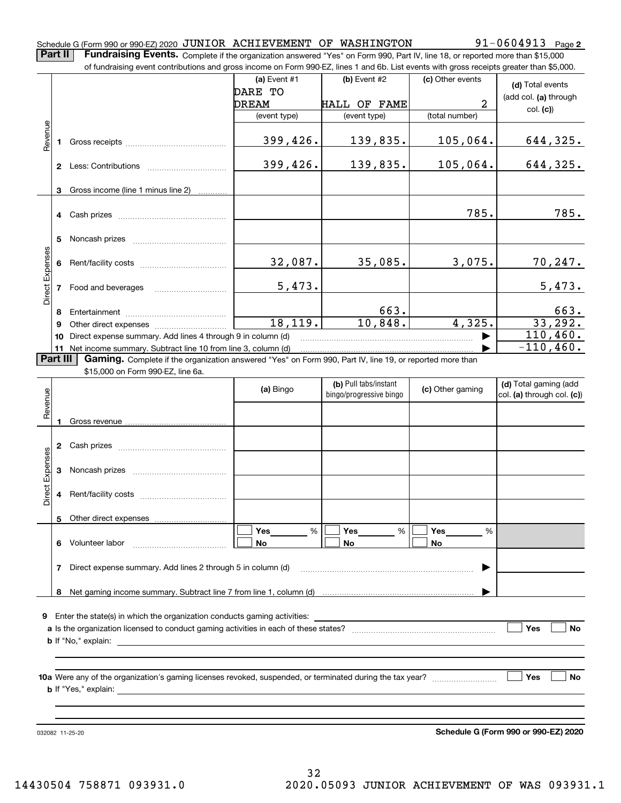# Schedule G (Form 990 or 990-EZ) 2020 <code>JUNIOR ACHIEVEMENT OF WASHINGTON</code>  $91-0604913$  <code>Page</code>

**2**

**Part II** | Fundraising Events. Complete if the organization answered "Yes" on Form 990, Part IV, line 18, or reported more than \$15,000 of fundraising event contributions and gross income on Form 990-EZ, lines

|                 |                | of fundraising event contributions and gross income on Form 990-EZ, lines 1 and 6b. List events with gross receipts greater than \$5,000.                                                                                                 |                |                         |                  |                                      |
|-----------------|----------------|-------------------------------------------------------------------------------------------------------------------------------------------------------------------------------------------------------------------------------------------|----------------|-------------------------|------------------|--------------------------------------|
|                 |                |                                                                                                                                                                                                                                           | (a) Event $#1$ | $(b)$ Event #2          | (c) Other events | (d) Total events                     |
|                 |                |                                                                                                                                                                                                                                           | DARE TO        |                         |                  | (add col. (a) through                |
|                 |                |                                                                                                                                                                                                                                           | DREAM          | <b>HALL OF FAME</b>     | 2                | col. (c)                             |
|                 |                |                                                                                                                                                                                                                                           | (event type)   | (event type)            | (total number)   |                                      |
| Revenue         | 1              |                                                                                                                                                                                                                                           | 399,426.       | 139,835.                | 105,064.         | 644,325.                             |
|                 |                |                                                                                                                                                                                                                                           | 399,426.       | 139,835.                | 105,064.         | 644,325.                             |
|                 |                |                                                                                                                                                                                                                                           |                |                         |                  |                                      |
|                 | 3              | Gross income (line 1 minus line 2)                                                                                                                                                                                                        |                |                         |                  |                                      |
|                 | 4              |                                                                                                                                                                                                                                           |                |                         | 785.             | 785.                                 |
|                 |                |                                                                                                                                                                                                                                           |                |                         |                  |                                      |
|                 | 5              |                                                                                                                                                                                                                                           |                |                         |                  |                                      |
|                 |                |                                                                                                                                                                                                                                           |                |                         |                  |                                      |
| Direct Expenses | 6              |                                                                                                                                                                                                                                           | 32,087.        | 35,085.                 | 3,075.           | <u>70,247.</u>                       |
|                 |                |                                                                                                                                                                                                                                           |                |                         |                  |                                      |
|                 | 7              | Food and beverages                                                                                                                                                                                                                        | 5,473.         |                         |                  | 5,473.                               |
|                 |                |                                                                                                                                                                                                                                           |                |                         |                  |                                      |
|                 | 8              |                                                                                                                                                                                                                                           | 18, 119.       | 663.<br>10,848.         | 4,325.           | 663.<br>33, 292.                     |
|                 | 9              |                                                                                                                                                                                                                                           |                |                         |                  | 110,460.                             |
|                 | 10             | Direct expense summary. Add lines 4 through 9 in column (d)                                                                                                                                                                               |                |                         |                  | $-110, 460.$                         |
|                 | 11<br>Part III | Net income summary. Subtract line 10 from line 3, column (d)<br>Gaming. Complete if the organization answered "Yes" on Form 990, Part IV, line 19, or reported more than                                                                  |                |                         |                  |                                      |
|                 |                | \$15,000 on Form 990-EZ, line 6a.                                                                                                                                                                                                         |                |                         |                  |                                      |
|                 |                |                                                                                                                                                                                                                                           |                | (b) Pull tabs/instant   |                  | (d) Total gaming (add                |
|                 |                |                                                                                                                                                                                                                                           | (a) Bingo      | bingo/progressive bingo | (c) Other gaming | col. (a) through col. (c))           |
| Revenue         |                |                                                                                                                                                                                                                                           |                |                         |                  |                                      |
|                 | 1              |                                                                                                                                                                                                                                           |                |                         |                  |                                      |
|                 |                |                                                                                                                                                                                                                                           |                |                         |                  |                                      |
|                 | 2              |                                                                                                                                                                                                                                           |                |                         |                  |                                      |
|                 |                |                                                                                                                                                                                                                                           |                |                         |                  |                                      |
|                 | 3              |                                                                                                                                                                                                                                           |                |                         |                  |                                      |
| Direct Expenses |                |                                                                                                                                                                                                                                           |                |                         |                  |                                      |
|                 | 4              |                                                                                                                                                                                                                                           |                |                         |                  |                                      |
|                 |                |                                                                                                                                                                                                                                           |                |                         |                  |                                      |
|                 |                | 5 Other direct expenses                                                                                                                                                                                                                   |                |                         |                  |                                      |
|                 |                |                                                                                                                                                                                                                                           | %<br>Yes       | %<br>Yes                | Yes<br>%         |                                      |
|                 |                | 6 Volunteer labor                                                                                                                                                                                                                         | No.            | No                      | No.              |                                      |
|                 |                |                                                                                                                                                                                                                                           |                |                         |                  |                                      |
|                 | 7              | Direct expense summary. Add lines 2 through 5 in column (d)                                                                                                                                                                               |                |                         |                  |                                      |
|                 |                |                                                                                                                                                                                                                                           |                |                         |                  |                                      |
|                 |                |                                                                                                                                                                                                                                           |                |                         |                  |                                      |
|                 |                |                                                                                                                                                                                                                                           |                |                         |                  |                                      |
|                 |                | <b>9</b> Enter the state(s) in which the organization conducts gaming activities:                                                                                                                                                         |                |                         |                  |                                      |
|                 |                |                                                                                                                                                                                                                                           |                |                         |                  | Yes<br>No                            |
|                 |                | <b>b</b> If "No," explain: <u>contract and a set of the set of the set of the set of the set of the set of the set of the set of the set of the set of the set of the set of the set of the set of the set of the set of the set of t</u> |                |                         |                  |                                      |
|                 |                |                                                                                                                                                                                                                                           |                |                         |                  |                                      |
|                 |                |                                                                                                                                                                                                                                           |                |                         |                  | Yes<br>No                            |
|                 |                |                                                                                                                                                                                                                                           |                |                         |                  |                                      |
|                 |                |                                                                                                                                                                                                                                           |                |                         |                  |                                      |
|                 |                |                                                                                                                                                                                                                                           |                |                         |                  |                                      |
|                 |                |                                                                                                                                                                                                                                           |                |                         |                  |                                      |
|                 |                |                                                                                                                                                                                                                                           |                |                         |                  | Schedule G (Form 990 or 990-EZ) 2020 |

**Schedule G (Form 990 or 990-EZ) 2020**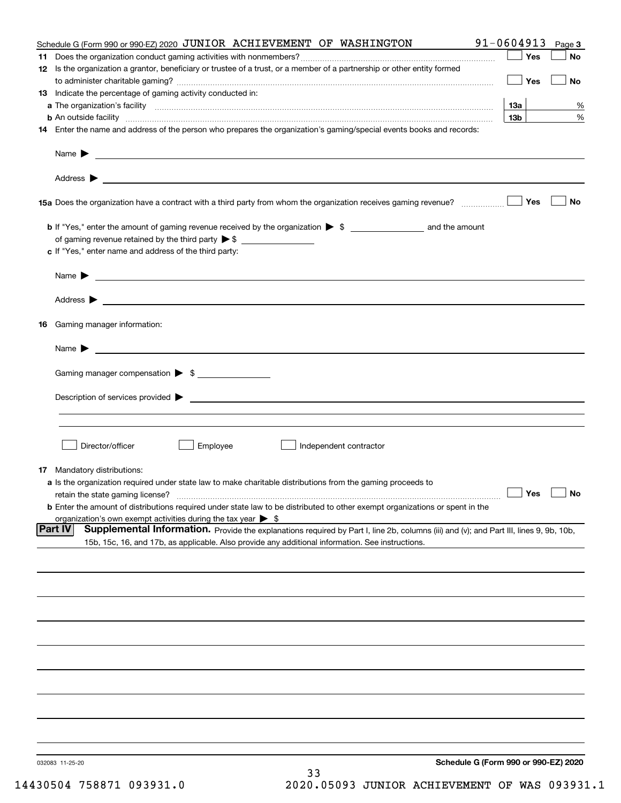|     | Schedule G (Form 990 or 990-EZ) 2020 JUNIOR ACHIEVEMENT OF WASHINGTON                                                                                                                                                              | $91 - 0604913$  | Page 3    |
|-----|------------------------------------------------------------------------------------------------------------------------------------------------------------------------------------------------------------------------------------|-----------------|-----------|
| 11. |                                                                                                                                                                                                                                    | Yes             | No        |
|     | 12 Is the organization a grantor, beneficiary or trustee of a trust, or a member of a partnership or other entity formed                                                                                                           |                 |           |
|     |                                                                                                                                                                                                                                    | Yes             | No        |
|     | 13 Indicate the percentage of gaming activity conducted in:                                                                                                                                                                        |                 |           |
|     |                                                                                                                                                                                                                                    | <b>13a</b>      | %         |
|     | <b>b</b> An outside facility <i>www.communicality www.communicality.communicality www.communicality www.communicality.communicality</i>                                                                                            | 13 <sub>b</sub> | %         |
|     | 14 Enter the name and address of the person who prepares the organization's gaming/special events books and records:                                                                                                               |                 |           |
|     | Name $\triangleright$ $\square$                                                                                                                                                                                                    |                 |           |
|     |                                                                                                                                                                                                                                    |                 |           |
|     |                                                                                                                                                                                                                                    | Yes             | No        |
|     |                                                                                                                                                                                                                                    |                 |           |
|     |                                                                                                                                                                                                                                    |                 |           |
|     | c If "Yes," enter name and address of the third party:                                                                                                                                                                             |                 |           |
|     |                                                                                                                                                                                                                                    |                 |           |
|     | Name $\blacktriangleright$ $\lrcorner$                                                                                                                                                                                             |                 |           |
|     |                                                                                                                                                                                                                                    |                 |           |
|     |                                                                                                                                                                                                                                    |                 |           |
|     | 16 Gaming manager information:                                                                                                                                                                                                     |                 |           |
|     | Name $\blacktriangleright$ $\lrcorner$                                                                                                                                                                                             |                 |           |
|     |                                                                                                                                                                                                                                    |                 |           |
|     | Gaming manager compensation > \$                                                                                                                                                                                                   |                 |           |
|     | $Description of services provided \triangleright$                                                                                                                                                                                  |                 |           |
|     |                                                                                                                                                                                                                                    |                 |           |
|     |                                                                                                                                                                                                                                    |                 |           |
|     | Director/officer<br>Employee<br>Independent contractor                                                                                                                                                                             |                 |           |
|     |                                                                                                                                                                                                                                    |                 |           |
|     | <b>17</b> Mandatory distributions:                                                                                                                                                                                                 |                 |           |
|     | a Is the organization required under state law to make charitable distributions from the gaming proceeds to                                                                                                                        |                 |           |
|     | retain the state gaming license?                                                                                                                                                                                                   | $\Box$ Yes      | $\Box$ No |
|     | <b>b</b> Enter the amount of distributions required under state law to be distributed to other exempt organizations or spent in the                                                                                                |                 |           |
|     | organization's own exempt activities during the tax year $\triangleright$ \$<br>Supplemental Information. Provide the explanations required by Part I, line 2b, columns (iii) and (v); and Part III, lines 9, 9b, 10b,<br> Part IV |                 |           |
|     | 15b, 15c, 16, and 17b, as applicable. Also provide any additional information. See instructions.                                                                                                                                   |                 |           |
|     |                                                                                                                                                                                                                                    |                 |           |
|     |                                                                                                                                                                                                                                    |                 |           |
|     |                                                                                                                                                                                                                                    |                 |           |
|     |                                                                                                                                                                                                                                    |                 |           |
|     |                                                                                                                                                                                                                                    |                 |           |
|     |                                                                                                                                                                                                                                    |                 |           |
|     |                                                                                                                                                                                                                                    |                 |           |
|     |                                                                                                                                                                                                                                    |                 |           |
|     |                                                                                                                                                                                                                                    |                 |           |
|     |                                                                                                                                                                                                                                    |                 |           |
|     |                                                                                                                                                                                                                                    |                 |           |
|     |                                                                                                                                                                                                                                    |                 |           |
|     | Schedule G (Form 990 or 990-EZ) 2020<br>032083 11-25-20                                                                                                                                                                            |                 |           |
|     | 33                                                                                                                                                                                                                                 |                 |           |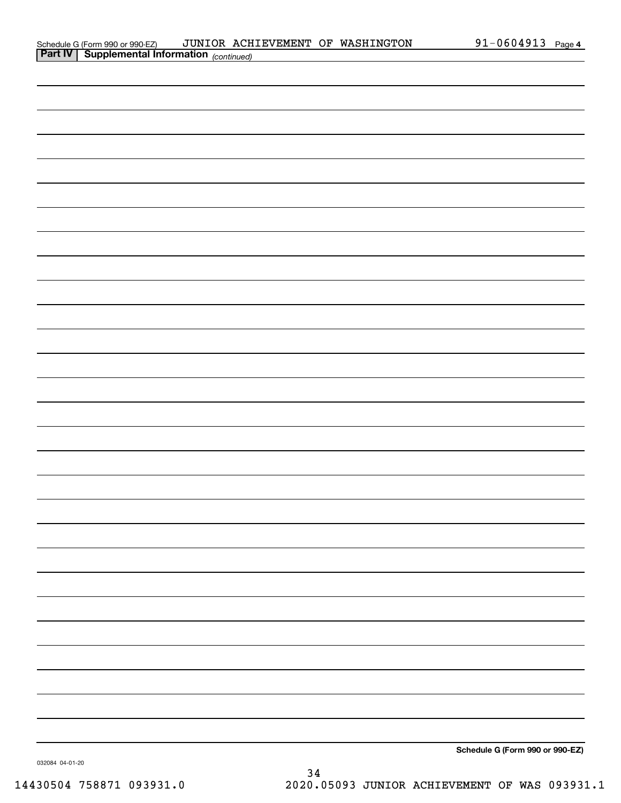| Schedule G (Form 990 or 990-EZ)                       | JUNIOR ACHIEVEMENT OF WASHINGTON |  | 1-0604913- | Page 4 |
|-------------------------------------------------------|----------------------------------|--|------------|--------|
| <b>Part IV   Supplemental Information</b> (continued) |                                  |  |            |        |

| communed) |  |                                 |
|-----------|--|---------------------------------|
|           |  |                                 |
|           |  |                                 |
|           |  |                                 |
|           |  |                                 |
|           |  |                                 |
|           |  |                                 |
|           |  |                                 |
|           |  |                                 |
|           |  |                                 |
|           |  |                                 |
|           |  |                                 |
|           |  |                                 |
|           |  |                                 |
|           |  |                                 |
|           |  |                                 |
|           |  |                                 |
|           |  |                                 |
|           |  |                                 |
|           |  |                                 |
|           |  |                                 |
|           |  |                                 |
|           |  |                                 |
|           |  |                                 |
|           |  |                                 |
|           |  |                                 |
|           |  |                                 |
|           |  |                                 |
|           |  |                                 |
|           |  |                                 |
|           |  |                                 |
|           |  | Schedule G (Form 990 or 990-EZ) |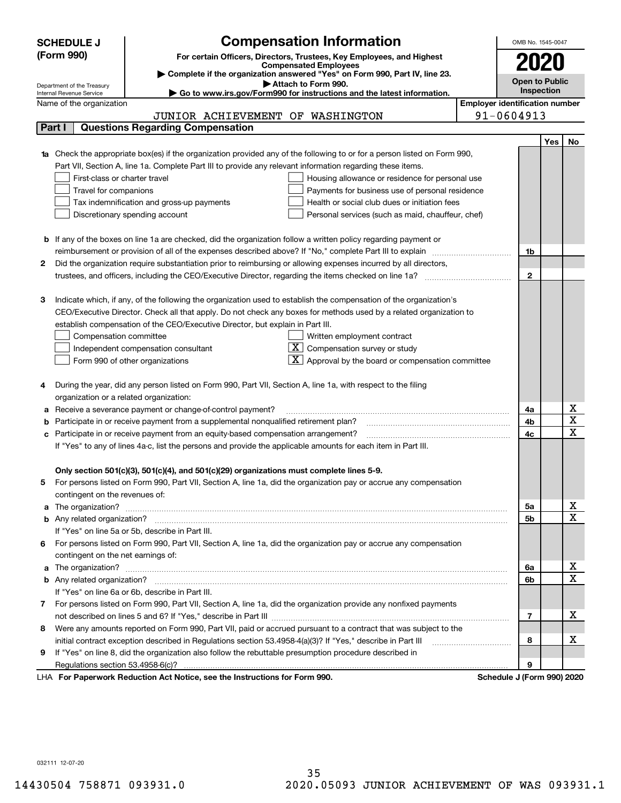|            | <b>SCHEDULE J</b>                                                                                                                                       | <b>Compensation Information</b>                                                                                                  |  | OMB No. 1545-0047     |     |                         |  |  |
|------------|---------------------------------------------------------------------------------------------------------------------------------------------------------|----------------------------------------------------------------------------------------------------------------------------------|--|-----------------------|-----|-------------------------|--|--|
| (Form 990) |                                                                                                                                                         | For certain Officers, Directors, Trustees, Key Employees, and Highest                                                            |  |                       |     |                         |  |  |
|            | <b>Compensated Employees</b>                                                                                                                            |                                                                                                                                  |  |                       |     |                         |  |  |
|            |                                                                                                                                                         | Complete if the organization answered "Yes" on Form 990, Part IV, line 23.                                                       |  | <b>Open to Public</b> |     |                         |  |  |
|            | Attach to Form 990.<br>Department of the Treasury<br>Go to www.irs.gov/Form990 for instructions and the latest information.<br>Internal Revenue Service |                                                                                                                                  |  |                       |     |                         |  |  |
|            | <b>Employer identification number</b><br>Name of the organization                                                                                       |                                                                                                                                  |  |                       |     |                         |  |  |
|            |                                                                                                                                                         | JUNIOR ACHIEVEMENT OF WASHINGTON                                                                                                 |  | 91-0604913            |     |                         |  |  |
|            | Part I                                                                                                                                                  | <b>Questions Regarding Compensation</b>                                                                                          |  |                       |     |                         |  |  |
|            |                                                                                                                                                         |                                                                                                                                  |  |                       | Yes | No                      |  |  |
|            |                                                                                                                                                         | <b>1a</b> Check the appropriate box(es) if the organization provided any of the following to or for a person listed on Form 990, |  |                       |     |                         |  |  |
|            |                                                                                                                                                         | Part VII, Section A, line 1a. Complete Part III to provide any relevant information regarding these items.                       |  |                       |     |                         |  |  |
|            | First-class or charter travel                                                                                                                           | Housing allowance or residence for personal use                                                                                  |  |                       |     |                         |  |  |
|            | Travel for companions                                                                                                                                   | Payments for business use of personal residence                                                                                  |  |                       |     |                         |  |  |
|            |                                                                                                                                                         | Health or social club dues or initiation fees<br>Tax indemnification and gross-up payments                                       |  |                       |     |                         |  |  |
|            |                                                                                                                                                         | Discretionary spending account<br>Personal services (such as maid, chauffeur, chef)                                              |  |                       |     |                         |  |  |
|            |                                                                                                                                                         |                                                                                                                                  |  |                       |     |                         |  |  |
|            |                                                                                                                                                         | <b>b</b> If any of the boxes on line 1a are checked, did the organization follow a written policy regarding payment or           |  |                       |     |                         |  |  |
|            |                                                                                                                                                         | reimbursement or provision of all of the expenses described above? If "No," complete Part III to explain                         |  | 1b                    |     |                         |  |  |
| 2          |                                                                                                                                                         | Did the organization require substantiation prior to reimbursing or allowing expenses incurred by all directors,                 |  |                       |     |                         |  |  |
|            |                                                                                                                                                         |                                                                                                                                  |  | $\mathbf{2}$          |     |                         |  |  |
| з          |                                                                                                                                                         | Indicate which, if any, of the following the organization used to establish the compensation of the organization's               |  |                       |     |                         |  |  |
|            |                                                                                                                                                         | CEO/Executive Director. Check all that apply. Do not check any boxes for methods used by a related organization to               |  |                       |     |                         |  |  |
|            |                                                                                                                                                         | establish compensation of the CEO/Executive Director, but explain in Part III.                                                   |  |                       |     |                         |  |  |
|            | Compensation committee                                                                                                                                  | Written employment contract                                                                                                      |  |                       |     |                         |  |  |
|            |                                                                                                                                                         | Compensation survey or study<br>Independent compensation consultant                                                              |  |                       |     |                         |  |  |
|            |                                                                                                                                                         | Approval by the board or compensation committee<br>Form 990 of other organizations                                               |  |                       |     |                         |  |  |
|            |                                                                                                                                                         |                                                                                                                                  |  |                       |     |                         |  |  |
|            |                                                                                                                                                         | During the year, did any person listed on Form 990, Part VII, Section A, line 1a, with respect to the filing                     |  |                       |     |                         |  |  |
|            | organization or a related organization:                                                                                                                 |                                                                                                                                  |  |                       |     |                         |  |  |
| а          |                                                                                                                                                         | Receive a severance payment or change-of-control payment?                                                                        |  | 4a                    |     | x                       |  |  |
|            |                                                                                                                                                         | Participate in or receive payment from a supplemental nonqualified retirement plan?                                              |  | 4b                    |     | $\overline{\textbf{X}}$ |  |  |
|            |                                                                                                                                                         | c Participate in or receive payment from an equity-based compensation arrangement?                                               |  | 4c                    |     | $\overline{\mathbf{x}}$ |  |  |
|            | If "Yes" to any of lines 4a-c, list the persons and provide the applicable amounts for each item in Part III.                                           |                                                                                                                                  |  |                       |     |                         |  |  |
|            |                                                                                                                                                         |                                                                                                                                  |  |                       |     |                         |  |  |
|            |                                                                                                                                                         | Only section 501(c)(3), 501(c)(4), and 501(c)(29) organizations must complete lines 5-9.                                         |  |                       |     |                         |  |  |
| 5          |                                                                                                                                                         | For persons listed on Form 990, Part VII, Section A, line 1a, did the organization pay or accrue any compensation                |  |                       |     |                         |  |  |
|            | contingent on the revenues of:                                                                                                                          |                                                                                                                                  |  |                       |     |                         |  |  |
|            |                                                                                                                                                         | a The organization? <b>Entitation</b> 2008 Communications and the organization of the organization?                              |  | 5a                    |     | x                       |  |  |
|            |                                                                                                                                                         |                                                                                                                                  |  | 5b                    |     | $\overline{\mathbf{x}}$ |  |  |
|            |                                                                                                                                                         | If "Yes" on line 5a or 5b, describe in Part III.                                                                                 |  |                       |     |                         |  |  |
|            |                                                                                                                                                         | 6 For persons listed on Form 990, Part VII, Section A, line 1a, did the organization pay or accrue any compensation              |  |                       |     |                         |  |  |
|            | contingent on the net earnings of:                                                                                                                      |                                                                                                                                  |  |                       |     |                         |  |  |
|            |                                                                                                                                                         |                                                                                                                                  |  | 6a                    |     | x                       |  |  |
|            |                                                                                                                                                         |                                                                                                                                  |  | 6b                    |     | $\overline{\mathbf{x}}$ |  |  |
|            |                                                                                                                                                         | If "Yes" on line 6a or 6b, describe in Part III.                                                                                 |  |                       |     |                         |  |  |
| 7          |                                                                                                                                                         | For persons listed on Form 990, Part VII, Section A, line 1a, did the organization provide any nonfixed payments                 |  |                       |     |                         |  |  |
|            |                                                                                                                                                         |                                                                                                                                  |  | 7                     |     | x                       |  |  |
| 8          |                                                                                                                                                         | Were any amounts reported on Form 990, Part VII, paid or accrued pursuant to a contract that was subject to the                  |  |                       |     |                         |  |  |
|            |                                                                                                                                                         |                                                                                                                                  |  | 8                     |     | х                       |  |  |
| 9.         |                                                                                                                                                         | If "Yes" on line 8, did the organization also follow the rebuttable presumption procedure described in                           |  |                       |     |                         |  |  |
|            |                                                                                                                                                         | and the Instruments of face Farme 000                                                                                            |  | 9                     |     |                         |  |  |

LHA For Paperwork Reduction Act Notice, see the Instructions for Form 990. Schedule J (Form 990) 2020

032111 12-07-20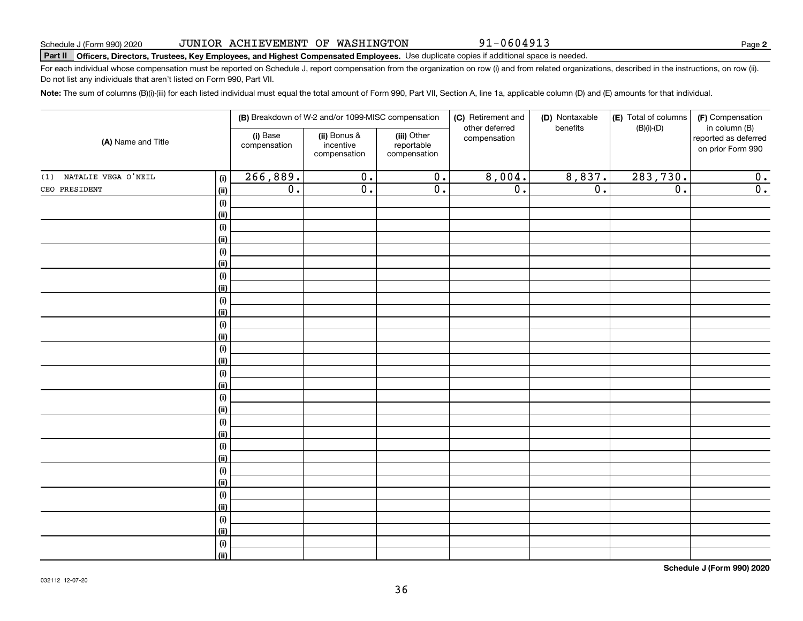| 020 | JUNIOR ACHIEVEMENT OF WASHINGTON |  |
|-----|----------------------------------|--|
|     |                                  |  |

**Part II Officers, Directors, Trustees, Key Employees, and Highest Compensated Employees.**  Schedule J (Form 990) 2020 Page Use duplicate copies if additional space is needed.

For each individual whose compensation must be reported on Schedule J, report compensation from the organization on row (i) and from related organizations, described in the instructions, on row (ii). Do not list any individuals that aren't listed on Form 990, Part VII.

**Note:**  The sum of columns (B)(i)-(iii) for each listed individual must equal the total amount of Form 990, Part VII, Section A, line 1a, applicable column (D) and (E) amounts for that individual.

| (i) Base<br>(ii) Bonus &<br>(iii) Other<br>compensation<br>(A) Name and Title<br>incentive<br>reportable<br>compensation<br>compensation<br>compensation<br>266,889.<br>283,730.<br>8,004.<br>8,837.<br>$\overline{0}$ .<br>$\overline{0}$ .<br>(1) NATALIE VEGA O'NEIL<br>(i)<br>$\overline{\mathfrak{o}}$ .<br>$\overline{\mathfrak{o}}$ .<br>$\overline{\mathfrak{o}}$ .<br>$\overline{\mathbf{0}}$ .<br>$\overline{\mathfrak{o}}$ .<br>$\overline{0}$ .<br>CEO PRESIDENT<br>(ii)<br>(i)<br>(ii)<br>$(\sf{i})$<br>(ii)<br>(i)<br>(ii)<br>(i)<br>(ii)<br>(i)<br>(ii)<br>(i)<br>(ii)<br>(i)<br>(ii)<br>(i)<br>(ii)<br>(i)<br>(ii)<br>(i)<br>(ii)<br>(i)<br>(ii)<br>(i)<br>(ii)<br>(i)<br>(ii)<br>(i) |  |      | (B) Breakdown of W-2 and/or 1099-MISC compensation |  |  | (C) Retirement and | (D) Nontaxable | (E) Total of columns | (F) Compensation                                           |
|-------------------------------------------------------------------------------------------------------------------------------------------------------------------------------------------------------------------------------------------------------------------------------------------------------------------------------------------------------------------------------------------------------------------------------------------------------------------------------------------------------------------------------------------------------------------------------------------------------------------------------------------------------------------------------------------------------|--|------|----------------------------------------------------|--|--|--------------------|----------------|----------------------|------------------------------------------------------------|
|                                                                                                                                                                                                                                                                                                                                                                                                                                                                                                                                                                                                                                                                                                       |  |      |                                                    |  |  | other deferred     | benefits       | $(B)(i)-(D)$         | in column (B)<br>reported as deferred<br>on prior Form 990 |
|                                                                                                                                                                                                                                                                                                                                                                                                                                                                                                                                                                                                                                                                                                       |  |      |                                                    |  |  |                    |                |                      | 0.                                                         |
|                                                                                                                                                                                                                                                                                                                                                                                                                                                                                                                                                                                                                                                                                                       |  |      |                                                    |  |  |                    |                |                      | $\overline{0}$ .                                           |
|                                                                                                                                                                                                                                                                                                                                                                                                                                                                                                                                                                                                                                                                                                       |  |      |                                                    |  |  |                    |                |                      |                                                            |
|                                                                                                                                                                                                                                                                                                                                                                                                                                                                                                                                                                                                                                                                                                       |  |      |                                                    |  |  |                    |                |                      |                                                            |
|                                                                                                                                                                                                                                                                                                                                                                                                                                                                                                                                                                                                                                                                                                       |  |      |                                                    |  |  |                    |                |                      |                                                            |
|                                                                                                                                                                                                                                                                                                                                                                                                                                                                                                                                                                                                                                                                                                       |  |      |                                                    |  |  |                    |                |                      |                                                            |
|                                                                                                                                                                                                                                                                                                                                                                                                                                                                                                                                                                                                                                                                                                       |  |      |                                                    |  |  |                    |                |                      |                                                            |
|                                                                                                                                                                                                                                                                                                                                                                                                                                                                                                                                                                                                                                                                                                       |  |      |                                                    |  |  |                    |                |                      |                                                            |
|                                                                                                                                                                                                                                                                                                                                                                                                                                                                                                                                                                                                                                                                                                       |  |      |                                                    |  |  |                    |                |                      |                                                            |
|                                                                                                                                                                                                                                                                                                                                                                                                                                                                                                                                                                                                                                                                                                       |  |      |                                                    |  |  |                    |                |                      |                                                            |
|                                                                                                                                                                                                                                                                                                                                                                                                                                                                                                                                                                                                                                                                                                       |  |      |                                                    |  |  |                    |                |                      |                                                            |
|                                                                                                                                                                                                                                                                                                                                                                                                                                                                                                                                                                                                                                                                                                       |  |      |                                                    |  |  |                    |                |                      |                                                            |
|                                                                                                                                                                                                                                                                                                                                                                                                                                                                                                                                                                                                                                                                                                       |  |      |                                                    |  |  |                    |                |                      |                                                            |
|                                                                                                                                                                                                                                                                                                                                                                                                                                                                                                                                                                                                                                                                                                       |  |      |                                                    |  |  |                    |                |                      |                                                            |
|                                                                                                                                                                                                                                                                                                                                                                                                                                                                                                                                                                                                                                                                                                       |  |      |                                                    |  |  |                    |                |                      |                                                            |
|                                                                                                                                                                                                                                                                                                                                                                                                                                                                                                                                                                                                                                                                                                       |  |      |                                                    |  |  |                    |                |                      |                                                            |
|                                                                                                                                                                                                                                                                                                                                                                                                                                                                                                                                                                                                                                                                                                       |  |      |                                                    |  |  |                    |                |                      |                                                            |
|                                                                                                                                                                                                                                                                                                                                                                                                                                                                                                                                                                                                                                                                                                       |  |      |                                                    |  |  |                    |                |                      |                                                            |
|                                                                                                                                                                                                                                                                                                                                                                                                                                                                                                                                                                                                                                                                                                       |  |      |                                                    |  |  |                    |                |                      |                                                            |
|                                                                                                                                                                                                                                                                                                                                                                                                                                                                                                                                                                                                                                                                                                       |  |      |                                                    |  |  |                    |                |                      |                                                            |
|                                                                                                                                                                                                                                                                                                                                                                                                                                                                                                                                                                                                                                                                                                       |  |      |                                                    |  |  |                    |                |                      |                                                            |
|                                                                                                                                                                                                                                                                                                                                                                                                                                                                                                                                                                                                                                                                                                       |  |      |                                                    |  |  |                    |                |                      |                                                            |
|                                                                                                                                                                                                                                                                                                                                                                                                                                                                                                                                                                                                                                                                                                       |  |      |                                                    |  |  |                    |                |                      |                                                            |
|                                                                                                                                                                                                                                                                                                                                                                                                                                                                                                                                                                                                                                                                                                       |  |      |                                                    |  |  |                    |                |                      |                                                            |
|                                                                                                                                                                                                                                                                                                                                                                                                                                                                                                                                                                                                                                                                                                       |  |      |                                                    |  |  |                    |                |                      |                                                            |
|                                                                                                                                                                                                                                                                                                                                                                                                                                                                                                                                                                                                                                                                                                       |  |      |                                                    |  |  |                    |                |                      |                                                            |
|                                                                                                                                                                                                                                                                                                                                                                                                                                                                                                                                                                                                                                                                                                       |  |      |                                                    |  |  |                    |                |                      |                                                            |
|                                                                                                                                                                                                                                                                                                                                                                                                                                                                                                                                                                                                                                                                                                       |  |      |                                                    |  |  |                    |                |                      |                                                            |
|                                                                                                                                                                                                                                                                                                                                                                                                                                                                                                                                                                                                                                                                                                       |  | (ii) |                                                    |  |  |                    |                |                      |                                                            |
| (i)                                                                                                                                                                                                                                                                                                                                                                                                                                                                                                                                                                                                                                                                                                   |  |      |                                                    |  |  |                    |                |                      |                                                            |
| (ii)                                                                                                                                                                                                                                                                                                                                                                                                                                                                                                                                                                                                                                                                                                  |  |      |                                                    |  |  |                    |                |                      |                                                            |

36

**Schedule J (Form 990) 2020**

91-0604913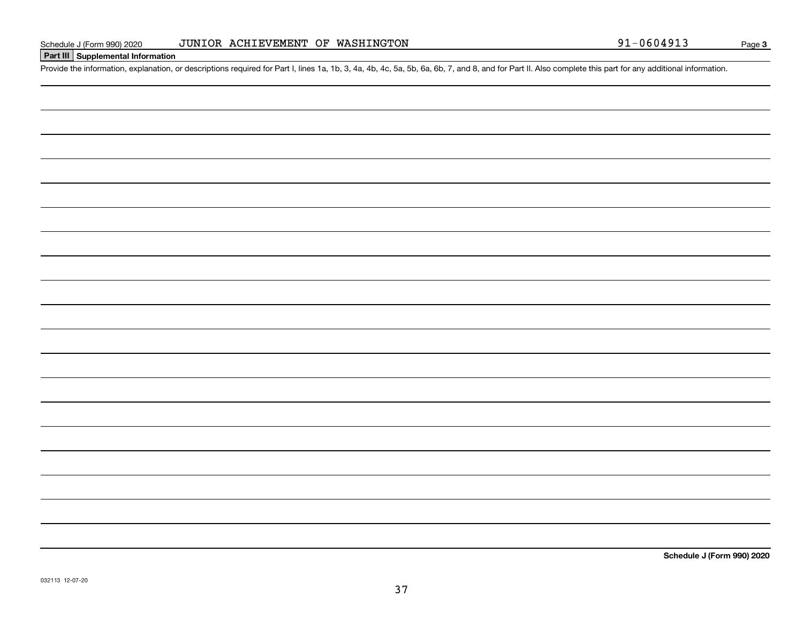## JUNIOR ACHIEVEMENT OF WASHINGTON

# **Part III Supplemental Information**

Schedule J (Form 990) 2020 JUNIOR ACHIEVEMENT OF WASHINGTON<br>Part III Supplemental Information<br>Provide the information, explanation, or descriptions required for Part I, lines 1a, 1b, 3, 4a, 4b, 4c, 5a, 5b, 6a, 6b, 7, and 8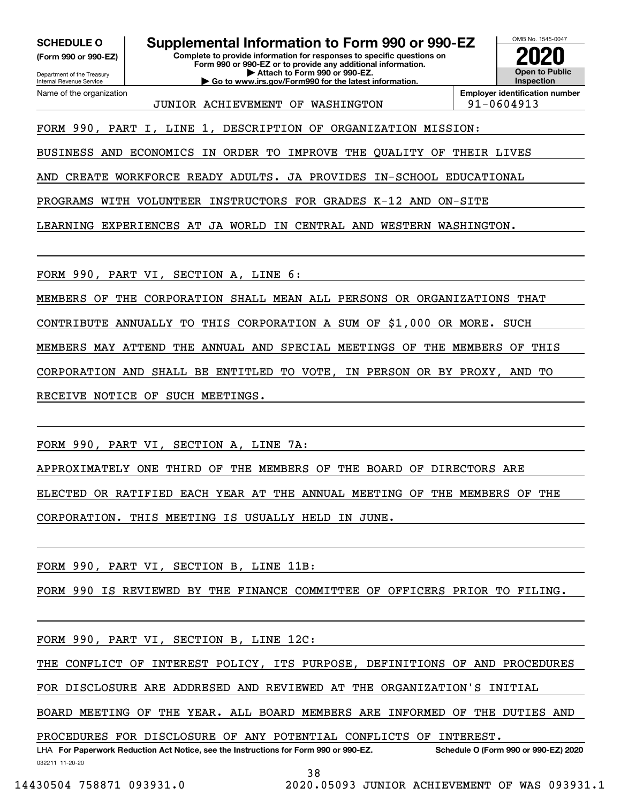**(Form 990 or 990-EZ)**

Department of the Treasury Internal Revenue Service Name of the organization

**Complete to provide information for responses to specific questions on Form 990 or 990-EZ or to provide any additional information. | Attach to Form 990 or 990-EZ. | Go to www.irs.gov/Form990 for the latest information. SCHEDULE O Supplemental Information to Form 990 or 990-EZ**



JUNIOR ACHIEVEMENT OF WASHINGTON 91-0604913

**Employer identification number**

FORM 990, PART I, LINE 1, DESCRIPTION OF ORGANIZATION MISSION:

BUSINESS AND ECONOMICS IN ORDER TO IMPROVE THE QUALITY OF THEIR LIVES

AND CREATE WORKFORCE READY ADULTS. JA PROVIDES IN-SCHOOL EDUCATIONAL

PROGRAMS WITH VOLUNTEER INSTRUCTORS FOR GRADES K-12 AND ON-SITE

LEARNING EXPERIENCES AT JA WORLD IN CENTRAL AND WESTERN WASHINGTON.

FORM 990, PART VI, SECTION A, LINE 6:

MEMBERS OF THE CORPORATION SHALL MEAN ALL PERSONS OR ORGANIZATIONS THAT

CONTRIBUTE ANNUALLY TO THIS CORPORATION A SUM OF \$1,000 OR MORE. SUCH

MEMBERS MAY ATTEND THE ANNUAL AND SPECIAL MEETINGS OF THE MEMBERS OF THIS

CORPORATION AND SHALL BE ENTITLED TO VOTE, IN PERSON OR BY PROXY, AND TO

RECEIVE NOTICE OF SUCH MEETINGS.

FORM 990, PART VI, SECTION A, LINE 7A:

APPROXIMATELY ONE THIRD OF THE MEMBERS OF THE BOARD OF DIRECTORS ARE ELECTED OR RATIFIED EACH YEAR AT THE ANNUAL MEETING OF THE MEMBERS OF THE CORPORATION. THIS MEETING IS USUALLY HELD IN JUNE.

FORM 990, PART VI, SECTION B, LINE 11B:

FORM 990 IS REVIEWED BY THE FINANCE COMMITTEE OF OFFICERS PRIOR TO FILING.

FORM 990, PART VI, SECTION B, LINE 12C:

THE CONFLICT OF INTEREST POLICY, ITS PURPOSE, DEFINITIONS OF AND PROCEDURES

FOR DISCLOSURE ARE ADDRESED AND REVIEWED AT THE ORGANIZATION'S INITIAL

BOARD MEETING OF THE YEAR. ALL BOARD MEMBERS ARE INFORMED OF THE DUTIES AND

PROCEDURES FOR DISCLOSURE OF ANY POTENTIAL CONFLICTS OF INTEREST.

032211 11-20-20 LHA For Paperwork Reduction Act Notice, see the Instructions for Form 990 or 990-EZ. Schedule O (Form 990 or 990-EZ) 2020

38